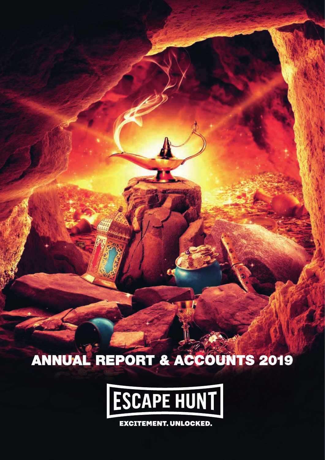ANNUAL REPORT & ACCOUNTS 2019

Annual Report & Accounts 2018



**EXCITEMENT. UNLOCKED.**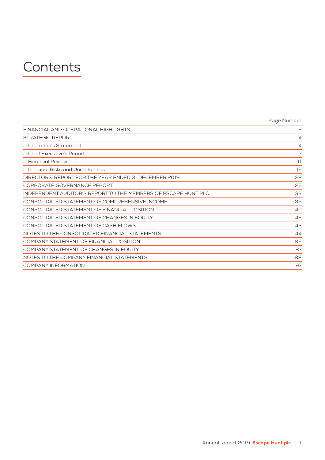## **Contents**

| FINANCIAL AND OPERATIONAL HIGHLIGHTS                           | $\mathsf{S}$   |
|----------------------------------------------------------------|----------------|
| <b>STRATEGIC REPORT</b>                                        | $\overline{4}$ |
| Chairman's Statement                                           | $\overline{4}$ |
| <b>Chief Executive's Report</b>                                | 7              |
| <b>Financial Review</b>                                        | 11             |
| <b>Principal Risks and Uncertainties</b>                       | 16             |
| DIRECTORS' REPORT FOR THE YEAR ENDED 31 DECEMBER 2019          | 22             |
| <b>CORPORATE GOVERNANCE REPORT</b>                             | 26             |
| INDEPENDENT AUDITOR'S REPORT TO THE MEMBERS OF ESCAPE HUNT PLC | 33             |
| CONSOLIDATED STATEMENT OF COMPREHENSIVE INCOME                 | 39             |
| CONSOLIDATED STATEMENT OF FINANCIAL POSITION                   | 40             |
| CONSOLIDATED STATEMENT OF CHANGES IN EQUITY                    | 42             |
| CONSOLIDATED STATEMENT OF CASH FLOWS                           | 43             |
| NOTES TO THE CONSOLIDATED FINANCIAL STATEMENTS                 | 44             |
| COMPANY STATEMENT OF FINANCIAL POSITION                        | 86             |
| COMPANY STATEMENT OF CHANGES IN EQUITY                         | 87             |
| NOTES TO THE COMPANY FINANCIAL STATEMENTS                      | 88             |
| <b>COMPANY INFORMATION</b>                                     | 97             |

Page Number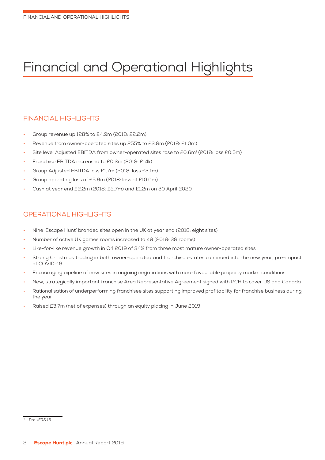# Financial and Operational Highlights

### FINANCIAL HIGHLIGHTS

- Group revenue up 128% to £4.9m (2018: £2.2m)
- Revenue from owner-operated sites up 255% to £3.8m (2018: £1.0m)
- Site level Adjusted EBITDA from owner-operated sites rose to  $E0.6m^1$  (2018: loss  $E0.5m$ )
- Franchise EBITDA increased to £0.3m (2018: £14k)
- Group Adjusted EBITDA loss £1.7m (2018: loss £3.1m)
- Group operating loss of £5.9m (2018: loss of £10.0m)
- Cash at year end £2.2m (2018: £2.7m) and £1.2m on 30 April 2020

### OPERATIONAL HIGHLIGHTS

- Nine 'Escape Hunt' branded sites open in the UK at year end (2018: eight sites)
- Number of active UK games rooms increased to 49 (2018: 38 rooms)
- Like-for-like revenue growth in Q4 2019 of 34% from three most mature owner-operated sites
- Strong Christmas trading in both owner-operated and franchise estates continued into the new year, pre-impact of COVID-19
- Encouraging pipeline of new sites in ongoing negotiations with more favourable property market conditions
- New, strategically important franchise Area Representative Agreement signed with PCH to cover US and Canada
- Rationalisation of underperforming franchisee sites supporting improved profitability for franchise business during the year
- Raised £3.7m (net of expenses) through an equity placing in June 2019

<sup>1</sup> Pre-IFRS 16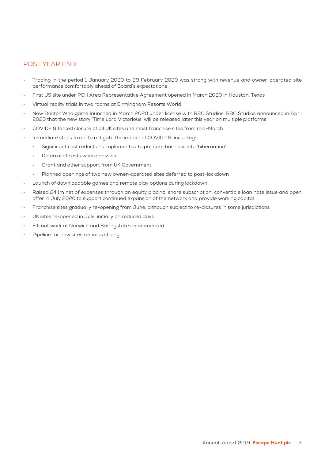### POST YEAR END

- Trading in the period 1 January 2020 to 29 February 2020 was strong with revenue and owner-operated site performance comfortably ahead of Board's expectations
- First US site under PCH Area Representative Agreement opened in March 2020 in Houston, Texas
- Virtual reality trials in two rooms at Birmingham Resorts World
- New Doctor Who game launched in March 2020 under license with BBC Studios. BBC Studios announced in April 2020 that the new story 'Time Lord Victorious' will be released later this year on multiple platforms
- COVID-19 forced closure of all UK sites and most franchise sites from mid-March
- Immediate steps taken to mitigate the impact of COVID-19, including:
	- Significant cost reductions implemented to put core business into 'hibernation'
	- Deferral of costs where possible
	- Grant and other support from UK Government
	- Planned openings of two new owner-operated sites deferred to post-lockdown
- Launch of downloadable games and remote play options during lockdown
- Raised £4.1m net of expenses through an equity placing, share subscription, convertible loan note issue and open offer in July 2020 to support continued expansion of the network and provide working capital
- Franchise sites gradually re-opening from June, although subject to re-closures in some jurisdictions
- UK sites re-opened in July, initially on reduced days
- Fit-out work at Norwich and Basingstoke recommenced
- Pipeline for new sites remains strong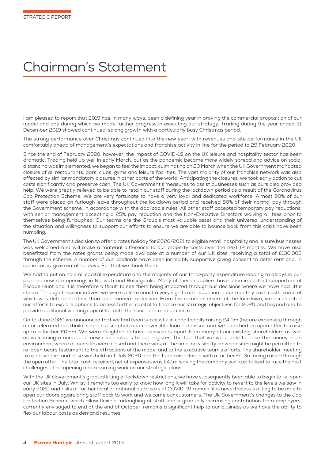## Chairman's Statement

I am pleased to report that 2019 has, in many ways, been a defining year in proving the commercial proposition of our model and one during which we made further progress in executing our strategy. Trading during the year ended 31 December 2019 showed continued, strong growth with a particularly busy Christmas period.

The strong performance over Christmas continued into the new year, with revenues and site performance in the UK comfortably ahead of management's expectations and franchise activity in line for the period to 29 February 2020.

Since the end of February 2020, however, the impact of COVID-19 on the UK leisure and hospitality sector has been dramatic. Trading held up well in early March, but as the pandemic became more widely spread and advice on social distancing was implemented, we began to feel the impact, culminating on 20 March when the UK Government mandated closure of all restaurants, bars, clubs, gyms and leisure facilities. The vast majority of our franchise network was also affected by similar mandatory closures in other parts of the world. Anticipating the closures, we took early action to cut costs significantly and preserve cash. The UK Government's measures to assist businesses such as ours also provided help. We were greatly relieved to be able to retain our staff during the lockdown period as a result of the Coronavirus Job Protection Scheme. We are very fortunate to have a very loyal and dedicated workforce. Almost 90% of our staff were placed on furlough leave throughout the lockdown period and received 80% of their normal pay through the Government scheme, in accordance with the applicable rules. All other staff accepted temporary pay reductions, with senior management accepting a 25% pay reduction and the Non-Executive Directors waiving all fees prior to themselves being furloughed. Our teams are the Group's most valuable asset and their universal understanding of the situation and willingness to support our efforts to ensure we are able to bounce back from this crisis have been humbling.

The UK Government's decision to offer a rates holiday for 2020/2021 to eligible retail, hospitality and leisure businesses was welcomed and will make a material difference to our property costs over the next 12 months. We have also benefitted from the rates grants being made available at a number of our UK sites, receiving a total of £130,000 through the scheme. A number of our landlords have been incredibly supportive giving consent to defer rent and, in some cases, give rental holidays. For that we thank them.

We had to put on hold all capital expenditure and the majority of our third-party expenditure leading to delays in our planned new site openings in Norwich and Basingstoke. Many of these suppliers have been important supporters of Escape Hunt and it is therefore difficult to see them being impacted through our decisions where we have had little choice. Through these initiatives, we were able to enact a very significant reduction in our monthly cash costs, some of which was deferred rather than a permanent reduction. From the commencement of the lockdown, we accelerated our efforts to explore options to access further capital to finance our strategic objectives for 2020 and beyond and to provide additional working capital for both the short and medium term.

On 12 June 2020 we announced that we had been successful in conditionally raising £4.0m (before expenses) through an accelerated bookbuild, share subscription and convertible loan note issue and we launched an open offer to raise up to a further £0.5m. We were delighted to have received support from many of our existing shareholders as well as welcoming a number of new shareholders to our register. The fact that we were able to raise the money in an environment where all our sites were closed and there was, at the time, no visibility on when sites might be permitted to re-open bears testament to the attractions of the model and to the executive team's efforts. The shareholder meeting to approve the fund raise was held on 1 July 2020 and the fund raise closed with a further £0.3m being raised through the open offer. The total cash received, net of expenses was £4.1m leaving the company well capitalised to face the next challenges of re-opening and resuming work on our strategic plans.

With the UK Government's gradual lifting of lockdown restrictions, we have subsequently been able to begin to re-open our UK sites in July. Whilst it remains too early to know how long it will take for activity to revert to the levels we saw in early 2020 and risks of further local or national outbreaks of COVID-19 remain, it is nevertheless exciting to be able to open our doors again, bring staff back to work and welcome our customers. The UK Government's changes to the Job Protection Scheme which allow flexible furloughing of staff and a gradually increasing contribution from employers, currently envisaged to end at the end of October, remains a significant help to our business as we have the ability to flex our labour costs as demand resumes.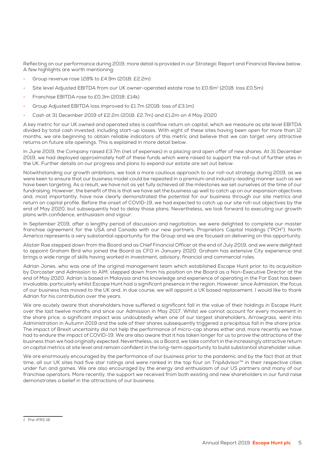Reflecting on our performance during 2019, more detail is provided in our Strategic Report and Financial Review below. A few highlights are worth mentioning:

- Group revenue rose 128% to £4.9m (2018: £2.2m)
- $\,\cdot\,\,$  Site level Adjusted EBITDA from our UK owner-operated estate rose to £0.6m<sup>1</sup> (2018: loss £0.5m)
- Franchise EBITDA rose to £0.3m (2018: £14k)
- Group Adjusted EBITDA loss improved to £1.7m (2018: loss of £3.1m)
- Cash at 31 December 2019 of £2.2m (2018: £2.7m) and £1.2m on 4 May 2020

A key metric for our UK owned and operated sites is cashflow return on capital, which we measure as site level EBITDA divided by total cash invested, including start-up losses. With eight of these sites having been open for more than 12 months, we are beginning to obtain reliable indicators of this metric and believe that we can target very attractive returns on future site openings. This is explained in more detail below.

In June 2019, the Company raised £3.7m (net of expenses) in a placing and open offer of new shares. At 31 December 2019, we had deployed approximately half of these funds which were raised to support the roll-out of further sites in the UK. Further details on our progress and plans to expand our estate are set out below.

Notwithstanding our growth ambitions, we took a more cautious approach to our roll-out strategy during 2019, as we were keen to ensure that our business model could be repeated in a premium and industry-leading manner such as we have been targeting. As a result, we have not as yet fully achieved all the milestones we set ourselves at the time of our fundraising. However, the benefit of this is that we have set the business up well to catch up on our expansion objectives and, most importantly, have now clearly demonstrated the potential for our business through our site metrics and return on capital profile. Before the onset of COVID-19, we had expected to catch up our site roll-out objectives by the end of May 2020, but subsequently had to delay those plans. Nevertheless, we look forward to executing our growth plans with confidence, enthusiasm and vigour.

In September 2019, after a lengthy period of discussion and negotiation, we were delighted to complete our master franchise agreement for the USA and Canada with our new partners, Proprietors Capital Holdings ("PCH"). North America represents a very substantial opportunity for the Group and we are focused on delivering on this opportunity.

Alistair Rae stepped down from the Board and as Chief Financial Officer at the end of July 2019, and we were delighted to appoint Graham Bird who joined the Board as CFO in January 2020. Graham has extensive City experience and brings a wide range of skills having worked in investment, advisory, financial and commercial roles.

Adrian Jones, who was one of the original management team which established Escape Hunt prior to its acquisition by Dorcaster and Admission to AIM, stepped down from his position on the Board as a Non-Executive Director at the end of May 2020. Adrian is based in Malaysia and his knowledge and experience of operating in the Far East has been invaluable, particularly whilst Escape Hunt had a significant presence in the region. However, since Admission, the focus of our business has moved to the UK and, in due course, we will appoint a UK based replacement. I would like to thank Adrian for his contribution over the years.

We are acutely aware that shareholders have suffered a significant fall in the value of their holdings in Escape Hunt over the last twelve months and since our Admission in May 2017. Whilst we cannot account for every movement in the share price, a significant impact was undoubtedly when one of our largest shareholders, Arrowgrass, went into Administration in Autumn 2019 and the sale of their shares subsequently triggered a precipitous fall in the share price. The impact of Brexit uncertainty did not help the performance of micro-cap shares either and, more recently we have had to endure the impact of COVID-19. We are also aware that it has taken longer for us to prove the attractions of the business than we had originally expected. Nevertheless, as a Board, we take comfort in the increasingly attractive return on capital metrics at site level and remain confident in the long-term opportunity to build substantial shareholder value.

We are enormously encouraged by the performance of our business prior to the pandemic and by the fact that at that time, all our UK sites had five star ratings and were ranked in the top four on TripAdvisor™ in their respective cities under fun and games. We are also encouraged by the energy and enthusiasm of our US partners and many of our franchise operators. More recently, the support we received from both existing and new shareholders in our fund raise demonstrates a belief in the attractions of our business.

<sup>1</sup> Pre-IFRS 16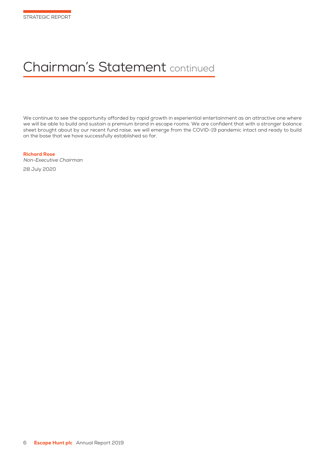# Chairman's Statement continued

We continue to see the opportunity afforded by rapid growth in experiential entertainment as an attractive one where we will be able to build and sustain a premium brand in escape rooms. We are confident that with a stronger balance sheet brought about by our recent fund raise, we will emerge from the COVID-19 pandemic intact and ready to build on the base that we have successfully established so far.

Richard Rose Non-Executive Chairman

28 July 2020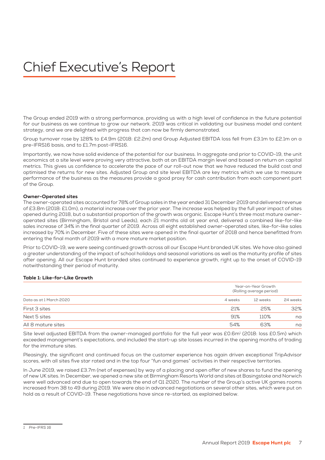# Chief Executive's Report

The Group ended 2019 with a strong performance, providing us with a high level of confidence in the future potential for our business as we continue to grow our network. 2019 was critical in validating our business model and content strategy, and we are delighted with progress that can now be firmly demonstrated.

Group turnover rose by 128% to £4.9m (2018: £2.2m) and Group Adjusted EBITDA loss fell from £3.1m to £2.1m on a pre-IFRS16 basis, and to £1.7m post-IFRS16.

Importantly, we now have solid evidence of the potential for our business. In aggregate and prior to COVID-19, the unit economics at a site level were proving very attractive, both at an EBITDA margin level and based on return on capital metrics. This gives us confidence to accelerate the pace of our roll-out now that we have reduced the build cost and optimised the returns for new sites. Adjusted Group and site level EBITDA are key metrics which we use to measure performance of the business as the measures provide a good proxy for cash contribution from each component part of the Group.

#### Owner-Operated sites

The owner-operated sites accounted for 78% of Group sales in the year ended 31 December 2019 and delivered revenue of £3.8m (2018: £1.0m), a material increase over the prior year. The increase was helped by the full year impact of sites opened during 2018, but a substantial proportion of the growth was organic. Escape Hunt's three most mature owneroperated sites (Birmingham, Bristol and Leeds), each 21 months old at year end, delivered a combined like-for-like sales increase of 34% in the final quarter of 2019. Across all eight established owner-operated sites, like-for-like sales increased by 70% in December. Five of these sites were opened in the final quarter of 2018 and hence benefitted from entering the final month of 2019 with a more mature market position.

Prior to COVID-19, we were seeing continued growth across all our Escape Hunt branded UK sites. We have also gained a greater understanding of the impact of school holidays and seasonal variations as well as the maturity profile of sites after opening. All our Escape Hunt branded sites continued to experience growth, right up to the onset of COVID-19 notwithstanding their period of maturity.

#### Table 1: Like-for-Like Growth

|                         |         | Year-on-Year Growth<br>(Rolling average period) |          |
|-------------------------|---------|-------------------------------------------------|----------|
| Data as at 1 March 2020 | 4 weeks | 12 weeks                                        | 24 weeks |
| First 3 sites           | 21%     | 25%                                             | 32%      |
| Next 5 sites            | 91%     | 110%                                            | na       |
| All 8 mature sites      | 54%     | 63%                                             | na       |

Site level adjusted EBITDA from the owner-managed portfolio for the full year was £0.6m<sup>1</sup> (2018: loss £0.5m) which exceeded management's expectations, and included the start-up site losses incurred in the opening months of trading for the immature sites.

Pleasingly, the significant and continued focus on the customer experience has again driven exceptional TripAdvisor scores, with all sites five star rated and in the top four "fun and games" activities in their respective territories.

In June 2019, we raised £3.7m (net of expenses) by way of a placing and open offer of new shares to fund the opening of new UK sites. In December, we opened a new site at Birmingham Resorts World and sites at Basingstoke and Norwich were well advanced and due to open towards the end of Q1 2020. The number of the Group's active UK games rooms increased from 38 to 49 during 2019. We were also in advanced negotiations on several other sites, which were put on hold as a result of COVID-19. These negotiations have since re-started, as explained below.

<sup>1</sup> Pre-IFRS 16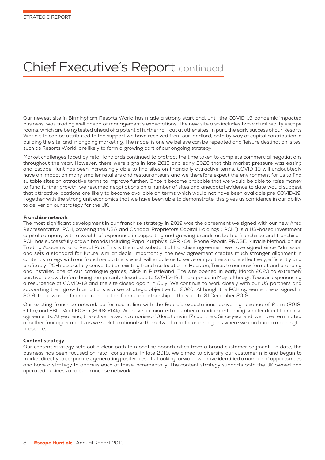# Chief Executive's Report continued

Our newest site in Birmingham Resorts World has made a strong start and, until the COVID-19 pandemic impacted business, was trading well ahead of management's expectations. The new site also includes two virtual reality escape rooms, which are being tested ahead of a potential further roll-out at other sites. In part, the early success of our Resorts World site can be attributed to the support we have received from our landlord, both by way of capital contribution in building the site, and in ongoing marketing. The model is one we believe can be repeated and 'leisure destination' sites, such as Resorts World, are likely to form a growing part of our ongoing strategy.

Market challenges faced by retail landlords continued to protract the time taken to complete commercial negotiations throughout the year. However, there were signs in late 2019 and early 2020 that this market pressure was easing and Escape Hunt has been increasingly able to find sites on financially attractive terms. COVID-19 will undoubtedly have an impact on many smaller retailers and restauranteurs and we therefore expect the environment for us to find suitable sites on attractive terms to improve further. Once it became probable that we would be able to raise money to fund further growth, we resumed negotiations on a number of sites and anecdotal evidence to date would suggest that attractive locations are likely to become available on terms which would not have been available pre COVID-19. Together with the strong unit economics that we have been able to demonstrate, this gives us confidence in our ability to deliver on our strategy for the UK.

#### Franchise network

The most significant development in our franchise strategy in 2019 was the agreement we signed with our new Area Representative, PCH, covering the USA and Canada. Proprietors Capital Holdings ("PCH") is a US-based investment capital company with a wealth of experience in supporting and growing brands as both a franchisee and franchisor. PCH has successfully grown brands including Papa Murphy's, CPR -Cell Phone Repair, PROSE, Miracle Method, online Trading Academy, and Pedal Pub. This is the most substantial franchise agreement we have signed since Admission and sets a standard for future, similar deals. Importantly, the new agreement creates much stronger alignment in content strategy with our franchise partners which will enable us to serve our partners more effectively, efficiently and profitably. PCH successfully converted an existing franchise location in Houston, Texas to our new format and branding and installed one of our catalogue games, Alice in Puzzleland. The site opened in early March 2020 to extremely positive reviews before being temporarily closed due to COVID-19. It re-opened in May, although Texas is experiencing a resurgence of COVID-19 and the site closed again in July. We continue to work closely with our US partners and supporting their growth ambitions is a key strategic objective for 2020. Although the PCH agreement was signed in 2019, there was no financial contribution from the partnership in the year to 31 December 2019.

Our existing franchise network performed in line with the Board's expectations, delivering revenue of £1.1m (2018: £1.1m) and EBITDA of £0.3m (2018: £14k). We have terminated a number of under-performing smaller direct franchise agreements. At year end, the active network comprised 40 locations in 17 countries. Since year end, we have terminated a further four agreements as we seek to rationalise the network and focus on regions where we can build a meaningful presence.

#### Content strategy

Our content strategy sets out a clear path to monetise opportunities from a broad customer segment. To date, the business has been focused on retail consumers. In late 2019, we aimed to diversify our customer mix and began to market directly to corporates, generating positive results. Looking forward, we have identified a number of opportunities and have a strategy to address each of these incrementally. The content strategy supports both the UK owned and operated business and our franchise network.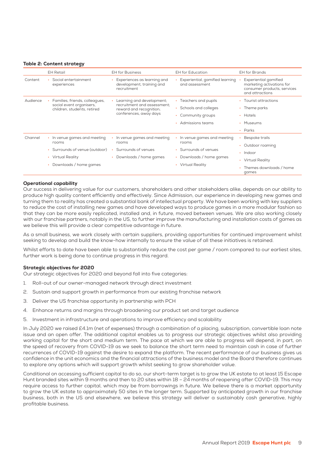#### Table 2: Content strategy

|          | <b>EH Retail</b>                                        | <b>EH</b> for Business                                                  | <b>EH</b> for Education                           | <b>EH</b> for Brands                                                                                 |
|----------|---------------------------------------------------------|-------------------------------------------------------------------------|---------------------------------------------------|------------------------------------------------------------------------------------------------------|
| Content  | Social entertainment<br>experiences                     | Experiences as learning and<br>development, training and<br>recruitment | Experiential, gamified learning<br>and assessment | Experiential gamified<br>marketing activations for<br>consumer products, services<br>and attractions |
| Audience | Families, friends, colleagues,                          | Learning and development;                                               | Teachers and pupils                               | Tourist attractions                                                                                  |
|          | social event organisers,<br>children, students, retired | recruitment and assessment:<br>reward and recognition;                  | Schools and colleges                              | Theme parks                                                                                          |
|          | conferences, away days                                  | Community groups                                                        | • Hotels                                          |                                                                                                      |
|          |                                                         | Admissions teams                                                        | • Museums                                         |                                                                                                      |
|          |                                                         |                                                                         |                                                   | Parks<br>$\bullet$                                                                                   |
| Channel  | In venue games and meeting                              | In venue games and meeting                                              | In venue games and meeting                        | Bespoke trails                                                                                       |
|          | rooms                                                   | rooms                                                                   | rooms                                             | Outdoor roaming<br>$\bullet$                                                                         |
|          | • Surrounds of venue (outdoor)                          | Surrounds of venues                                                     | Surrounds of venues                               | Indoor<br>٠                                                                                          |
|          | • Virtual Reality                                       | Downloads / home games                                                  | Downloads / home games                            | <b>Virtual Reality</b>                                                                               |
|          | Downloads / home games                                  |                                                                         | <b>Virtual Reality</b>                            |                                                                                                      |
|          |                                                         |                                                                         |                                                   | Themes downloads / home<br>games                                                                     |

#### Operational capability

Our success in delivering value for our customers, shareholders and other stakeholders alike, depends on our ability to produce high quality content efficiently and effectively. Since Admission, our experience in developing new games and turning them to reality has created a substantial bank of intellectual property. We have been working with key suppliers to reduce the cost of installing new games and have developed ways to produce games in a more modular fashion so that they can be more easily replicated, installed and, in future, moved between venues. We are also working closely with our franchise partners, notably in the US, to further improve the manufacturing and installation costs of games as we believe this will provide a clear competitive advantage in future.

As a small business, we work closely with certain suppliers, providing opportunities for continued improvement whilst seeking to develop and build the know-how internally to ensure the value of all these initiatives is retained.

Whilst efforts to date have been able to substantially reduce the cost per game / room compared to our earliest sites, further work is being done to continue progress in this regard.

#### Strategic objectives for 2020

Our strategic objectives for 2020 and beyond fall into five categories:

- 1. Roll-out of our owner-managed network through direct investment
- 2. Sustain and support growth in performance from our existing franchise network
- 3. Deliver the US franchise opportunity in partnership with PCH
- 4. Enhance returns and margins through broadening our product set and target audience
- 5. Investment in infrastructure and operations to improve efficiency and scalability

In July 2020 we raised £4.1m (net of expenses) through a combination of a placing, subscription, convertible loan note issue and an open offer. The additional capital enables us to progress our strategic objectives whilst also providing working capital for the short and medium term. The pace at which we are able to progress will depend, in part, on the speed of recovery from COVID-19 as we seek to balance the short term need to maintain cash in case of further recurrences of COVID-19 against the desire to expand the platform. The recent performance of our business gives us confidence in the unit economics and the financial attractions of the business model and the Board therefore continues to explore any options which will support growth whilst seeking to grow shareholder value.

Conditional on accessing sufficient capital to do so, our short-term target is to grow the UK estate to at least 15 Escape Hunt branded sites within 9 months and then to 20 sites within 18 – 24 months of reopening after COVID-19. This may require access to further capital, which may be from borrowings in future. We believe there is a market opportunity to grow the UK estate to approximately 50 sites in the longer term. Supported by anticipated growth in our franchise business, both in the US and elsewhere, we believe this strategy will deliver a sustainably cash generative, highly profitable business.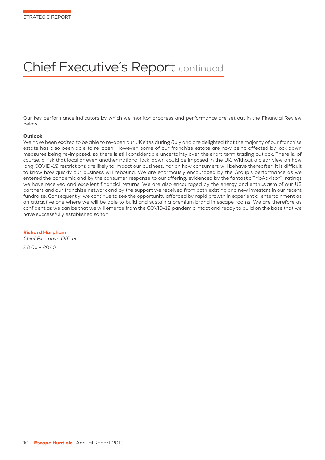# Chief Executive's Report continued

Our key performance indicators by which we monitor progress and performance are set out in the Financial Review below.

#### Outlook

We have been excited to be able to re-open our UK sites during July and are delighted that the majority of our franchise estate has also been able to re-open. However, some of our franchise estate are now being affected by lock down measures being re-imposed, so there is still considerable uncertainty over the short term trading outlook. There is, of course, a risk that local or even another national lock-down could be imposed in the UK. Without a clear view on how long COVID-19 restrictions are likely to impact our business, nor on how consumers will behave thereafter, it is difficult to know how quickly our business will rebound. We are enormously encouraged by the Group's performance as we entered the pandemic and by the consumer response to our offering, evidenced by the fantastic TripAdvisor™ ratings we have received and excellent financial returns. We are also encouraged by the energy and enthusiasm of our US partners and our franchise network and by the support we received from both existing and new investors in our recent fundraise. Consequently, we continue to see the opportunity afforded by rapid growth in experiential entertainment as an attractive one where we will be able to build and sustain a premium brand in escape rooms. We are therefore as confident as we can be that we will emerge from the COVID-19 pandemic intact and ready to build on the base that we have successfully established so far.

#### Richard Harpham

Chief Executive Officer

28 July 2020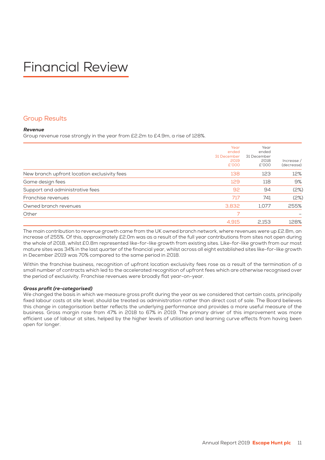## Financial Review

### Group Results

#### Revenue

Group revenue rose strongly in the year from £2.2m to £4.9m, a rise of 128%.

|                                              | Year<br>ended<br>31 December<br>2019<br>£'000 | Year<br>ended<br>31 December<br>2018<br>£'000 | Increase /<br>(decrease) |
|----------------------------------------------|-----------------------------------------------|-----------------------------------------------|--------------------------|
| New branch upfront location exclusivity fees | 138                                           | 123                                           | 12%                      |
| Game design fees                             | 129                                           | 118                                           | 9%                       |
| Support and administrative fees              | 92                                            | 94                                            | (2%)                     |
| Franchise revenues                           | 717                                           | 741                                           | (2%)                     |
| Owned branch revenues                        | 3,832                                         | 1,077                                         | 255%                     |
| Other                                        |                                               |                                               |                          |
|                                              | 4.915                                         | 2,153                                         | 128%                     |

The main contribution to revenue growth came from the UK owned branch network, where revenues were up £2.8m, an increase of 255%. Of this, approximately £2.0m was as a result of the full year contributions from sites not open during the whole of 2018, whilst £0.8m represented like-for-like growth from existing sites. Like-for-like growth from our most mature sites was 34% in the last quarter of the financial year, whilst across all eight established sites like-for-like growth in December 2019 was 70% compared to the same period in 2018.

Within the franchise business, recognition of upfront location exclusivity fees rose as a result of the termination of a small number of contracts which led to the accelerated recognition of upfront fees which are otherwise recognised over the period of exclusivity. Franchise revenues were broadly flat year-on-year.

#### Gross profit (re-categorised)

We changed the basis in which we measure gross profit during the year as we considered that certain costs, principally fixed labour costs at site level, should be treated as administration rather than direct cost of sale. The Board believes this change in categorisation better reflects the underlying performance and provides a more useful measure of the business. Gross margin rose from 47% in 2018 to 67% in 2019. The primary driver of this improvement was more efficient use of labour at sites, helped by the higher levels of utilisation and learning curve effects from having been open for longer.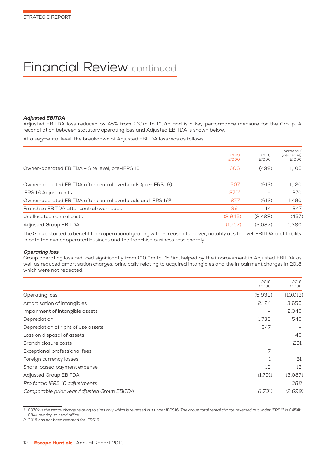### Financial Review continued

#### Adjusted EBITDA

Adjusted EBITDA loss reduced by 45% from £3.1m to £1.7m and is a key performance measure for the Group. A reconciliation between statutory operating loss and Adjusted EBITDA is shown below.

At a segmental level, the breakdown of Adjusted EBITDA loss was as follows:

|                                                                        | 2019<br>£'000    | 2018<br>£'000 | Increase /<br>(decrease)<br>£'000 |
|------------------------------------------------------------------------|------------------|---------------|-----------------------------------|
| Owner-operated EBITDA - Site level, pre-IFRS 16                        | 606              | (499)         | 1,105                             |
|                                                                        |                  |               |                                   |
| Owner-operated EBITDA after central overheads (pre-IFRS 16)            | 507              | (613)         | 1,120                             |
| <b>IFRS 16 Adjustments</b>                                             | 370 <sup>1</sup> |               | 370                               |
| Owner-operated EBITDA after central overheads and IFRS 16 <sup>2</sup> | 877              | (613)         | 1,490                             |
| Franchise EBITDA after central overheads                               | 361              | 14            | 347                               |
| Unallocated central costs                                              | (2.945)          | (2,488)       | (457)                             |
| <b>Adjusted Group EBITDA</b>                                           | (1.707)          | (3,087)       | 1,380                             |
|                                                                        |                  |               |                                   |

The Group started to benefit from operational gearing with increased turnover, notably at site level. EBITDA profitability in both the owner operated business and the franchise business rose sharply.

#### Operating loss

Group operating loss reduced significantly from £10.0m to £5.9m, helped by the improvement in Adjusted EBITDA as well as reduced amortisation charges, principally relating to acquired intangibles and the impairment charges in 2018 which were not repeated.

|                                             | 2019<br>£'000 | 2018<br>£'000 |
|---------------------------------------------|---------------|---------------|
| Operating loss                              | (5,932)       | (10, 012)     |
| Amortisation of intangibles                 | 2,124         | 3,656         |
| Impairment of intangible assets             |               | 2,345         |
| Depreciation                                | 1,733         | 545           |
| Depreciation of right of use assets         | 347           |               |
| Loss on disposal of assets                  |               | 45            |
| Branch closure costs                        |               | 291           |
| Exceptional professional fees               | 7             |               |
| Foreign currency losses                     |               | 31            |
| Share-based payment expense                 | 12            | 12            |
| <b>Adjusted Group EBITDA</b>                | (1,701)       | (3,087)       |
| Pro forma IFRS 16 adjustments               |               | 388           |
| Comparable prior year Adjusted Group EBITDA | (1,701)       | (2,699)       |

<sup>1 £370</sup>k is the rental charge relating to sites only which is reversed out under IFRS16. The group total rental charge reversed out under IFRS16 is £454k, £84k relating to head office.

<sup>2 2018</sup> has not been restated for IFRS16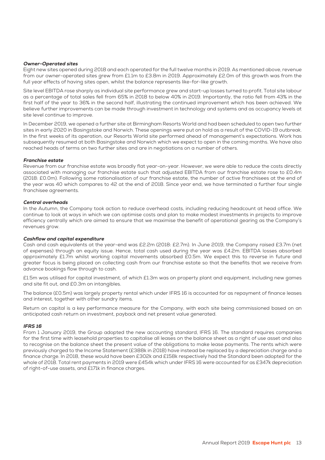#### Owner-Operated sites

Eight new sites opened during 2018 and each operated for the full twelve months in 2019. As mentioned above, revenue from our owner-operated sites grew from £1.1m to £3.8m in 2019. Approximately £2.0m of this growth was from the full year effects of having sites open, whilst the balance represents like-for-like growth.

Site level EBITDA rose sharply as individual site performance grew and start-up losses turned to profit. Total site labour as a percentage of total sales fell from 65% in 2018 to below 40% in 2019. Importantly, the ratio fell from 43% in the first half of the year to 36% in the second half, illustrating the continued improvement which has been achieved. We believe further improvements can be made through investment in technology and systems and as occupancy levels at site level continue to improve.

In December 2019, we opened a further site at Birmingham Resorts World and had been scheduled to open two further sites in early 2020 in Basingstoke and Norwich. These openings were put on hold as a result of the COVID-19 outbreak. In the first weeks of its operation, our Resorts World site performed ahead of management's expectations. Work has subsequently resumed at both Basingstoke and Norwich which we expect to open in the coming months. We have also reached heads of terms on two further sites and are in negotiations on a number of others.

#### Franchise estate

Revenue from our franchise estate was broadly flat year-on-year. However, we were able to reduce the costs directly associated with managing our franchise estate such that adjusted EBITDA from our franchise estate rose to £0.4m (2018: £0.0m). Following some rationalisation of our franchise estate, the number of active franchisees at the end of the year was 40 which compares to 42 at the end of 2018. Since year end, we have terminated a further four single franchisee agreements.

#### Central overheads

In the Autumn, the Company took action to reduce overhead costs, including reducing headcount at head office. We continue to look at ways in which we can optimise costs and plan to make modest investments in projects to improve efficiency centrally which are aimed to ensure that we maximise the benefit of operational gearing as the Company's revenues grow.

#### Cashflow and capital expenditure

Cash and cash equivalents at the year-end was £2.2m (2018: £2.7m). In June 2019, the Company raised £3.7m (net of expenses) through an equity issue. Hence, total cash used during the year was £4.2m. EBITDA losses absorbed approximately £1.7m whilst working capital movements absorbed £0.5m. We expect this to reverse in future and greater focus is being placed on collecting cash from our franchise estate so that the benefits that we receive from advance bookings flow through to cash.

£1.5m was utilised for capital investment, of which £1.3m was on property plant and equipment, including new games and site fit out, and £0.3m on intangibles.

The balance (£0.5m) was largely property rental which under IFRS 16 is accounted for as repayment of finance leases and interest, together with other sundry items.

Return on capital is a key performance measure for the Company, with each site being commissioned based on an anticipated cash return on investment, payback and net present value generated.

#### IFRS 16

From 1 January 2019, the Group adopted the new accounting standard, IFRS 16. The standard requires companies for the first time with leasehold properties to capitalise all leases on the balance sheet as a right of use asset and also to recognise on the balance sheet the present value of the obligations to make lease payments. The rents which were previously charged to the Income Statement (£388k in 2018) have instead be replaced by a depreciation charge and a finance charge. In 2018, these would have been £302k and £158k respectively had the Standard been adopted for the whole of 2018. Total rent payments in 2019 were £454k which under IFRS 16 were accounted for as £347k depreciation of right-of-use assets, and £171k in finance charges.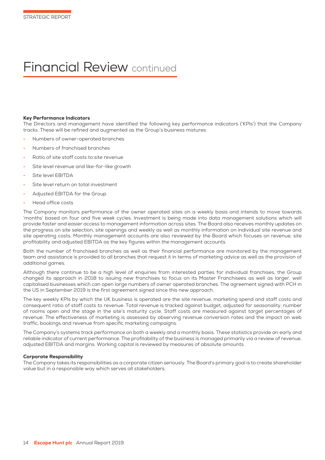### Financial Review continued

#### Key Performance Indicators

The Directors and management have identified the following key performance indicators ('KPIs') that the Company tracks. These will be refined and augmented as the Group's business matures:

- Numbers of owner-operated branches
- Numbers of franchised branches
- Ratio of site staff costs to site revenue
- Site level revenue and like-for-like growth
- Site level EBITDA
- Site level return on total investment
- Adjusted EBITDA for the Group
- Head office costs

The Company monitors performance of the owner operated sites on a weekly basis and intends to move towards 'months' based on four and five week cycles. Investment is being made into data management solutions which will provide faster and easier access to management information across sites. The Board also receives monthly updates on the progress on site selection, site openings and weekly as well as monthly information on individual site revenue and site operating costs. Monthly management accounts are also reviewed by the Board which focuses on revenue, site profitability and adjusted EBITDA as the key figures within the management accounts.

Both the number of franchised branches as well as their financial performance are monitored by the management team and assistance is provided to all branches that request it in terms of marketing advice as well as the provision of additional games.

Although there continue to be a high level of enquiries from interested parties for individual franchises, the Group changed its approach in 2018 to issuing new franchises to focus on its Master Franchisees as well as larger, well capitalised businesses which can open large numbers of owner operated branches. The agreement signed with PCH in the US in September 2019 is the first agreement signed since this new approach.

The key weekly KPIs by which the UK business is operated are the site revenue, marketing spend and staff costs and consequent ratio of staff costs to revenue. Total revenue is tracked against budget, adjusted for seasonality, number of rooms open and the stage in the site's maturity cycle. Staff costs are measured against target percentages of revenue. The effectiveness of marketing is assessed by observing revenue conversion rates and the impact on web traffic, bookings and revenue from specific marketing campaigns.

The Company's systems track performance on both a weekly and a monthly basis. These statistics provide an early and reliable indicator of current performance. The profitability of the business is managed primarily via a review of revenue, adjusted EBITDA and margins. Working capital is reviewed by measures of absolute amounts.

#### Corporate Responsibility

The Company takes its responsibilities as a corporate citizen seriously. The Board's primary goal is to create shareholder value but in a responsible way which serves all stakeholders.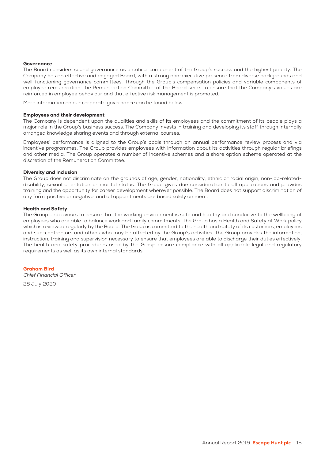#### Governance

The Board considers sound governance as a critical component of the Group's success and the highest priority. The Company has an effective and engaged Board, with a strong non-executive presence from diverse backgrounds and well-functioning governance committees. Through the Group's compensation policies and variable components of employee remuneration, the Remuneration Committee of the Board seeks to ensure that the Company's values are reinforced in employee behaviour and that effective risk management is promoted.

More information on our corporate governance can be found below.

#### Employees and their development

The Company is dependent upon the qualities and skills of its employees and the commitment of its people plays a major role in the Group's business success. The Company invests in training and developing its staff through internally arranged knowledge sharing events and through external courses.

Employees' performance is aligned to the Group's goals through an annual performance review process and via incentive programmes. The Group provides employees with information about its activities through regular briefings and other media. The Group operates a number of incentive schemes and a share option scheme operated at the discretion of the Remuneration Committee.

#### Diversity and inclusion

The Group does not discriminate on the grounds of age, gender, nationality, ethnic or racial origin, non-job-relateddisability, sexual orientation or marital status. The Group gives due consideration to all applications and provides training and the opportunity for career development wherever possible. The Board does not support discrimination of any form, positive or negative, and all appointments are based solely on merit.

#### Health and Safety

The Group endeavours to ensure that the working environment is safe and healthy and conducive to the wellbeing of employees who are able to balance work and family commitments. The Group has a Health and Safety at Work policy which is reviewed regularly by the Board. The Group is committed to the health and safety of its customers, employees and sub-contractors and others who may be affected by the Group's activities. The Group provides the information, instruction, training and supervision necessary to ensure that employees are able to discharge their duties effectively. The health and safety procedures used by the Group ensure compliance with all applicable legal and regulatory requirements as well as its own internal standards.

Graham Bird Chief Financial Officer

28 July 2020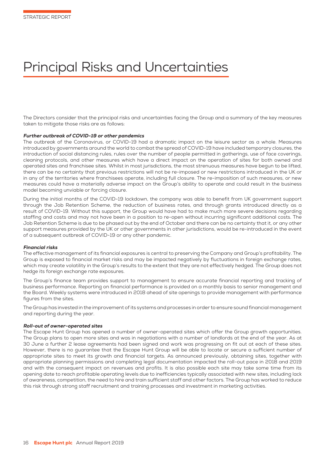# Principal Risks and Uncertainties

The Directors consider that the principal risks and uncertainties facing the Group and a summary of the key measures taken to mitigate those risks are as follows:

#### Further outbreak of COVID-19 or other pandemics

The outbreak of the Coronavirus, or COVID-19 had a dramatic impact on the leisure sector as a whole. Measures introduced by governments around the world to combat the spread of COVID-19 have included temporary closures, the introduction of social distancing rules, rules over the number of people permitted in gatherings, use of face coverings, cleaning protocols, and other measures which have a direct impact on the operation of sites for both owned and operated sites and franchisee sites. Whilst in most jurisdictions, the most strenuous measures have begun to be lifted, there can be no certainty that previous restrictions will not be re-imposed or new restrictions introduced in the UK or in any of the territories where franchisees operate, including full closure. The re-imposition of such measures, or new measures could have a materially adverse impact on the Group's ability to operate and could result in the business model becoming unviable or forcing closure.

During the initial months of the COVID-19 lockdown, the company was able to benefit from UK government support through the Job Retention Scheme, the reduction of business rates, and through grants introduced directly as a result of COVID-19. Without this support, the Group would have had to make much more severe decisions regarding staffing and costs and may not have been in a position to re-open without incurring significant additional costs. The Job Retention Scheme is due to be phased out by the end of October and there can be no certainty that it, or any other support measures provided by the UK or other governments in other jurisdictions, would be re-introduced in the event of a subsequent outbreak of COVID-19 or any other pandemic.

#### Financial risks

The effective management of its financial exposures is central to preserving the Company and Group's profitability. The Group is exposed to financial market risks and may be impacted negatively by fluctuations in foreign exchange rates, which may create volatility in the Group's results to the extent that they are not effectively hedged. The Group does not hedge its foreign exchange rate exposures.

The Group's finance team provides support to management to ensure accurate financial reporting and tracking of business performance. Reporting on financial performance is provided on a monthly basis to senior management and the Board. Weekly systems were introduced in 2018 ahead of site openings to provide management with performance figures from the sites.

The Group has invested in the improvement of its systems and processes in order to ensure sound financial management and reporting during the year.

#### Roll-out of owner-operated sites

The Escape Hunt Group has opened a number of owner-operated sites which offer the Group growth opportunities. The Group plans to open more sites and was in negotiations with a number of landlords at the end of the year. As at 30 June a further 2 lease agreements had been signed and work was progressing on fit out at each of these sites. However, there is no guarantee that the Escape Hunt Group will be able to locate or secure a sufficient number of appropriate sites to meet its growth and financial targets. As announced previously, obtaining sites, together with appropriate planning permissions and completing legal documentation impacted the roll-out pace in 2018 and 2019 and with the consequent impact on revenues and profits. It is also possible each site may take some time from its opening date to reach profitable operating levels due to inefficiencies typically associated with new sites, including lack of awareness, competition, the need to hire and train sufficient staff and other factors. The Group has worked to reduce this risk through strong staff recruitment and training processes and investment in marketing activities.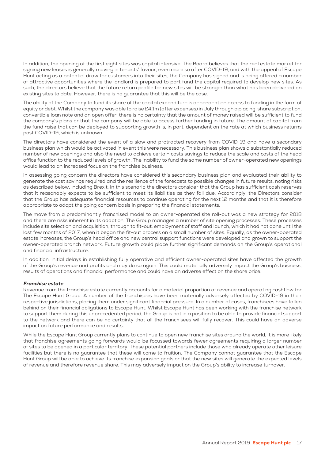In addition, the opening of the first eight sites was capital intensive. The Board believes that the real estate market for signing new leases is generally moving in tenants' favour, even more so after COVID-19, and with the appeal of Escape Hunt acting as a potential draw for customers into their sites, the Company has signed and is being offered a number of attractive opportunities where the landlord is prepared to part fund the capital required to develop new sites. As such, the directors believe that the future return profile for new sites will be stronger than what has been delivered on existing sites to date. However, there is no guarantee that this will be the case.

The ability of the Company to fund its share of the capital expenditure is dependent on access to funding in the form of equity or debt. Whilst the company was able to raise £4.1m (after expenses) in July through a placing, share subscription, convertible loan note and an open offer, there is no certainty that the amount of money raised will be sufficient to fund the company's plans or that the company will be able to access further funding in future. The amount of capital from the fund raise that can be deployed to supporting growth is, in part, dependent on the rate at which business returns post COVID-19, which is unknown.

The directors have considered the event of a slow and protracted recovery from COVID-19 and have a secondary business plan which would be activated in event this were necessary. This business plan shows a substantially reduced number of new openings and also the need to achieve certain costs savings to reduce the scale and costs of the head office function to the reduced levels of growth. The inability to fund the same number of owner-operated new openings would lead to an increased focus on the franchise business.

In assessing going concern the directors have considered this secondary business plan and evaluated their ability to generate the cost savings required and the resilience of the forecasts to possible changes in future results, noting risks as described below, including Brexit. In this scenario the directors consider that the Group has sufficient cash reserves that it reasonably expects to be sufficient to meet its liabilities as they fall due. Accordingly, the Directors consider that the Group has adequate financial resources to continue operating for the next 12 months and that it is therefore appropriate to adopt the going concern basis in preparing the financial statements.

The move from a predominantly franchised model to an owner-operated site roll-out was a new strategy for 2018 and there are risks inherent in its adoption. The Group manages a number of site opening processes. These processes include site selection and acquisition, through to fit-out, employment of staff and launch, which it had not done until the last few months of 2017, when it began the fit-out process on a small number of sites. Equally, as the owner-operated estate increases, the Group's head office and new central support functions were developed and grown to support the owner-operated branch network. Future growth could place further significant demands on the Group's operational and financial infrastructure.

In addition, initial delays in establishing fully operative and efficient owner-operated sites have affected the growth of the Group's revenue and profits and may do so again. This could materially adversely impact the Group's business, results of operations and financial performance and could have an adverse effect on the share price.

#### Franchise estate

Revenue from the franchise estate currently accounts for a material proportion of revenue and operating cashflow for The Escape Hunt Group. A number of the franchisees have been materially adversely affected by COVID-19 in their respective jurisdictions, placing them under significant financial pressure. In a number of cases, franchisees have fallen behind on their financial obligations to Escape Hunt. Whilst Escape Hunt has been working with the franchise network to support them during this unprecedented period, the Group is not in a position to be able to provide financial support to the network and there can be no certainty that all the franchisees will fully recover. This could have an adverse impact on future performance and results.

While the Escape Hunt Group currently plans to continue to open new franchise sites around the world, it is more likely that franchise agreements going forwards would be focussed towards fewer agreements requiring a larger number of sites to be opened in a particular territory. These potential partners include those who already operate other leisure facilities but there is no guarantee that these will come to fruition. The Company cannot guarantee that the Escape Hunt Group will be able to achieve its franchise expansion goals or that the new sites will generate the expected levels of revenue and therefore revenue share. This may adversely impact on the Group's ability to increase turnover.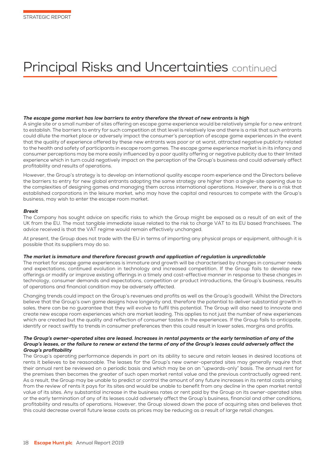# Principal Risks and Uncertainties continued

#### The escape game market has low barriers to entry therefore the threat of new entrants is high

A single site or a small number of sites offering an escape game experience would be relatively simple for a new entrant to establish. The barriers to entry for such competition at that level is relatively low and there is a risk that such entrants could dilute the market place or adversely impact the consumer's perception of escape game experiences in the event that the quality of experience offered by these new entrants was poor or at worst, attracted negative publicity related to the health and safety of participants in escape room games. The escape game experience market is in its infancy and consumer perceptions may be more easily influenced by a poor quality offering or negative publicity due to their limited experience which in turn could negatively impact on the perception of the Group's business and could adversely affect profitability and results of operations.

However, the Group's strategy is to develop an international quality escape room experience and the Directors believe the barriers to entry for new global entrants adopting the same strategy are higher than a single-site opening due to the complexities of designing games and managing them across international operations. However, there is a risk that established corporations in the leisure market, who may have the capital and resources to compete with the Group's business, may wish to enter the escape room market.

#### Brexit

The Company has sought advice on specific risks to which the Group might be exposed as a result of an exit of the UK from the EU. The most tangible immediate issue related to the risk to charge VAT to its EU based franchisees. The advice received is that the VAT regime would remain effectively unchanged.

At present, the Group does not trade with the EU in terms of importing any physical props or equipment, although it is possible that its suppliers may do so.

#### The market is immature and therefore forecast growth and application of regulation is unpredictable

The market for escape game experiences is immature and growth will be characterised by changes in consumer needs and expectations, continued evolution in technology and increased competition. If the Group fails to develop new offerings or modify or improve existing offerings in a timely and cost-effective manner in response to these changes in technology, consumer demands and expectations, competition or product introductions, the Group's business, results of operations and financial condition may be adversely affected.

Changing trends could impact on the Group's revenues and profits as well as the Group's goodwill. Whilst the Directors believe that the Group's own game designs have longevity and, therefore the potential to deliver substantial growth in sales, there can be no guarantee that they will evolve to fulfil this potential. The Group will also need to innovate and create new escape room experiences which are market leading. This applies to not just the number of new experiences which are created but the quality and reflection of consumer tastes in the experiences. If the Group fails to anticipate, identify or react swiftly to trends in consumer preferences then this could result in lower sales, margins and profits.

#### The Group's owner-operated sites are leased. Increases in rental payments or the early termination of any of the Group's leases, or the failure to renew or extend the terms of any of the Group's leases could adversely affect the Group's profitability

The Group's operating performance depends in part on its ability to secure and retain leases in desired locations at rents it believes to be reasonable. The leases for the Group's new owner-operated sites may generally require that their annual rent be reviewed on a periodic basis and which may be on an "upwards-only" basis. The annual rent for the premises then becomes the greater of such open market rental value and the previous contractually agreed rent. As a result, the Group may be unable to predict or control the amount of any future increases in its rental costs arising from the review of rents it pays for its sites and would be unable to benefit from any decline in the open market rental value of its sites. Any substantial increase in the business rates or rent paid by the Group on its owner-operated sites or the early termination of any of its leases could adversely affect the Group's business, financial and other conditions, profitability and results of operations. However, the Group slowed down the pace of acquiring sites and believes that this could decrease overall future lease costs as prices may be reducing as a result of large retail changes.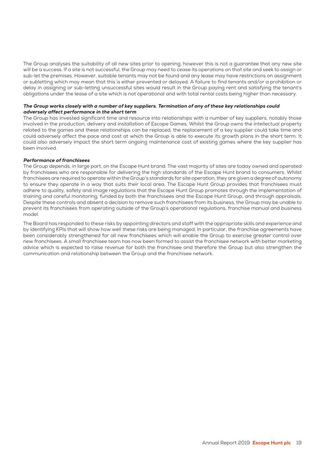The Group analyses the suitability of all new sites prior to opening, however this is not a guarantee that any new site will be a success. If a site is not successful, the Group may need to cease its operations on that site and seek to assign or sub-let the premises. However, suitable tenants may not be found and any lease may have restrictions on assignment or subletting which may mean that this is either prevented or delayed. A failure to find tenants and/or a prohibition or delay in assigning or sub-letting unsuccessful sites would result in the Group paying rent and satisfying the tenant's obligations under the lease of a site which is not operational and with total rental costs being higher than necessary.

#### The Group works closely with a number of key suppliers. Termination of any of these key relationships could adversely affect performance in the short term

The Group has invested significant time and resource into relationships with a number of key suppliers, notably those involved in the production, delivery and installation of Escape Games. Whilst the Group owns the intellectual property related to the games and these relationships can be replaced, the replacement of a key supplier could take time and could adversely affect the pace and cost at which the Group is able to execute its growth plans in the short term. It could also adversely impact the short term ongoing maintenance cost of existing games where the key supplier has been involved.

#### Performance of franchisees

The Group depends, in large part, on the Escape Hunt brand. The vast majority of sites are today owned and operated by franchisees who are responsible for delivering the high standards of the Escape Hunt brand to consumers. Whilst franchisees are required to operate within the Group's standards for site operation, they are given a degree of autonomy to ensure they operate in a way that suits their local area. The Escape Hunt Group provides that franchisees must adhere to quality, safety and image regulations that the Escape Hunt Group promotes through the implementation of training and careful monitoring, funded by both the franchisees and the Escape Hunt Group, and through appraisals. Despite these controls and absent a decision to remove such franchisees from its business, the Group may be unable to prevent its franchisees from operating outside of the Group's operational regulations, franchise manual and business model.

The Board has responded to these risks by appointing directors and staff with the appropriate skills and experience and by identifying KPIs that will show how well these risks are being managed. In particular, the franchise agreements have been considerably strengthened for all new franchisees which will enable the Group to exercise greater control over new franchisees. A small franchisee team has now been formed to assist the franchisee network with better marketing advice which is expected to raise revenue for both the franchisee and therefore the Group but also strengthen the communication and relationship between the Group and the franchisee network.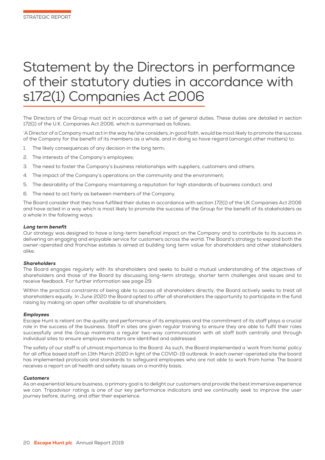### Statement by the Directors in performance of their statutory duties in accordance with s172(1) Companies Act 2006

The Directors of the Group must act in accordance with a set of general duties. These duties are detailed in section 172(1) of the U.K. Companies Act 2006, which is summarised as follows:

'A Director of a Company must act in the way he/she considers, in good faith, would be most likely to promote the success of the Company for the benefit of its members as a whole, and in doing so have regard (amongst other matters) to:

- 1. The likely consequences of any decision in the long term;
- 2. The interests of the Company's employees;
- 3. The need to foster the Company's business relationships with suppliers, customers and others;
- 4. The impact of the Company's operations on the community and the environment;
- 5. The desirability of the Company maintaining a reputation for high standards of business conduct; and
- 6. The need to act fairly as between members of the Company.

The Board consider that they have fulfilled their duties in accordance with section 172(1) of the UK Companies Act 2006 and have acted in a way which is most likely to promote the success of the Group for the benefit of its stakeholders as a whole in the following ways:

#### Long term benefit

Our strategy was designed to have a long-term beneficial impact on the Company and to contribute to its success in delivering an engaging and enjoyable service for customers across the world. The Board's strategy to expand both the owner-operated and franchise estates is aimed at building long term value for shareholders and other stakeholders alike.

#### **Shareholders**

The Board engages regularly with its shareholders and seeks to build a mutual understanding of the objectives of shareholders and those of the Board by discussing long-term strategy, shorter term challenges and issues and to receive feedback. For further information see page 29.

Within the practical constraints of being able to access all shareholders directly, the Board actively seeks to treat all shareholders equally. In June 2020 the Board opted to offer all shareholders the opportunity to participate in the fund raising by making an open offer available to all shareholders.

#### Employees

Escape Hunt is reliant on the quality and performance of its employees and the commitment of its staff plays a crucial role in the success of the business. Staff in sites are given regular training to ensure they are able to fulfil their roles successfully and the Group maintains a regular two-way communication with all staff both centrally and through individual sites to ensure employee matters are identified and addressed.

The safety of our staff is of utmost importance to the Board. As such, the Board implemented a 'work from home' policy for all office based staff on 13th March 2020 in light of the COVID-19 outbreak. In each owner-operated site the board has implemented protocols and standards to safeguard employees who are not able to work from home. The board receives a report on all health and safety issues on a monthly basis.

#### **Customers**

As an experiential leisure business, a primary goal is to delight our customers and provide the best immersive experience we can. Tripadvisor ratings is one of our key performance indicators and we continually seek to improve the user journey before, during, and after their experience.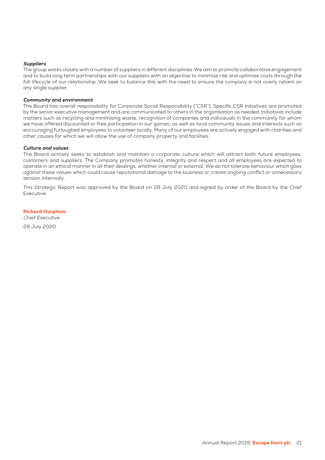#### **Suppliers**

The group works closely with a number of suppliers in different disciplines. We aim to promote collaborative engagement and to build long term partnerships with our suppliers with an objective to minimise risk and optimise costs through the full lifecycle of our relationship. We seek to balance this with the need to ensure the company is not overly reliant on any single supplier.

#### Community and environment

The Board has overall responsibility for Corporate Social Responsibility ("CSR"). Specific CSR initiatives are promoted by the senior executive management and are communicated to others in the organisation as needed. Initiatives include matters such as recycling and minimising waste, recognition of companies and individuals in the community for whom we have offered discounted or free participation in our games, as well as local community issues and interests such as encouraging furloughed employees to volunteer locally. Many of our employees are actively engaged with charities and other causes for which we will allow the use of company property and facilities.

#### Culture and values

The Board actively seeks to establish and maintain a corporate culture which will attract both future employees, customers and suppliers. The Company promotes honesty, integrity and respect and all employees are expected to operate in an ethical manner in all their dealings, whether internal or external. We do not tolerate behaviour which goes against these values which could cause reputational damage to the business or create ongoing conflict or unnecessary tension internally.

This Strategic Report was approved by the Board on 28 July 2020 and signed by order of the Board by the Chief Executive.

#### Richard Harpham Chief Executive

28 July 2020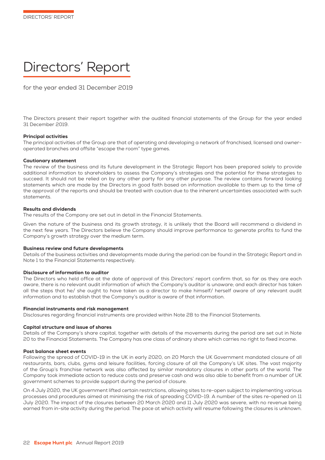## Directors' Report

for the year ended 31 December 2019

The Directors present their report together with the audited financial statements of the Group for the year ended 31 December 2019.

#### Principal activities

The principal activities of the Group are that of operating and developing a network of franchised, licensed and owneroperated branches and offsite "escape the room" type games.

#### Cautionary statement

The review of the business and its future development in the Strategic Report has been prepared solely to provide additional information to shareholders to assess the Company's strategies and the potential for these strategies to succeed. It should not be relied on by any other party for any other purpose. The review contains forward looking statements which are made by the Directors in good faith based on information available to them up to the time of the approval of the reports and should be treated with caution due to the inherent uncertainties associated with such statements.

#### Results and dividends

The results of the Company are set out in detail in the Financial Statements.

Given the nature of the business and its growth strategy, it is unlikely that the Board will recommend a dividend in the next few years. The Directors believe the Company should improve performance to generate profits to fund the Company's growth strategy over the medium term.

#### Business review and future developments

Details of the business activities and developments made during the period can be found in the Strategic Report and in Note 1 to the Financial Statements respectively.

#### Disclosure of information to auditor

The Directors who held office at the date of approval of this Directors' report confirm that, so far as they are each aware, there is no relevant audit information of which the Company's auditor is unaware; and each director has taken all the steps that he/ she ought to have taken as a director to make himself/ herself aware of any relevant audit information and to establish that the Company's auditor is aware of that information.

#### Financial instruments and risk management

Disclosures regarding financial instruments are provided within Note 28 to the Financial Statements.

#### Capital structure and issue of shares

Details of the Company's share capital, together with details of the movements during the period are set out in Note 20 to the Financial Statements. The Company has one class of ordinary share which carries no right to fixed income.

#### Post balance sheet events

Following the spread of COVID-19 in the UK in early 2020, on 20 March the UK Government mandated closure of all restaurants, bars, clubs, gyms and leisure facilities, forcing closure of all the Company's UK sites. The vast majority of the Group's franchise network was also affected by similar mandatory closures in other parts of the world. The Company took immediate action to reduce costs and preserve cash and was also able to benefit from a number of UK government schemes to provide support during the period of closure.

On 4 July 2020, the UK government lifted certain restrictions, allowing sites to re-open subject to implementing various processes and procedures aimed at minimising the risk of spreading COVID-19. A number of the sites re-opened on 11 July 2020. The impact of the closures between 20 March 2020 and 11 July 2020 was severe, with no revenue being earned from in-site activity during the period. The pace at which activity will resume following the closures is unknown.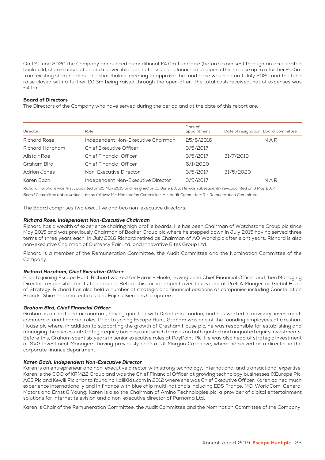On 12 June 2020 the Company announced a conditional £4.0m fundraise (before expenses) through an accelerated bookbuild, share subscription and convertible loan note issue and launched an open offer to raise up to a further £0.5m from existing shareholders. The shareholder meeting to approve the fund raise was held on 1 July 2020 and the fund raise closed with a further £0.3m being raised through the open offer. The total cash received, net of expenses was £4.1m.

#### Board of Directors

The Directors of the Company who have served during the period and at the date of this report are:

| Director            | Role                               | Date of<br>appointment | Date of resignation Board Committee |
|---------------------|------------------------------------|------------------------|-------------------------------------|
| <b>Richard Rose</b> | Independent Non-Executive Chairman | 25/5/2016              | NAR                                 |
| Richard Harpham     | <b>Chief Executive Officer</b>     | 3/5/2017               |                                     |
| Alistair Rae        | <b>Chief Financial Officer</b>     | 3/5/2017               | 31/7/2019                           |
| Graham Bird         | <b>Chief Financial Officer</b>     | 6/1/2020               |                                     |
| Adrian Jones        | Non-Executive Director             | 3/5/2017               | 31/5/2020                           |
| Karen Bach          | Independent Non-Executive Director | 3/5/2017               | NAR                                 |
|                     |                                    |                        |                                     |

Richard Harpham was first appointed on 25 May 2015 and resigned on 15 June 2016. He was subsequently re-appointed on 3 May 2017. Board Committee abbreviations are as follows: N = Nomination Committee; A = Audit Committee; R = Remuneration Committee

The Board comprises two executive and two non-executive directors.

#### Richard Rose, Independent Non-Executive Chairman

Richard has a wealth of experience chairing high profile boards. He has been Chairman of Watchstone Group plc since May 2015 and was previously Chairman of Booker Group plc where he stepped down in July 2015 having served three terms of three years each. In July 2016 Richard retired as Chairman of AO World plc after eight years. Richard is also non-executive Chairman of Currency Fair Ltd, and Innovative Bites Group Ltd.

Richard is a member of the Remuneration Committee, the Audit Committee and the Nomination Committee of the Company.

#### Richard Harpham, Chief Executive Officer

Prior to joining Escape Hunt, Richard worked for Harris + Hoole, having been Chief Financial Officer and then Managing Director, responsible for its turnaround. Before this Richard spent over four years at Pret A Manger as Global Head of Strategy. Richard has also held a number of strategic and financial positions at companies including Constellation Brands, Shire Pharmaceuticals and Fujitsu Siemens Computers.

#### Graham Bird, Chief Financial Officer

Graham is a chartered accountant, having qualified with Deloitte in London, and has worked in advisory, investment, commercial and financial roles. Prior to joining Escape Hunt, Graham was one of the founding employees at Gresham House plc where, in addition to supporting the growth of Gresham House plc, he was responsible for establishing and managing the successful strategic equity business unit which focuses on both quoted and unquoted equity investments. Before this, Graham spent six years in senior executive roles at PayPoint Plc. He was also head of strategic investment at SVG Investment Managers, having previously been at JPMorgan Cazenove, where he served as a director in the corporate finance department.

#### Karen Bach, Independent Non-Executive Director

Karen is an entrepreneur and non-executive director with strong technology, international and transactional expertise. Karen is the COO of KRM22 Group and was the Chief Financial Officer at growing technology businesses IXEurope Plc, ACS Plc and Kewill Plc prior to founding KalliKids.com in 2012 where she was Chief Executive Officer. Karen gained much experience internationally and in finance with blue chip multi-nationals including EDS France, MCI WorldCom, General Motors and Ernst & Young. Karen is also the Chairman of Amino Technologies plc, a provider of digital entertainment solutions for internet television and a non-executive director of Purnoma Ltd.

Karen is Chair of the Remuneration Committee, the Audit Committee and the Nomination Committee of the Company.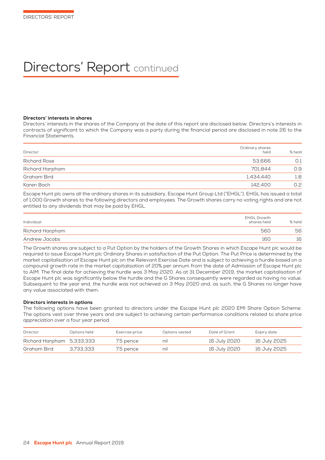## Directors' Report continued

#### Directors' interests in shares

Directors' interests in the shares of the Company at the date of this report are disclosed below. Directors's interests in contracts of significant to which the Company was a party during the financial period are disclosed in note 26 to the Financial Statements.

| Director            | Ordinary shares<br>held | % held |
|---------------------|-------------------------|--------|
| <b>Richard Rose</b> | 53,666                  | 0.1    |
| Richard Harpham     | 701.844                 | 0.9    |
| Graham Bird         | 1.434.440               | 1.8    |
| Karen Bach          | 142,400                 | 0.2    |

Escape Hunt plc owns all the ordinary shares in its subsidiary, Escape Hunt Group Ltd ("EHGL"). EHGL has issued a total of 1,000 Growth shares to the following directors and employees. The Growth shares carry no voting rights and are not entitled to any dividends that may be paid by EHGL.

| Individual      | <b>EHGL Growth</b><br>shares held | % held |
|-----------------|-----------------------------------|--------|
| Richard Harpham | 560                               | 56     |
| Andrew Jacobs   | 160                               | 16     |

The Growth shares are subject to a Put Option by the holders of the Growth Shares in which Escape Hunt plc would be required to issue Escape Hunt plc Ordinary Shares in satisfaction of the Put Option. The Put Price is determined by the market capitalisation of Escape Hunt plc on the Relevant Exercise Date and is subject to achieving a hurdle based on a compound growth rate in the market capitalisation of 20% per annum from the date of Admission of Escape Hunt plc to AIM. The final date for achieving the hurdle was 3 May 2020. As at 31 December 2019, the market capitalisation of Escape Hunt plc was significantly below the hurdle and the G Shares consequently were regarded as having no value. Subsequent to the year end, the hurdle was not achieved on 3 May 2020 and, as such, the G Shares no longer have any value associated with them.

#### Directors interests in options

The following options have been granted to directors under the Escape Hunt plc 2020 EMI Share Option Scheme. The options vest over three years and are subject to achieving certain performance conditions related to share price appreciation over a four year period.

| Director                  | Options held | Exercise price | Options vested | Date of Grant | Expiry date  |
|---------------------------|--------------|----------------|----------------|---------------|--------------|
| Richard Harpham 5,333,333 |              | 7.5 pence      | nil            | 16 July 2020  | 16 July 2025 |
| Graham Bird               | 3.733.333    | 7.5 pence      | nil            | 16 July 2020  | 16 July 2025 |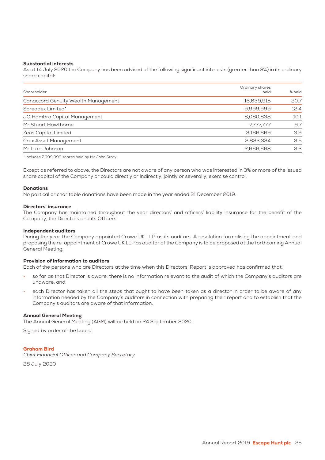#### Substantial interests

As at 14 July 2020 the Company has been advised of the following significant interests (greater than 3%) in its ordinary share capital:

| Ordinary shares<br>% held<br>held |
|-----------------------------------|
| 20.7<br>16,639,915                |
| 9,999,999<br>12.4                 |
| 10.1<br>8,080,838                 |
| 9.7<br>7.777.777                  |
| 3.9<br>3,166,669                  |
| 3.5<br>2,833,334                  |
| 3.3<br>2,666,668                  |
|                                   |

\* includes 7,999,999 shares held by Mr John Story

Except as referred to above, the Directors are not aware of any person who was interested in 3% or more of the issued share capital of the Company or could directly or indirectly, jointly or severally, exercise control.

#### **Donations**

No political or charitable donations have been made in the year ended 31 December 2019.

#### Directors' insurance

The Company has maintained throughout the year directors' and officers' liability insurance for the benefit of the Company, the Directors and its Officers.

#### Independent auditors

During the year the Company appointed Crowe UK LLP as its auditors. A resolution formalising the appointment and proposing the re-appointment of Crowe UK LLP as auditor of the Company is to be proposed at the forthcoming Annual General Meeting.

#### Provision of information to auditors

Each of the persons who are Directors at the time when this Directors' Report is approved has confirmed that:

- so far as that Director is aware, there is no information relevant to the audit of which the Company's auditors are unaware, and;
- each Director has taken all the steps that ought to have been taken as a director in order to be aware of any information needed by the Company's auditors in connection with preparing their report and to establish that the Company's auditors are aware of that information.

#### Annual General Meeting

The Annual General Meeting (AGM) will be held on 24 September 2020.

Signed by order of the board

#### Graham Bird

Chief Financial Officer and Company Secretary

28 July 2020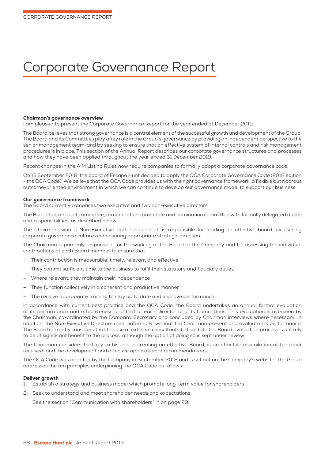### Corporate Governance Report

#### Chairman's governance overview

I am pleased to present the Corporate Governance Report for the year ended 31 December 2019.

The Board believes that strong governance is a central element of the successful growth and development of the Group. The Board and its Committees play a key role in the Group's governance by providing an independent perspective to the senior management team, and by seeking to ensure that an effective system of internal controls and risk management procedures is in place. This section of the Annual Report describes our corporate governance structures and processes and how they have been applied throughout the year ended 31 December 2019.

Recent changes in the AIM Listing Rules now require companies to formally adopt a corporate governance code.

On 13 September 2018, the board of Escape Hunt decided to apply the QCA Corporate Governance Code (2018 edition - the QCA Code). We believe that the QCA Code provides us with the right governance framework: a flexible but rigorous outcome-oriented environment in which we can continue to develop our governance model to support our business.

#### Our governance framework

The Board currently comprises two executive and two non-executive directors.

The Board has an audit committee, remuneration committee and nomination committee with formally delegated duties and responsibilities, as described below.

The Chairman, who is Non-Executive and Independent, is responsible for leading an effective board, overseeing corporate governance culture and ensuring appropriate strategic direction.

The Chairman is primarily responsible for the working of the Board of the Company and for assessing the individual contributions of each Board member to ensure that:

- Their contribution is measurable, timely, relevant and effective
- They commit sufficient time to the business to fulfil their statutory and fiduciary duties
- Where relevant, they maintain their independence
- They function collectively in a coherent and productive manner
- The receive appropriate training to stay up to date and improve performance

In accordance with current best practice and the QCA Code, the Board undertakes an annual formal evaluation of its performance and effectiveness and that of each Director and its Committees. This evaluation is overseen by the Chairman, co-ordinated by the Company Secretary and concluded by Chairman interviews where necessary. In addition, the Non-Executive Directors meet, informally, without the Chairman present and evaluate his performance. The Board currently considers that the use of external consultants to facilitate the Board evaluation process is unlikely to be of significant benefit to the process, although the option of doing so is kept under review.

The Chairman considers that key to his role in creating an effective Board, is an effective assimilation of feedback received, and the development and effective application of recommendations.

The QCA Code was adopted by the Company in September 2018 and is set out on the Company's website. The Group addresses the ten principles underpinning the QCA Code as follows:

#### Deliver growth

- 1. Establish a strategy and business model which promote long-term value for shareholders
- 2. Seek to understand and meet shareholder needs and expectations:

See the section "Communication with shareholders" in on page 29.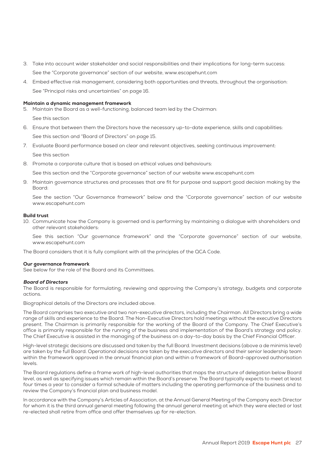- 3. Take into account wider stakeholder and social responsibilities and their implications for long-term success: See the "Corporate governance" section of our website, www.escapehunt.com
- 4. Embed effective risk management, considering both opportunities and threats, throughout the organisation: See "Principal risks and uncertainties" on page 16.

#### Maintain a dynamic management framework

5. Maintain the Board as a well-functioning, balanced team led by the Chairman:

See this section

- 6. Ensure that between them the Directors have the necessary up-to-date experience, skills and capabilities: See this section and "Board of Directors" on page 15.
- 7. Evaluate Board performance based on clear and relevant objectives, seeking continuous improvement: See this section
- 8. Promote a corporate culture that is based on ethical values and behaviours:

See this section and the "Corporate governance" section of our website www.escapehunt.com

9. Maintain governance structures and processes that are fit for purpose and support good decision making by the Board:

 See the section "Our Governance framework" below and the "Corporate governance" section of our website www.escapehunt.com

#### Build trust

10. Communicate how the Company is governed and is performing by maintaining a dialogue with shareholders and other relevant stakeholders:

 See this section "Our governance framework" and the "Corporate governance" section of our website, www.escapehunt.com

The Board considers that it is fully compliant with all the principles of the QCA Code.

#### Our governance framework

See below for the role of the Board and its Committees.

#### Board of Directors

The Board is responsible for formulating, reviewing and approving the Company's strategy, budgets and corporate actions.

Biographical details of the Directors are included above.

The Board comprises two executive and two non-executive directors, including the Chairman. All Directors bring a wide range of skills and experience to the Board. The Non-Executive Directors hold meetings without the executive Directors present. The Chairman is primarily responsible for the working of the Board of the Company. The Chief Executive's office is primarily responsible for the running of the business and implementation of the Board's strategy and policy. The Chief Executive is assisted in the managing of the business on a day-to-day basis by the Chief Financial Officer.

High-level strategic decisions are discussed and taken by the full Board. Investment decisions (above a de minimis level) are taken by the full Board. Operational decisions are taken by the executive directors and their senior leadership team within the framework approved in the annual financial plan and within a framework of Board-approved authorisation levels.

The Board regulations define a frame work of high-level authorities that maps the structure of delegation below Board level, as well as specifying issues which remain within the Board's preserve. The Board typically expects to meet at least four times a year to consider a formal schedule of matters including the operating performance of the business and to review the Company's financial plan and business model.

In accordance with the Company's Articles of Association, at the Annual General Meeting of the Company each Director for whom it is the third annual general meeting following the annual general meeting at which they were elected or last re-elected shall retire from office and offer themselves up for re-election.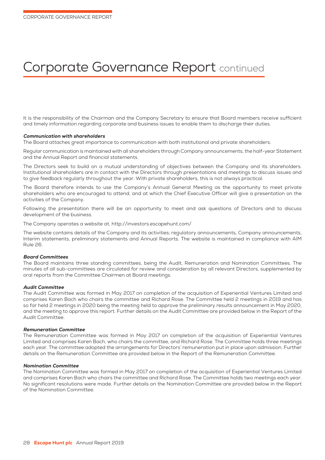### Corporate Governance Report continued

It is the responsibility of the Chairman and the Company Secretary to ensure that Board members receive sufficient and timely information regarding corporate and business issues to enable them to discharge their duties.

#### Communication with shareholders

The Board attaches great importance to communication with both institutional and private shareholders.

Regular communication is maintained with all shareholders through Company announcements, the half-year Statement and the Annual Report and financial statements.

The Directors seek to build on a mutual understanding of objectives between the Company and its shareholders. Institutional shareholders are in contact with the Directors through presentations and meetings to discuss issues and to give feedback regularly throughout the year. With private shareholders, this is not always practical.

The Board therefore intends to use the Company's Annual General Meeting as the opportunity to meet private shareholders who are encouraged to attend, and at which the Chief Executive Officer will give a presentation on the activities of the Company.

Following the presentation there will be an opportunity to meet and ask questions of Directors and to discuss development of the business.

The Company operates a website at. http://investors.escapehunt.com/

The website contains details of the Company and its activities; regulatory announcements, Company announcements, Interim statements, preliminary statements and Annual Reports. The website is maintained in compliance with AIM Rule 26.

#### Board Committees

The Board maintains three standing committees, being the Audit, Remuneration and Nomination Committees. The minutes of all sub-committees are circulated for review and consideration by all relevant Directors, supplemented by oral reports from the Committee Chairmen at Board meetings.

#### Audit Committee

The Audit Committee was formed in May 2017 on completion of the acquisition of Experiential Ventures Limited and comprises Karen Bach who chairs the committee and Richard Rose. The Committee held 2 meetings in 2019 and has so far held 2 meetings in 2020 being the meeting held to approve the preliminary results announcement in May 2020, and the meeting to approve this report. Further details on the Audit Committee are provided below in the Report of the Audit Committee.

#### Remuneration Committee

The Remuneration Committee was formed in May 2017 on completion of the acquisition of Experiential Ventures Limited and comprises Karen Bach, who chairs the committee, and Richard Rose. The Committee holds three meetings each year. The committee adopted the arrangements for Directors' remuneration put in place upon admission. Further details on the Remuneration Committee are provided below in the Report of the Remuneration Committee.

#### Nomination Committee

The Nomination Committee was formed in May 2017 on completion of the acquisition of Experiential Ventures Limited and comprises Karen Bach who chairs the committee and Richard Rose. The Committee holds two meetings each year. No significant resolutions were made. Further details on the Nomination Committee are provided below in the Report of the Nomination Committee.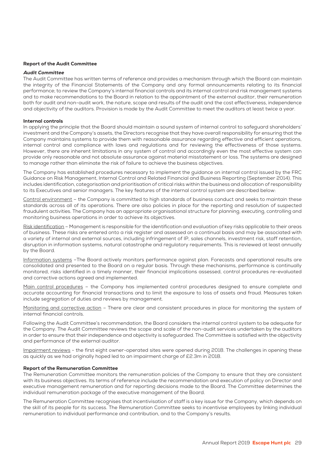#### Report of the Audit Committee

#### Audit Committee

The Audit Committee has written terms of reference and provides a mechanism through which the Board can maintain the integrity of the Financial Statements of the Company and any formal announcements relating to its financial performance; to review the Company's internal financial controls and its internal control and risk management systems and to make recommendations to the Board in relation to the appointment of the external auditor, their remuneration both for audit and non-audit work, the nature, scope and results of the audit and the cost effectiveness, independence and objectivity of the auditors. Provision is made by the Audit Committee to meet the auditors at least twice a year.

#### Internal controls

In applying the principle that the Board should maintain a sound system of internal control to safeguard shareholders' investment and the Company's assets, the Directors recognise that they have overall responsibility for ensuring that the Company maintains systems to provide them with reasonable assurance regarding effective and efficient operations, internal control and compliance with laws and regulations and for reviewing the effectiveness of those systems. However, there are inherent limitations in any system of control and accordingly even the most effective system can provide only reasonable and not absolute assurance against material misstatement or loss. The systems are designed to manage rather than eliminate the risk of failure to achieve the business objectives.

The Company has established procedures necessary to implement the guidance on internal control issued by the FRC Guidance on Risk Management, Internal Control and Related Financial and Business Reporting (September 2014). This includes identification, categorisation and prioritisation of critical risks within the business and allocation of responsibility to its Executives and senior managers. The key features of the internal control system are described below:

Control environment – the Company is committed to high standards of business conduct and seeks to maintain these standards across all of its operations. There are also policies in place for the reporting and resolution of suspected fraudulent activities. The Company has an appropriate organisational structure for planning, executing, controlling and monitoring business operations in order to achieve its objectives.

Risk identification – Management is responsible for the identification and evaluation of key risks applicable to their areas of business. These risks are entered onto a risk register and assessed on a continual basis and may be associated with a variety of internal and external sources, including infringement of IP, sales channels, investment risk, staff retention, disruption in information systems, natural catastrophe and regulatory requirements. This is reviewed at least annually by the Board.

Information systems –The Board actively monitors performance against plan. Forecasts and operational results are consolidated and presented to the Board on a regular basis. Through these mechanisms, performance is continually monitored, risks identified in a timely manner, their financial implications assessed, control procedures re-evaluated and corrective actions agreed and implemented.

Main control procedures – the Company has implemented control procedures designed to ensure complete and accurate accounting for financial transactions and to limit the exposure to loss of assets and fraud. Measures taken include segregation of duties and reviews by management.

Monitoring and corrective action – There are clear and consistent procedures in place for monitoring the system of internal financial controls.

Following the Audit Committee's recommendation, the Board considers the internal control system to be adequate for the Company. The Audit Committee reviews the scope and scale of the non-audit services undertaken by the auditors in order to ensure that their independence and objectivity is safeguarded. The Committee is satisfied with the objectivity and performance of the external auditor.

Impairment reviews - the first eight owner-operated sites were opened during 2018. The challenges in opening these as quickly as we had originally hoped led to an impairment charge of £2.3m in 2018.

#### Report of the Remuneration Committee

The Remuneration Committee monitors the remuneration policies of the Company to ensure that they are consistent with its business objectives. Its terms of reference include the recommendation and execution of policy on Director and executive management remuneration and for reporting decisions made to the Board. The Committee determines the individual remuneration package of the executive management of the Board.

The Remuneration Committee recognises that incentivisation of staff is a key issue for the Company, which depends on the skill of its people for its success. The Remuneration Committee seeks to incentivise employees by linking individual remuneration to individual performance and contribution, and to the Company's results.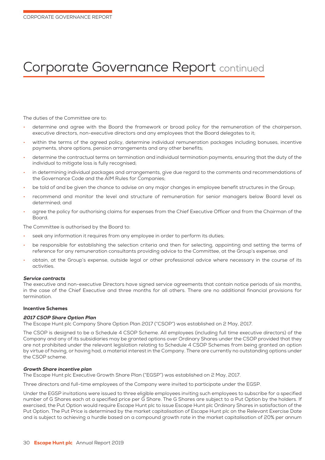## Corporate Governance Report continued

The duties of the Committee are to:

- determine and agree with the Board the framework or broad policy for the remuneration of the chairperson, executive directors, non-executive directors and any employees that the Board delegates to it;
- within the terms of the agreed policy, determine individual remuneration packages including bonuses, incentive payments, share options, pension arrangements and any other benefits;
- determine the contractual terms on termination and individual termination payments, ensuring that the duty of the individual to mitigate loss is fully recognised;
- in determining individual packages and arrangements, give due regard to the comments and recommendations of the Governance Code and the AIM Rules for Companies;
- be told of and be given the chance to advise on any major changes in employee benefit structures in the Group;
- recommend and monitor the level and structure of remuneration for senior managers below Board level as determined; and
- agree the policy for authorising claims for expenses from the Chief Executive Officer and from the Chairman of the Board.

The Committee is authorised by the Board to:

- seek any information it requires from any employee in order to perform its duties;
- be responsible for establishing the selection criteria and then for selecting, appointing and setting the terms of reference for any remuneration consultants providing advice to the Committee, at the Group's expense; and
- obtain, at the Group's expense, outside legal or other professional advice where necessary in the course of its activities.

#### Service contracts

The executive and non-executive Directors have signed service agreements that contain notice periods of six months, in the case of the Chief Executive and three months for all others. There are no additional financial provisions for termination.

#### Incentive Schemes

#### 2017 CSOP Share Option Plan

The Escape Hunt plc Company Share Option Plan 2017 ("CSOP") was established on 2 May, 2017.

The CSOP is designed to be a Schedule 4 CSOP Scheme. All employees (including full time executive directors) of the Company and any of its subsidiaries may be granted options over Ordinary Shares under the CSOP provided that they are not prohibited under the relevant legislation relating to Schedule 4 CSOP Schemes from being granted an option by virtue of having, or having had, a material interest in the Company. There are currently no outstanding options under the CSOP scheme.

#### Growth Share incentive plan

The Escape Hunt plc Executive Growth Share Plan ("EGSP") was established on 2 May, 2017.

Three directors and full-time employees of the Company were invited to participate under the EGSP.

Under the EGSP invitations were issued to three eligible employees inviting such employees to subscribe for a specified number of G Shares each at a specified price per G Share. The G Shares are subject to a Put Option by the holders. If exercised, the Put Option would require Escape Hunt plc to issue Escape Hunt plc Ordinary Shares in satisfaction of the Put Option. The Put Price is determined by the market capitalisation of Escape Hunt plc on the Relevant Exercise Date and is subject to achieving a hurdle based on a compound growth rate in the market capitalisation of 20% per annum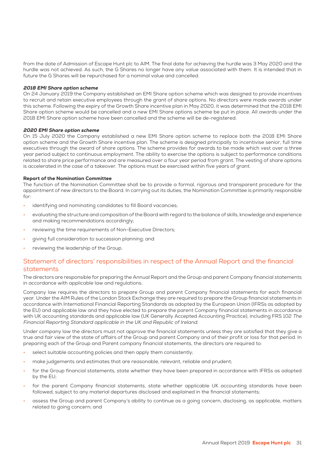from the date of Admission of Escape Hunt plc to AIM. The final date for achieving the hurdle was 3 May 2020 and the hurdle was not achieved. As such, the G Shares no longer have any value associated with them. It is intended that in future the G Shares will be repurchased for a nominal value and cancelled.

#### 2018 EMI Share option scheme

On 24 January 2019 the Company established an EMI Share option scheme which was designed to provide incentives to recruit and retain executive employees through the grant of share options. No directors were made awards under this scheme. Following the expiry of the Growth Share incentive plan in May 2020, it was determined that the 2018 EMI Share option scheme would be cancelled and a new EMI Share options scheme be put in place. All awards under the 2018 EMI Share option scheme have been cancelled and the scheme will be de-registered.

#### 2020 EMI Share option scheme

On 15 July 2020 the Company established a new EMI Share option scheme to replace both the 2018 EMI Share option scheme and the Growth Share incentive plan. The scheme is designed principally to incentivise senior, full time executives through the award of share options. The scheme provides for awards to be made which vest over a three year period subject to continuous employment. The ability to exercise the options is subject to performance conditions related to share price performance and are measured over a four year period from grant. The vesting of share options is accelerated in the case of a takeover. The options must be exercised within five years of grant.

#### Report of the Nomination Committee

The function of the Nomination Committee shall be to provide a formal, rigorous and transparent procedure for the appointment of new directors to the Board. In carrying out its duties, the Nomination Committee is primarily responsible for:

- identifying and nominating candidates to fill Board vacancies;
- evaluating the structure and composition of the Board with regard to the balance of skills, knowledge and experience and making recommendations accordingly;
- reviewing the time requirements of Non-Executive Directors;
- giving full consideration to succession planning; and
- reviewing the leadership of the Group.

### Statement of directors' responsibilities in respect of the Annual Report and the financial statements

The directors are responsible for preparing the Annual Report and the Group and parent Company financial statements in accordance with applicable law and regulations.

Company law requires the directors to prepare Group and parent Company financial statements for each financial year. Under the AIM Rules of the London Stock Exchange they are required to prepare the Group financial statements in accordance with International Financial Reporting Standards as adopted by the European Union (IFRSs as adopted by the EU) and applicable law and they have elected to prepare the parent Company financial statements in accordance with UK accounting standards and applicable law (UK Generally Accepted Accounting Practice), including FRS 102 The Financial Reporting Standard applicable in the UK and Republic of Ireland.

Under company law the directors must not approve the financial statements unless they are satisfied that they give a true and fair view of the state of affairs of the Group and parent Company and of their profit or loss for that period. In preparing each of the Group and Parent company financial statements, the directors are required to:

- select suitable accounting policies and then apply them consistently;
- make judgements and estimates that are reasonable, relevant, reliable and prudent;
- for the Group financial statements, state whether they have been prepared in accordance with IFRSs as adopted by the EU;
- for the parent Company financial statements, state whether applicable UK accounting standards have been followed, subject to any material departures disclosed and explained in the financial statements;
- assess the Group and parent Company's ability to continue as a going concern, disclosing, as applicable, matters related to going concern; and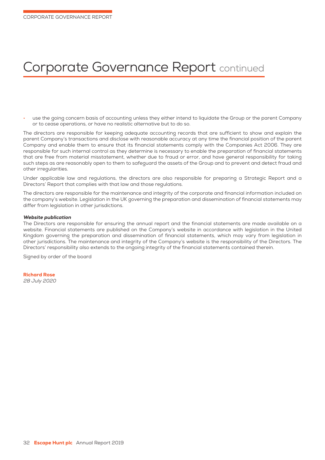### Corporate Governance Report continued

• use the going concern basis of accounting unless they either intend to liquidate the Group or the parent Company or to cease operations, or have no realistic alternative but to do so.

The directors are responsible for keeping adequate accounting records that are sufficient to show and explain the parent Company's transactions and disclose with reasonable accuracy at any time the financial position of the parent Company and enable them to ensure that its financial statements comply with the Companies Act 2006. They are responsible for such internal control as they determine is necessary to enable the preparation of financial statements that are free from material misstatement, whether due to fraud or error, and have general responsibility for taking such steps as are reasonably open to them to safeguard the assets of the Group and to prevent and detect fraud and other irregularities.

Under applicable law and regulations, the directors are also responsible for preparing a Strategic Report and a Directors' Report that complies with that law and those regulations.

The directors are responsible for the maintenance and integrity of the corporate and financial information included on the company's website. Legislation in the UK governing the preparation and dissemination of financial statements may differ from legislation in other jurisdictions.

#### Website publication

The Directors are responsible for ensuring the annual report and the financial statements are made available on a website. Financial statements are published on the Company's website in accordance with legislation in the United Kingdom governing the preparation and dissemination of financial statements, which may vary from legislation in other jurisdictions. The maintenance and integrity of the Company's website is the responsibility of the Directors. The Directors' responsibility also extends to the ongoing integrity of the financial statements contained therein.

Signed by order of the board

Richard Rose 28 July 2020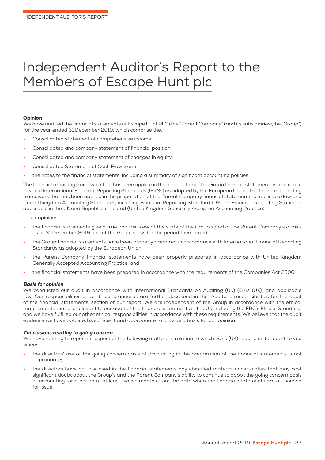## Independent Auditor's Report to the Members of Escape Hunt plc

#### Opinion

We have audited the financial statements of Escape Hunt PLC (the "Parent Company") and its subsidiaries (the "Group") for the year ended 31 December 2019, which comprise the:

- Consolidated statement of comprehensive income;
- Consolidated and company statement of financial position;
- Consolidated and company statement of changes in equity;
- Consolidated Statement of Cash Flows; and
- the notes to the financial statements, including a summary of significant accounting policies.

The financial reporting framework that has been applied in the preparation of the Group financial statements is applicable law and International Financial Reporting Standards (IFRSs) as adopted by the European Union. The financial reporting framework that has been applied in the preparation of the Parent Company financial statements is applicable law and United Kingdom Accounting Standards, including Financial Reporting Standard 102 The Financial Reporting Standard applicable in the UK and Republic of Ireland (United Kingdom Generally Accepted Accounting Practice).

In our opinion:

- the financial statements give a true and fair view of the state of the Group's and of the Parent Company's affairs as at 31 December 2019 and of the Group's loss for the period then ended;
- the Group financial statements have been properly prepared in accordance with International Financial Reporting Standards as adopted by the European Union;
- the Parent Company financial statements have been properly prepared in accordance with United Kingdom Generally Accepted Accounting Practice; and
- the financial statements have been prepared in accordance with the requirements of the Companies Act 2006.

#### Basis for opinion

We conducted our audit in accordance with International Standards on Auditing (UK) (ISAs (UK)) and applicable law. Our responsibilities under those standards are further described in the 'Auditor's responsibilities for the audit of the financial statements' section of our report. We are independent of the Group in accordance with the ethical requirements that are relevant to our audit of the financial statements in the UK, including the FRC's Ethical Standard, and we have fulfilled our other ethical responsibilities in accordance with these requirements. We believe that the audit evidence we have obtained is sufficient and appropriate to provide a basis for our opinion.

#### Conclusions relating to going concern

We have nothing to report in respect of the following matters in relation to which ISA's (UK) require us to report to you when:

- the directors' use of the going concern basis of accounting in the preparation of the financial statements is not appropriate; or
- the directors have not disclosed in the financial statements any identified material uncertainties that may cast significant doubt about the Group's and the Parent Company's ability to continue to adopt the going concern basis of accounting for a period of at least twelve months from the date when the financial statements are authorised for issue.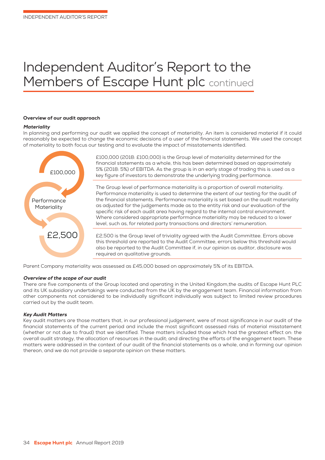### Independent Auditor's Report to the Members of Escape Hunt plc continued

#### Overview of our audit approach

#### **Materiality**

In planning and performing our audit we applied the concept of materiality. An item is considered material if it could reasonably be expected to change the economic decisions of a user of the financial statements. We used the concept of materiality to both focus our testing and to evaluate the impact of misstatements identified.



£100,000 (2018: £100,000) is the Group level of materiality determined for the financial statements as a whole, this has been determined based on approximately 5% (2018: 5%) of EBITDA. As the group is in an early stage of trading this is used as a key figure of investors to demonstrate the underlying trading performance.

The Group level of performance materiality is a proportion of overall materiality. Performance materiality is used to determine the extent of our testing for the audit of the financial statements. Performance materiality is set based on the audit materiality as adjusted for the judgements made as to the entity risk and our evaluation of the specific risk of each audit area having regard to the internal control environment. Where considered appropriate performance materiality may be reduced to a lower level, such as, for related party transactions and directors' remuneration.

£2,500 is the Group level of triviality agreed with the Audit Committee. Errors above this threshold are reported to the Audit Committee, errors below this threshold would also be reported to the Audit Committee if, in our opinion as auditor, disclosure was required on qualitative grounds.

Parent Company materiality was assessed as £45,000 based on approximately 5% of its EBITDA.

#### Overview of the scope of our audit

There are five components of the Group located and operating in the United Kingdom,the audits of Escape Hunt PLC and its UK subsidiary undertakings were conducted from the UK by the engagement team. Financial information from other components not considered to be individually significant individually was subject to limited review procedures carried out by the audit team.

#### Key Audit Matters

Key audit matters are those matters that, in our professional judgement, were of most significance in our audit of the financial statements of the current period and include the most significant assessed risks of material misstatement (whether or not due to fraud) that we identified. These matters included those which had the greatest effect on: the overall audit strategy, the allocation of resources in the audit; and directing the efforts of the engagement team. These matters were addressed in the context of our audit of the financial statements as a whole, and in forming our opinion thereon, and we do not provide a separate opinion on these matters.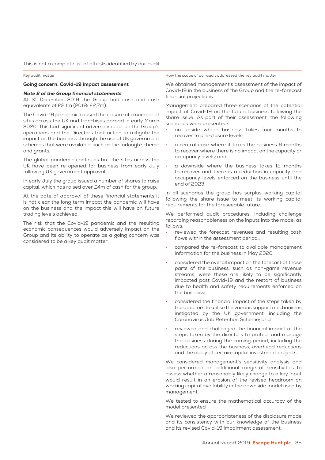This is not a complete list of all risks identified by our audit.

| Key audit matter                          | How the scope of our audit addressed the key audit matter |
|-------------------------------------------|-----------------------------------------------------------|
| Going concern, Covid-19 impact assessment | We obtained management's assessment of the impo           |

#### Note 2 of the Group financial statements

At 31 December 2019 the Group had cash and cash equivalents of £2.1m (2018: £2,7m).

The Covid-19 pandemic caused the closure of a number of sites across the UK and franchises abroad in early March 2020. This had significant adverse impact on the Group's operations and the Directors took action to mitigate the impact on the business through the use of UK government schemes that were available, such as the furlough scheme and grants.

The global pandemic continues but the sites across the UK have been re-opened for business from early July following UK government approval.

In early July the group issued a number of shares to raise capital, which has raised over £4m of cash for the group.

At the date of approval of these financial statements it is not clear the long term impact the pandemic will have on the business and the impact this will have on future trading levels achieved.

The risk that the Covid-19 pandemic and the resulting economic consequences would adversely impact on the Group and its ability to operate as a going concern was considered to be a key audit matter.

We obtained management's assessment of the impact of Covid-19 in the business of the Group and the re-forecast financial projections.

Management prepared three scenarios of the potential impact of Covid-19 on the future business following the share issue. As part of their assessment, the following scenarios were presented:

- an upside where business takes four months to recover to pre-closure levels;
- a central case where it takes the business 6 months to recover where there is no impact on the capacity or occupancy levels; and
- a downside where the business takes 12 months to recover and there is a reduction in capacity and occupancy levels enforced on the business until the end of 2023.

In all scenarios the group has surplus working capital following the share issue to meet its working capital requirements for the foreseeable future.

We performed audit procedures, including challenge regarding reasonableness on the inputs into the model as follows:

- reviewed the forecast revenues and resulting cash flows within the assessment period,;
- compared the re-forecast to available management information for the business in May 2020;
- considered the overall impact on the forecast of those parts of the business, such as non-game revenue streams, were these are likely to be significantly impacted post Covid-19 and the restart of business due to health and safety requirements enforced on the business;
- considered the financial impact of the steps taken by the directors to utilise the various support mechanisms instigated by the UK government, including the Coronavirus Job Retention Scheme; and
- reviewed and challenged the financial impact of the steps taken by the directors to protect and manage the business during the coming period, including the reductions across the business, overhead reductions and the delay of certain capital investment projects.

We considered management's sensitivity analysis and also performed an additional range of sensitivities to assess whether a reasonably likely change to a key input would result in an erosion of the revised headroom on working capital availability in the downside model used by management.

We tested to ensure the mathematical accuracy of the model presented

We reviewed the appropriateness of the disclosure made and its consistency with our knowledge of the business and its revised Covid-19 impairment assessment.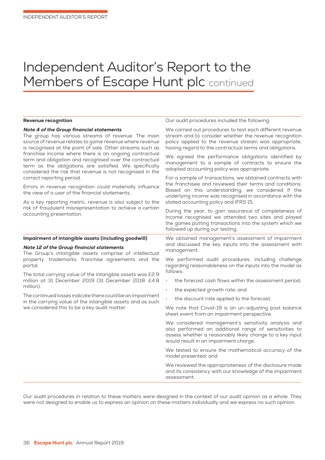# Independent Auditor's Report to the Members of Escape Hunt plc continued

| <b>Revenue recognition</b>                                                                                                                                                                                                               | Our audit procedures included the following:                                                                                                                                                                                           |  |  |  |
|------------------------------------------------------------------------------------------------------------------------------------------------------------------------------------------------------------------------------------------|----------------------------------------------------------------------------------------------------------------------------------------------------------------------------------------------------------------------------------------|--|--|--|
| <b>Note 4 of the Group financial statements</b><br>The group has various streams of revenue. The main<br>source of revenue relates to game revenue where revenue<br>is recognised at the point of sale. Other streams such as            | We carried out procedures to test each different revenue<br>stream and to consider whether the revenue recognition<br>policy applied to the revenue stream was appropriate,<br>having regard to the contractual terms and obligations. |  |  |  |
| franchise income where there is an ongoing contractual<br>term and obligation and recognised over the contractual<br>term as the obligations are satisfied. We specifically<br>considered the risk that revenue is not recognised in the | We agreed the performance obligations identified by<br>management to a sample of contracts to ensure the<br>adopted accounting policy was appropriate.                                                                                 |  |  |  |
| correct reporting period.<br>Errors in revenue recognition could materially influence<br>the view of a user of the financial statements.                                                                                                 | For a sample of transactions, we obtained contracts with<br>the franchisee and reviewed their terms and conditions.<br>Based on this understanding, we considered if the<br>underlying income was recognised in accordance with the    |  |  |  |
| As a key reporting metric, revenue is also subject to the                                                                                                                                                                                | stated accounting policy and IFRS 15.                                                                                                                                                                                                  |  |  |  |
| risk of fraudulent misrepresentation to achieve a certain<br>accounting presentation.                                                                                                                                                    | During the year, to gain assurance of completeness of<br>income recognised we attended two sites and played<br>the games putting transactions into the system which we<br>followed up during our testing.                              |  |  |  |
| Impairment of intangible assets (including goodwill)                                                                                                                                                                                     | We obtained management's assessment of impairment                                                                                                                                                                                      |  |  |  |
| <b>Note 12 of the Group financial statements</b><br>The Group's intangible assets comprise of intellectual                                                                                                                               | and discussed the key inputs into the assessment with<br>management.                                                                                                                                                                   |  |  |  |
| property, trademarks, franchise agreements and the<br>portal.                                                                                                                                                                            | We performed audit procedures, including challenge<br>regarding reasonableness on the inputs into the model as<br>follows:                                                                                                             |  |  |  |
| The total carrying value of the intangible assets was £2.9<br>million at 31 December 2019 (31 December 2018: £4.8                                                                                                                        | the forecast cash flows within the assessment period;<br>$\bullet$                                                                                                                                                                     |  |  |  |
| million).                                                                                                                                                                                                                                | the expected growth rate; and<br>$\bullet$                                                                                                                                                                                             |  |  |  |
| The continued losses indicate there could be an impairment<br>in the carrying value of the intangible assets and as such                                                                                                                 | the discount rate applied to the forecast.                                                                                                                                                                                             |  |  |  |
| we considered this to be a key audit matter.                                                                                                                                                                                             | We note that Covid-19 is an un-adjusting post balance<br>sheet event from an impairment perspective.                                                                                                                                   |  |  |  |
|                                                                                                                                                                                                                                          | We considered management's sensitivity analysis and<br>also performed an additional range of sensitivities to<br>assess whether a reasonably likely change to a key input<br>would result in an impairment charge;                     |  |  |  |
|                                                                                                                                                                                                                                          | We tested to ensure the mathematical accuracy of the<br>model presented; and                                                                                                                                                           |  |  |  |
|                                                                                                                                                                                                                                          | We reviewed the appropriateness of the disclosure made<br>and its consistency with our knowledge of the impairment<br>assessment.                                                                                                      |  |  |  |
|                                                                                                                                                                                                                                          |                                                                                                                                                                                                                                        |  |  |  |

Our audit procedures in relation to these matters were designed in the context of our audit opinion as a whole. They were not designed to enable us to express an opinion on these matters individually and we express no such opinion.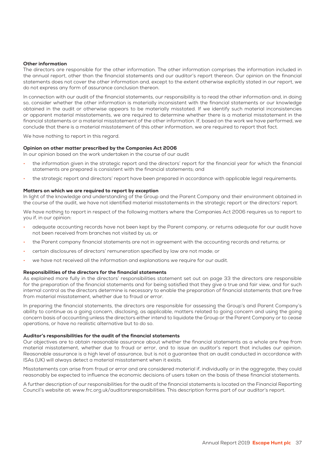### Other information

The directors are responsible for the other information. The other information comprises the information included in the annual report, other than the financial statements and our auditor's report thereon. Our opinion on the financial statements does not cover the other information and, except to the extent otherwise explicitly stated in our report, we do not express any form of assurance conclusion thereon.

In connection with our audit of the financial statements, our responsibility is to read the other information and, in doing so, consider whether the other information is materially inconsistent with the financial statements or our knowledge obtained in the audit or otherwise appears to be materially misstated. If we identify such material inconsistencies or apparent material misstatements, we are required to determine whether there is a material misstatement in the financial statements or a material misstatement of the other information. If, based on the work we have performed, we conclude that there is a material misstatement of this other information, we are required to report that fact.

We have nothing to report in this regard.

### Opinion on other matter prescribed by the Companies Act 2006

In our opinion based on the work undertaken in the course of our audit

- the information given in the strategic report and the directors' report for the financial year for which the financial statements are prepared is consistent with the financial statements; and
- the strategic report and directors' report have been prepared in accordance with applicable legal requirements.

### Matters on which we are required to report by exception

In light of the knowledge and understanding of the Group and the Parent Company and their environment obtained in the course of the audit, we have not identified material misstatements in the strategic report or the directors' report.

We have nothing to report in respect of the following matters where the Companies Act 2006 requires us to report to you if, in our opinion:

- adequate accounting records have not been kept by the Parent company, or returns adequate for our audit have not been received from branches not visited by us; or
- the Parent company financial statements are not in agreement with the accounting records and returns; or
- certain disclosures of directors' remuneration specified by law are not made; or
- we have not received all the information and explanations we require for our audit.

#### Responsibilities of the directors for the financial statements

As explained more fully in the directors' responsibilities statement set out on page 33 the directors are responsible for the preparation of the financial statements and for being satisfied that they give a true and fair view, and for such internal control as the directors determine is necessary to enable the preparation of financial statements that are free from material misstatement, whether due to fraud or error.

In preparing the financial statements, the directors are responsible for assessing the Group's and Parent Company's ability to continue as a going concern, disclosing, as applicable, matters related to going concern and using the going concern basis of accounting unless the directors either intend to liquidate the Group or the Parent Company or to cease operations, or have no realistic alternative but to do so.

### Auditor's responsibilities for the audit of the financial statements

Our objectives are to obtain reasonable assurance about whether the financial statements as a whole are free from material misstatement, whether due to fraud or error, and to issue an auditor's report that includes our opinion. Reasonable assurance is a high level of assurance, but is not a guarantee that an audit conducted in accordance with ISAs (UK) will always detect a material misstatement when it exists.

Misstatements can arise from fraud or error and are considered material if, individually or in the aggregate, they could reasonably be expected to influence the economic decisions of users taken on the basis of these financial statements.

A further description of our responsibilities for the audit of the financial statements is located on the Financial Reporting Council's website at: www.frc.org.uk/auditorsresponsibilities. This description forms part of our auditor's report.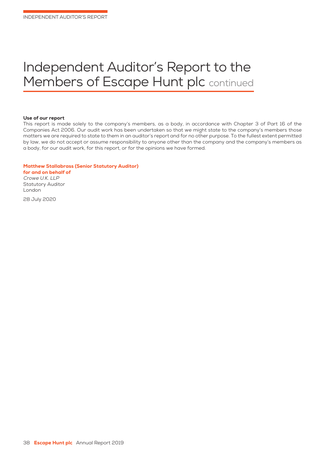# Independent Auditor's Report to the Members of Escape Hunt plc continued

#### Use of our report

This report is made solely to the company's members, as a body, in accordance with Chapter 3 of Part 16 of the Companies Act 2006. Our audit work has been undertaken so that we might state to the company's members those matters we are required to state to them in an auditor's report and for no other purpose. To the fullest extent permitted by law, we do not accept or assume responsibility to anyone other than the company and the company's members as a body, for our audit work, for this report, or for the opinions we have formed.

### Matthew Stallabrass (Senior Statutory Auditor)

for and on behalf of Crowe U.K. LLP Statutory Auditor London

28 July 2020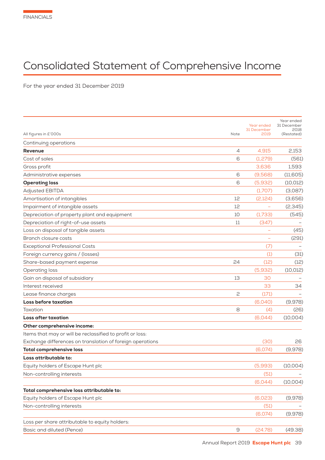# Consolidated Statement of Comprehensive Income

For the year ended 31 December 2019

|                                                           |                | Year ended<br>31 December | Year ended<br>31 December<br>2018 |
|-----------------------------------------------------------|----------------|---------------------------|-----------------------------------|
| All figures in £'000s                                     | Note           | 2019                      | (Restated)                        |
| Continuing operations                                     |                |                           |                                   |
| <b>Revenue</b>                                            | $\overline{4}$ | 4,915                     | 2,153                             |
| Cost of sales                                             | 6              | (1,279)                   | (561)                             |
| Gross profit                                              |                | 3,636                     | 1,593                             |
| Administrative expenses                                   | 6              | (9,568)                   | (11,605)                          |
| <b>Operating loss</b>                                     | 6              | (5,932)                   | (10, 012)                         |
| <b>Adjusted EBITDA</b>                                    |                | (1,707)                   | (3,087)                           |
| Amortisation of intangibles                               | 12             | (2,124)                   | (3,656)                           |
| Impairment of intangible assets                           | 12             |                           | (2,345)                           |
| Depreciation of property plant and equipment              | 10             | (1,733)                   | (545)                             |
| Depreciation of right-of-use assets                       | 11             | (347)                     |                                   |
| Loss on disposal of tangible assets                       |                |                           | (45)                              |
| Branch closure costs                                      |                |                           | (291)                             |
| <b>Exceptional Professional Costs</b>                     |                | (7)                       |                                   |
| Foreign currency gains / (losses)                         |                | (1)                       | (31)                              |
| Share-based payment expense                               | 24             | (12)                      | (12)                              |
| Operating loss                                            |                | (5,932)                   | (10, 012)                         |
| Gain on disposal of subsidiary                            | 13             | 30                        |                                   |
| Interest received                                         |                | 33                        | 34                                |
| Lease finance charges                                     | 2              | (171)                     |                                   |
| <b>Loss before taxation</b>                               |                | (6,040)                   | (9,978)                           |
| Taxation                                                  | 8              | (4)                       | (26)                              |
| <b>Loss after taxation</b>                                |                | (6,044)                   | (10,004)                          |
| Other comprehensive income:                               |                |                           |                                   |
| Items that may or will be reclassified to profit or loss: |                |                           |                                   |
| Exchange differences on translation of foreign operations |                | (30)                      | 26                                |
| <b>Total comprehensive loss</b>                           |                | (6,074)                   | (9,978)                           |
| Loss attributable to:                                     |                |                           |                                   |
| Equity holders of Escape Hunt plc                         |                | (5,993)                   | (10,004)                          |
| Non-controlling interests                                 |                | (51)                      |                                   |
|                                                           |                | (6,044)                   | (10,004)                          |
| Total comprehensive loss attributable to:                 |                |                           |                                   |
| Equity holders of Escape Hunt plc                         |                | (6,023)                   | (9,978)                           |
| Non-controlling interests                                 |                | (51)                      |                                   |
|                                                           |                | (6,074)                   | (9,978)                           |
| Loss per share attributable to equity holders:            |                |                           |                                   |
| Basic and diluted (Pence)                                 | 9              | (24.78)                   | (49.38)                           |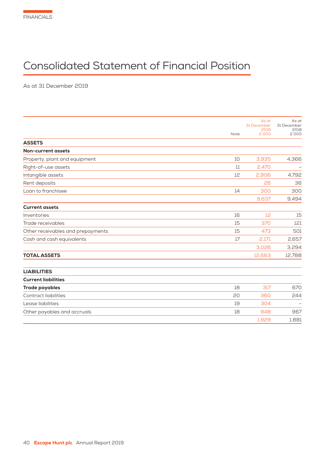# Consolidated Statement of Financial Position

As at 31 December 2019

|                                   |      | As at               | As at               |
|-----------------------------------|------|---------------------|---------------------|
|                                   |      | 31 December<br>2019 | 31 December<br>2018 |
|                                   | Note | £'000               | £'000               |
| <b>ASSETS</b>                     |      |                     |                     |
| <b>Non-current assets</b>         |      |                     |                     |
| Property, plant and equipment     | 10   | 3,935               | 4,366               |
| Right-of-use assets               | 11   | 2,470               |                     |
| Intangible assets                 | 12   | 2,906               | 4,792               |
| Rent deposits                     |      | 26                  | 36                  |
| Loan to franchisee                | 14   | 300                 | 300                 |
|                                   |      | 9,637               | 9,494               |
| <b>Current assets</b>             |      |                     |                     |
| Inventories                       | 16   | 12                  | 15                  |
| Trade receivables                 | 15   | 370                 | 121                 |
| Other receivables and prepayments | 15   | 473                 | 501                 |
| Cash and cash equivalents         | 17   | 2,171               | 2,657               |
|                                   |      | 3,026               | 3,294               |
| <b>TOTAL ASSETS</b>               |      | 12,663              | 12,788              |
| <b>LIABILITIES</b>                |      |                     |                     |
| <b>Current liabilities</b>        |      |                     |                     |
| <b>Trade payables</b>             | 18   | 317                 | 670                 |
| <b>Contract liabilities</b>       | 20   | 360                 | 244                 |
| Lease liabilities                 | 19   | 304                 |                     |
| Other payables and accruals       | 18   | 948                 | 967                 |
|                                   |      | 1,929               | 1,881               |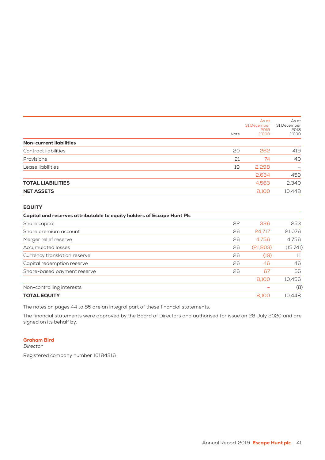|                                | Note | As at<br>31 December<br>2019<br>£'000 | As at<br>31 December<br>2018<br>£'000 |
|--------------------------------|------|---------------------------------------|---------------------------------------|
| <b>Non-current liabilities</b> |      |                                       |                                       |
| Contract liabilities           | 20   | 262                                   | 419                                   |
| Provisions                     | 21   | 74                                    | 40                                    |
| Lease liabilities              | 19   | 2,298                                 |                                       |
|                                |      | 2,634                                 | 459                                   |
| <b>TOTAL LIABILITIES</b>       |      | 4,563                                 | 2,340                                 |
| <b>NET ASSETS</b>              |      | 8,100                                 | 10,448                                |

### EQUITY

| Capital and reserves attributable to equity holders of Escape Hunt Plc |    |          |          |
|------------------------------------------------------------------------|----|----------|----------|
| Share capital                                                          | 22 | 336      | 253      |
| Share premium account                                                  | 26 | 24.717   | 21,076   |
| Merger relief reserve                                                  | 26 | 4.756    | 4,756    |
| <b>Accumulated losses</b>                                              | 26 | (21,803) | (15,741) |
| Currency translation reserve                                           | 26 | (19)     | 11       |
| Capital redemption reserve                                             | 26 | 46       | 46       |
| Share-based payment reserve                                            | 26 | 67       | 55       |
|                                                                        |    | 8.100    | 10,456   |
| Non-controlling interests                                              |    |          | (8)      |
| <b>TOTAL EQUITY</b>                                                    |    | 8.100    | 10.448   |

The notes on pages 44 to 85 are an integral part of these financial statements.

The financial statements were approved by the Board of Directors and authorised for issue on 28 July 2020 and are signed on its behalf by:

### Graham Bird

Director

Registered company number 10184316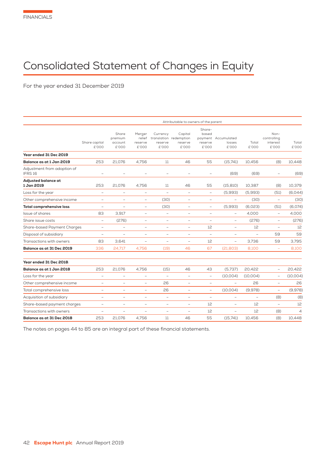# Consolidated Statement of Changes in Equity

For the year ended 31 December 2019

|                                          |                          |                                      |                                      |                              | Attributable to owners of the parent                  |                                     |                                        |                          |                                            |                |
|------------------------------------------|--------------------------|--------------------------------------|--------------------------------------|------------------------------|-------------------------------------------------------|-------------------------------------|----------------------------------------|--------------------------|--------------------------------------------|----------------|
|                                          | Share capital<br>£'000   | Share<br>premium<br>account<br>£'000 | Merger<br>relief<br>reserve<br>£'000 | Currency<br>reserve<br>£'000 | Capital<br>translation redemption<br>reserve<br>£'000 | Share-<br>based<br>reserve<br>£'000 | payment Accumulated<br>losses<br>£'000 | Total<br>£'000           | $Non-$<br>controlling<br>interest<br>£'000 | Total<br>£'000 |
| Year ended 31 Dec 2019                   |                          |                                      |                                      |                              |                                                       |                                     |                                        |                          |                                            |                |
| Balance as at 1 Jan 2019                 | 253                      | 21.076                               | 4.756                                | 11                           | 46                                                    | 55                                  | (15.741)                               | 10.456                   | (8)                                        | 10.448         |
| Adjustment from adoption of<br>IFRS16    | $\overline{\phantom{0}}$ | $\overline{\phantom{0}}$             |                                      | ÷                            | $\overline{\phantom{0}}$                              | L.                                  | (69)                                   | (69)                     | $\equiv$                                   | (69)           |
| <b>Adjusted balance at</b><br>1 Jan 2019 | 253                      | 21,076                               | 4.756                                | 11                           | 46                                                    | 55                                  | (15, 810)                              | 10,387                   | (8)                                        | 10,379         |
| Loss for the year                        | $\overline{\phantom{0}}$ | $\overline{\phantom{0}}$             | $\overline{\phantom{0}}$             | $\overline{\phantom{0}}$     | $\qquad \qquad -$                                     | $\overline{\phantom{m}}$            | (5,993)                                | (5,993)                  | (51)                                       | (6.044)        |
| Other comprehensive income               | $\overline{\phantom{0}}$ | $\overline{\phantom{0}}$             | $\equiv$                             | (30)                         | $\overline{\phantom{0}}$                              | $\overline{\phantom{m}}$            | $\overline{\phantom{0}}$               | (30)                     | $\overline{\phantom{a}}$                   | (30)           |
| <b>Total comprehensive loss</b>          | $\overline{\phantom{0}}$ | $\equiv$                             | $\equiv$                             | (30)                         | $\equiv$                                              | $\equiv$                            | (5.993)                                | (6,023)                  | (51)                                       | (6,074)        |
| Issue of shares                          | 83                       | 3.917                                | $\equiv$                             | $\equiv$                     | $\qquad \qquad -$                                     | $\overline{\phantom{m}}$            | $\overline{\phantom{m}}$               | 4.000                    | $\overline{\phantom{m}}$                   | 4,000          |
| Share issue costs                        | $\equiv$                 | (276)                                | $\overline{\phantom{0}}$             | $\overline{\phantom{0}}$     | $\rightarrow$                                         | ÷                                   | $\equiv$                               | (276)                    | $\overline{\phantom{a}}$                   | (276)          |
| Share-based Payment Charges              | $\equiv$                 | $\equiv$                             | $\overline{\phantom{0}}$             | $\qquad \qquad -$            | $\qquad \qquad -$                                     | 12                                  | $\overline{\phantom{a}}$               | 12                       | $\overline{\phantom{a}}$                   | 12             |
| Disposal of subsidiary                   | $\overline{\phantom{0}}$ | $\overline{\phantom{0}}$             | L,                                   | $\overline{\phantom{0}}$     | $\qquad \qquad -$                                     | $\qquad \qquad -$                   | $\overline{\phantom{m}}$               | $\overline{\phantom{m}}$ | 59                                         | 59             |
| Transactions with owners                 | 83                       | 3.641                                | ÷,                                   | ÷                            | ÷,                                                    | 12                                  | $\overline{\phantom{a}}$               | 3.736                    | 59                                         | 3.795          |
| Balance as at 31 Dec 2019                | 336                      | 24,717                               | 4.756                                | (19)                         | 46                                                    | 67                                  | (21, 803)                              | 8,100                    | $\equiv$                                   | 8,100          |
| Year ended 31 Dec 2018:                  |                          |                                      |                                      |                              |                                                       |                                     |                                        |                          |                                            |                |
| Balance as at 1 Jan 2018                 | 253                      | 21.076                               | 4.756                                | (15)                         | 46                                                    | 43                                  | (5,737)                                | 20.422                   | $\equiv$                                   | 20.422         |
| Loss for the year                        |                          | $\overline{\phantom{0}}$             | $\overline{\phantom{0}}$             | $\qquad \qquad -$            | $\qquad \qquad -$                                     | $\overline{\phantom{a}}$            | (10,004)                               | (10,004)                 | $\qquad \qquad -$                          | (10,004)       |
| Other comprehensive income               | $\overline{\phantom{0}}$ | $\equiv$                             | ÷,                                   | 26                           | ÷,                                                    | $\overline{\phantom{m}}$            | $\overline{\phantom{0}}$               | 26                       | $\overline{\phantom{m}}$                   | 26             |
| Total comprehensive loss                 | $\overline{\phantom{0}}$ | $\overline{\phantom{m}}$             | $\overline{\phantom{0}}$             | 26                           | $\overline{\phantom{0}}$                              | $\overline{\phantom{a}}$            | (10,004)                               | (9,978)                  | $\equiv$                                   | (9,978)        |
| Acquisition of subsidiary                | $\equiv$                 | $\overline{\phantom{0}}$             | $\equiv$                             | ÷                            | $\rightarrow$                                         | ÷                                   | $\equiv$                               | ÷,                       | (8)                                        | (8)            |
| Share-based payment charges              | $\qquad \qquad -$        | $\overline{\phantom{m}}$             | $\qquad \qquad -$                    | $\qquad \qquad -$            | $\qquad \qquad -$                                     | 12                                  | $\overline{\phantom{a}}$               | 12                       | $\equiv$                                   | 12             |
| Transactions with owners                 | L                        | $\overline{\phantom{0}}$             | $\overline{\phantom{0}}$             | ÷                            | $\overline{\phantom{0}}$                              | 12                                  | $\overline{\phantom{a}}$               | 12                       | (8)                                        | $\overline{4}$ |
| Balance as at 31 Dec 2018                | 253                      | 21.076                               | 4.756                                | 11                           | 46                                                    | 55                                  | (15.741)                               | 10.456                   | (8)                                        | 10.448         |

The notes on pages 44 to 85 are an integral part of these financial statements.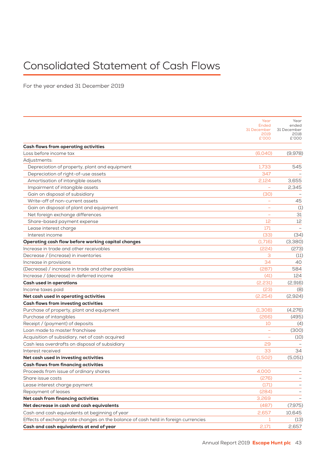# Consolidated Statement of Cash Flows

For the year ended 31 December 2019

|                                                                                    | Year<br>Ended<br>31 December<br>2019 | Year<br>ended<br>31 December<br>2018 |
|------------------------------------------------------------------------------------|--------------------------------------|--------------------------------------|
|                                                                                    | £'000                                | £'000                                |
| <b>Cash flows from operating activities</b>                                        |                                      |                                      |
| Loss before income tax                                                             | (6.040)                              | (9,978)                              |
| Adjustments:                                                                       |                                      |                                      |
| Depreciation of property, plant and equipment                                      | 1,733                                | 545                                  |
| Depreciation of right-of-use assets                                                | 347                                  |                                      |
| Amortisation of intangible assets                                                  | 2,124                                | 3,655                                |
| Impairment of intangible assets                                                    |                                      | 2,345                                |
| Gain on disposal of subsidiary                                                     | (30)                                 |                                      |
| Write-off of non-current assets                                                    |                                      | 45                                   |
| Gain on disposal of plant and equipment                                            |                                      | (1)                                  |
| Net foreign exchange differences                                                   |                                      | 31                                   |
| Share-based payment expense                                                        | 12                                   | 12                                   |
| Lease interest charge                                                              | 171                                  |                                      |
| Interest income                                                                    | (33)                                 | (34)                                 |
| Operating cash flow before working capital changes                                 | (1,716)                              | (3,380)                              |
| Increase in trade and other receivables                                            | (224)                                | (273)                                |
| Decrease / (increase) in inventories                                               | 3                                    | (11)                                 |
| Increase in provisions                                                             | 34                                   | 40                                   |
| (Decrease) / increase in trade and other payables                                  | (287)                                | 584                                  |
| Increase / (decrease) in deferred income                                           | (41)                                 | 124                                  |
| <b>Cash used in operations</b>                                                     | (2,231)                              | (2,916)                              |
| Income taxes paid                                                                  | (23)                                 | (8)                                  |
| Net cash used in operating activities                                              | (2,254)                              | (2,924)                              |
| <b>Cash flows from investing activities</b>                                        |                                      |                                      |
| Purchase of property, plant and equipment                                          | (1,308)                              | (4,276)                              |
| Purchase of intangibles                                                            | (266)                                | (495)                                |
| Receipt / (payment) of deposits                                                    | 10                                   | (4)                                  |
| Loan made to master franchisee                                                     |                                      | (300)                                |
| Acquisition of subsidiary, net of cash acquired                                    |                                      | (10)                                 |
| Cash less overdrafts on disposal of subsidiary                                     | 29                                   |                                      |
| Interest received                                                                  | 33                                   | 34                                   |
| Net cash used in investing activities                                              | (1,502)                              | (5,051)                              |
| <b>Cash flows from financing activities</b>                                        |                                      |                                      |
| Proceeds from issue of ordinary shares                                             | 4.000                                |                                      |
| Share issue costs                                                                  | (276)                                |                                      |
| Lease interest charge payment                                                      | (171)                                |                                      |
| Repayment of leases                                                                | (284)                                |                                      |
| Net cash from financing activities                                                 | 3,269                                |                                      |
| Net decrease in cash and cash equivalents                                          | (487)                                | (7, 975)                             |
| Cash and cash equivalents at beginning of year                                     | 2,657                                | 10,645                               |
| Effects of exchange rate changes on the balance of cash held in foreign currencies | 1                                    | (13)                                 |
| Cash and cash equivalents at end of year                                           | 2,171                                | 2,657                                |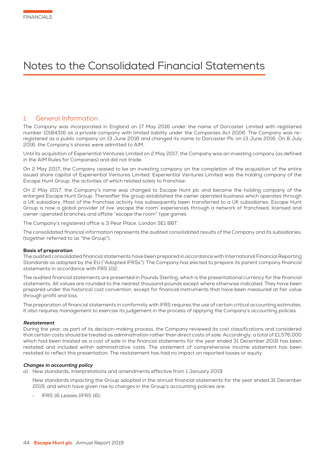### 1. General Information

The Company was incorporated in England on 17 May 2016 under the name of Dorcaster Limited with registered number 10184316 as a private company with limited liability under the Companies Act 2006. The Company was reregistered as a public company on 13 June 2016 and changed its name to Dorcaster Plc on 13 June 2016. On 8 July 2016, the Company's shares were admitted to AIM.

Until its acquisition of Experiential Ventures Limited on 2 May 2017, the Company was an investing company (as defined in the AIM Rules for Companies) and did not trade.

On 2 May 2017, the Company ceased to be an investing company on the completion of the acquisition of the entire issued share capital of Experiential Ventures Limited. Experiential Ventures Limited was the holding company of the Escape Hunt Group, the activities of which related solely to franchise.

On 2 May 2017, the Company's name was changed to Escape Hunt plc and became the holding company of the enlarged Escape Hunt Group. Thereafter the group established the owner operated business which operates through a UK subsidiary. Most of the franchise activity has subsequently been transferred to a UK subsidiaries. Escape Hunt Group is now a global provider of live 'escape the room' experiences through a network of franchised, licensed and owner-operated branches and offsite "escape the room" type games

The Company's registered office is 3 Pear Place, London SE1 8BT.

The consolidated financial information represents the audited consolidated results of the Company and its subsidiaries, (together referred to as "the Group").

### Basis of preparation

The audited consolidated financial statements have been prepared in accordance with International Financial Reporting Standards as adopted by the EU ("Adopted IFRSs"). The Company has elected to prepare its parent company financial statements in accordance with FRS 102.

The audited financial statements are presented in Pounds Sterling, which is the presentational currency for the financial statements. All values are rounded to the nearest thousand pounds except where otherwise indicated. They have been prepared under the historical cost convention, except for financial instruments that have been measured at fair value through profit and loss.

The preparation of financial statements in conformity with IFRS requires the use of certain critical accounting estimates. It also requires management to exercise its judgement in the process of applying the Company's accounting policies.

### Restatement

During the year, as part of its decision-making process, the Company reviewed its cost classifications and considered that certain costs should be treated as administration rather than direct costs of sale. Accordingly, a total of £1,576,000 which had been treated as a cost of sale in the financial statements for the year ended 31 December 2018 has been restated and included within administrative costs. The statement of comprehensive income statement has been restated to reflect this presentation. The restatement has had no impact on reported losses or equity

### Changes in accounting policy

a) New standards, interpretations and amendments effective from 1 January 2019

 New standards impacting the Group adopted in the annual financial statements for the year ended 31 December 2019, and which have given rise to changes in the Group's accounting policies are:

• IFRS 16 Leases (IFRS 16);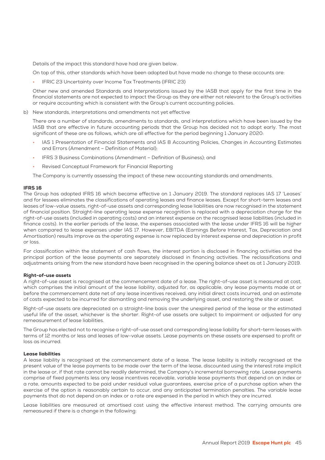Details of the impact this standard have had are given below.

On top of this, other standards which have been adopted but have made no change to these accounts are:

• IFRIC 23 Uncertainty over Income Tax Treatments (IFRIC 23)

 Other new and amended Standards and Interpretations issued by the IASB that apply for the first time in the financial statements are not expected to impact the Group as they are either not relevant to the Group's activities or require accounting which is consistent with the Group's current accounting policies.

b) New standards, interpretations and amendments not yet effective

 There are a number of standards, amendments to standards, and interpretations which have been issued by the IASB that are effective in future accounting periods that the Group has decided not to adopt early. The most significant of these are as follows, which are all effective for the period beginning 1 January 2020:

- IAS 1 Presentation of Financial Statements and IAS 8 Accounting Policies, Changes in Accounting Estimates and Errors (Amendment – Definition of Material);
- IFRS 3 Business Combinations (Amendment Definition of Business); and
- Revised Conceptual Framework for Financial Reporting

The Company is currently assessing the impact of these new accounting standards and amendments.

### IFRS 16

The Group has adopted IFRS 16 which became effective on 1 January 2019. The standard replaces IAS 17 'Leases' and for lessees eliminates the classifications of operating leases and finance leases. Except for short-term leases and leases of low-value assets, right-of-use assets and corresponding lease liabilities are now recognised in the statement of financial position. Straight-line operating lease expense recognition is replaced with a depreciation charge for the right-of-use assets (included in operating costs) and an interest expense on the recognised lease liabilities (included in finance costs). In the earlier periods of the lease, the expenses associated with the lease under IFRS 16 will be higher when compared to lease expenses under IAS 17. However, EBITDA (Earnings Before Interest, Tax, Depreciation and Amortisation) results improve as the operating expense is now replaced by interest expense and depreciation in profit or loss.

For classification within the statement of cash flows, the interest portion is disclosed in financing activities and the principal portion of the lease payments are separately disclosed in financing activities. The reclassifications and adjustments arising from the new standard have been recognised in the opening balance sheet as at 1 January 2019.

### Right-of-use assets

A right-of-use asset is recognised at the commencement date of a lease. The right-of-use asset is measured at cost, which comprises the initial amount of the lease liability, adjusted for, as applicable, any lease payments made at or before the commencement date net of any lease incentives received, any initial direct costs incurred, and an estimate of costs expected to be incurred for dismantling and removing the underlying asset, and restoring the site or asset.

Right-of-use assets are depreciated on a straight-line basis over the unexpired period of the lease or the estimated useful life of the asset, whichever is the shorter. Right-of use assets are subject to impairment or adjusted for any remeasurement of lease liabilities.

The Group has elected not to recognise a right-of-use asset and corresponding lease liability for short-term leases with terms of 12 months or less and leases of low-value assets. Lease payments on these assets are expensed to profit or loss as incurred.

### Lease liabilities

A lease liability is recognised at the commencement date of a lease. The lease liability is initially recognised at the present value of the lease payments to be made over the term of the lease, discounted using the interest rate implicit in the lease or, if that rate cannot be readily determined, the Company's incremental borrowing rate. Lease payments comprise of fixed payments less any lease incentives receivable, variable lease payments that depend on an index or a rate, amounts expected to be paid under residual value guarantees, exercise price of a purchase option when the exercise of the option is reasonably certain to occur, and any anticipated termination penalties. The variable lease payments that do not depend on an index or a rate are expensed in the period in which they are incurred.

Lease liabilities are measured at amortised cost using the effective interest method. The carrying amounts are remeasured if there is a change in the following: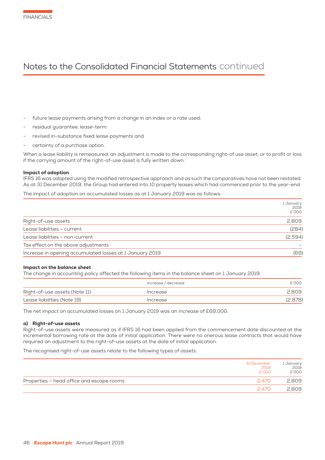- future lease payments arising from a change in an index or a rate used;
- residual guarantee; lease-term;
- revised in-substance fixed lease payments and
- certainty of a purchase option.

When a lease liability is remeasured, an adjustment is made to the corresponding right-of use asset, or to profit or loss if the carrying amount of the right-of-use asset is fully written down.

### Impact of adoption

IFRS 16 was adopted using the modified retrospective approach and as such the comparatives have not been restated. As at 31 December 2019, the Group had entered into 10 property leases which had commenced prior to the year-end.

The impact of adoption on accumulated losses as at 1 January 2019 was as follows:

|                                                          | 1 January<br>2019 |
|----------------------------------------------------------|-------------------|
|                                                          | £'000             |
| Right-of-use assets                                      | 2,809             |
| Lease liabilities - current                              | (284)             |
| Lease liabilities - non-current                          | (2,594)           |
| Tax effect on the above adjustments                      |                   |
| Increase in opening accumulated losses at 1 January 2019 | (69)              |

### Impact on the balance sheet

The change in accounting policy affected the following items in the balance sheet on 1 January 2019:

|                               | Increase / decrease | £'000   |
|-------------------------------|---------------------|---------|
| Right-of-use assets (Note 11) | Increase            | 2,809   |
| Lease liabilities (Note 19)   | Increase            | (2,878) |

The net impact on accumulated losses on 1 January 2019 was an increase of £69,000.

#### a) Right-of-use assets

Right-of-use assets were measured as if IFRS 16 had been applied from the commencement date discounted at the incremental borrowing rate at the date of initial application. There were no onerous lease contracts that would have required an adjustment to the right-of-use assets at the date of initial application.

The recognised right-of-use assets relate to the following types of assets:

|                                           | 31 December<br>2019<br>£'000 | 1 January<br>2019<br>£'000 |
|-------------------------------------------|------------------------------|----------------------------|
| Properties - head office and escape rooms | <b>2470</b>                  | 2.809                      |
|                                           | 2470                         | 2.809                      |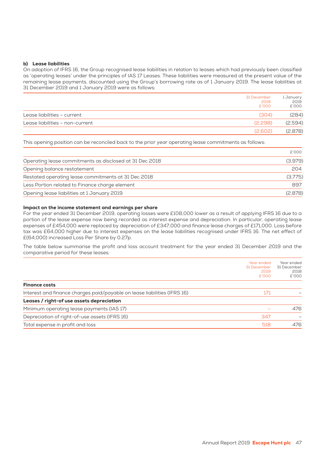### b) Lease liabilities

On adoption of IFRS 16, the Group recognised lease liabilities in relation to leases which had previously been classified as 'operating leases' under the principles of IAS 17 Leases. These liabilities were measured at the present value of the remaining lease payments, discounted using the Group's borrowing rate as of 1 January 2019. The lease liabilities at 31 December 2019 and 1 January 2019 were as follows:

|                                 | 31 December<br>2019<br>£'000 | 1 January<br>2019<br>£'000 |
|---------------------------------|------------------------------|----------------------------|
| Lease liabilities - current     | (304)                        | (284)                      |
| Lease liabilities - non-current | (2.298)                      | (2,594)                    |
|                                 | (2602)                       | (2,878)                    |

This opening position can be reconciled back to the prior year operating lease commitments as follows:

|                                                         | £'000   |
|---------------------------------------------------------|---------|
| Operating lease commitments as disclosed at 31 Dec 2018 | (3,979) |
| Opening balance restatement                             | 204     |
| Restated operating lease commitments at 31 Dec 2018     | (3,775) |
| Less Portion related to Finance charge element          | 897     |
| Opening lease liabilities at 1 January 2019             | (2,878) |

### Impact on the income statement and earnings per share

For the year ended 31 December 2019, operating losses were £108,000 lower as a result of applying IFRS 16 due to a portion of the lease expense now being recorded as interest expense and depreciation. In particular, operating lease expenses of £454,000 were replaced by depreciation of £347,000 and finance lease charges of £171,000. Loss before tax was £64,000 higher due to interest expenses on the lease liabilities recognised under IFRS 16. The net effect of £(64,000) increased Loss Per Share by 0.27p.

The table below summarise the profit and loss account treatment for the year ended 31 December 2019 and the comparative period for these leases:

| Year ended<br>31 December<br>2019                                               | Year ended<br>31 December<br>2018 |
|---------------------------------------------------------------------------------|-----------------------------------|
| £'000<br><b>Finance costs</b>                                                   | £'000                             |
| Interest and finance charges paid/payable on lease liabilities (IFRS 16)<br>171 |                                   |
| Leases / right-of use assets depreciation                                       |                                   |
| Minimum operating lease payments (IAS 17)                                       | 476                               |
| Depreciation of right-of-use assets (IFRS 16)<br>347                            |                                   |
| Total expense in profit and loss<br>518                                         | 476                               |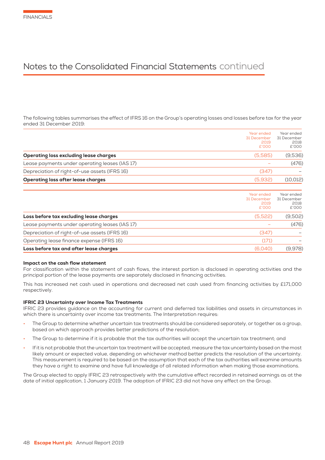The following tables summarises the effect of IFRS 16 on the Group's operating losses and losses before tax for the year ended 31 December 2019:

| Year ended<br>31 December<br>2019<br>£'000               | Year ended<br>31 December<br>2018<br>£'000 |
|----------------------------------------------------------|--------------------------------------------|
| (5,585)<br><b>Operating loss excluding lease charges</b> | (9,536)                                    |
| Lease payments under operating leases (IAS 17)           | (476)                                      |
| Depreciation of right-of-use assets (IFRS 16)<br>(347)   |                                            |
| <b>Operating loss after lease charges</b><br>(5,932)     | (10, 012)                                  |
| Year ended<br>31 December<br>2019<br>£'000               | Year ended<br>31 December<br>2018<br>£'000 |

|                                                | .       | ----    |
|------------------------------------------------|---------|---------|
| Loss before tax excluding lease charges        | (5.522) | (9,502) |
| Lease payments under operating leases (IAS 17) |         | (476)   |
| Depreciation of right-of-use assets (IFRS 16)  | (347)   |         |
| Operating lease finance expense (IFRS 16)      | (171)   |         |
| Loss before tax and after lease charges        | (6.040) | (9,978) |
|                                                |         |         |

### Impact on the cash flow statement

For classification within the statement of cash flows, the interest portion is disclosed in operating activities and the principal portion of the lease payments are separately disclosed in financing activities.

This has increased net cash used in operations and decreased net cash used from financing activities by £171,000 respectively.

### IFRIC 23 Uncertainty over Income Tax Treatments

IFRIC 23 provides guidance on the accounting for current and deferred tax liabilities and assets in circumstances in which there is uncertainty over income tax treatments. The Interpretation requires:

- The Group to determine whether uncertain tax treatments should be considered separately, or together as a group, based on which approach provides better predictions of the resolution;
- The Group to determine if it is probable that the tax authorities will accept the uncertain tax treatment; and
- If it is not probable that the uncertain tax treatment will be accepted, measure the tax uncertainty based on the most likely amount or expected value, depending on whichever method better predicts the resolution of the uncertainty. This measurement is required to be based on the assumption that each of the tax authorities will examine amounts they have a right to examine and have full knowledge of all related information when making those examinations.

The Group elected to apply IFRIC 23 retrospectively with the cumulative effect recorded in retained earnings as at the date of initial application, 1 January 2019. The adoption of IFRIC 23 did not have any effect on the Group.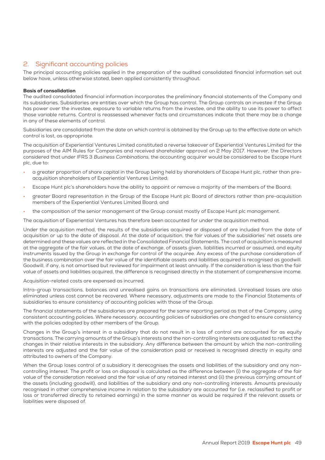### 2. Significant accounting policies

The principal accounting policies applied in the preparation of the audited consolidated financial information set out below have, unless otherwise stated, been applied consistently throughout.

### Basis of consolidation

The audited consolidated financial information incorporates the preliminary financial statements of the Company and its subsidiaries. Subsidiaries are entities over which the Group has control. The Group controls an investee if the Group has power over the investee, exposure to variable returns from the investee, and the ability to use its power to affect those variable returns. Control is reassessed whenever facts and circumstances indicate that there may be a change in any of these elements of control.

Subsidiaries are consolidated from the date on which control is obtained by the Group up to the effective date on which control is lost, as appropriate.

The acquisition of Experiential Ventures Limited constituted a reverse takeover of Experiential Ventures Limited for the purposes of the AIM Rules for Companies and received shareholder approval on 2 May 2017. However, the Directors considered that under IFRS 3 Business Combinations, the accounting acquirer would be considered to be Escape Hunt plc, due to:

- a greater proportion of share capital in the Group being held by shareholders of Escape Hunt plc, rather than preacquisition shareholders of Experiential Ventures Limited;
- Escape Hunt plc's shareholders have the ability to appoint or remove a majority of the members of the Board;
- greater Board representation in the Group of the Escape Hunt plc Board of directors rather than pre-acquisition members of the Experiential Ventures Limited Board; and
- the composition of the senior management of the Group consist mostly of Escape Hunt plc management.

The acquisition of Experiential Ventures has therefore been accounted for under the acquisition method.

Under the acquisition method, the results of the subsidiaries acquired or disposed of are included from the date of acquisition or up to the date of disposal. At the date of acquisition, the fair values of the subsidiaries' net assets are determined and these values are reflected in the Consolidated Financial Statements. The cost of acquisition is measured at the aggregate of the fair values, at the date of exchange, of assets given, liabilities incurred or assumed, and equity instruments issued by the Group in exchange for control of the acquiree. Any excess of the purchase consideration of the business combination over the fair value of the identifiable assets and liabilities acquired is recognised as goodwill. Goodwill, if any, is not amortised but reviewed for impairment at least annually. If the consideration is less than the fair value of assets and liabilities acquired, the difference is recognised directly in the statement of comprehensive income.

Acquisition-related costs are expensed as incurred.

Intra-group transactions, balances and unrealised gains on transactions are eliminated. Unrealised losses are also eliminated unless cost cannot be recovered. Where necessary, adjustments are made to the Financial Statements of subsidiaries to ensure consistency of accounting policies with those of the Group.

The financial statements of the subsidiaries are prepared for the same reporting period as that of the Company, using consistent accounting policies. Where necessary, accounting policies of subsidiaries are changed to ensure consistency with the policies adopted by other members of the Group.

Changes in the Group's interest in a subsidiary that do not result in a loss of control are accounted for as equity transactions. The carrying amounts of the Group's interests and the non-controlling interests are adjusted to reflect the changes in their relative interests in the subsidiary. Any difference between the amount by which the non-controlling interests are adjusted and the fair value of the consideration paid or received is recognised directly in equity and attributed to owners of the Company.

When the Group loses control of a subsidiary it derecognises the assets and liabilities of the subsidiary and any noncontrolling interest. The profit or loss on disposal is calculated as the difference between (i) the aggregate of the fair value of the consideration received and the fair value of any retained interest and (ii) the previous carrying amount of the assets (including goodwill), and liabilities of the subsidiary and any non-controlling interests. Amounts previously recognised in other comprehensive income in relation to the subsidiary are accounted for (i.e. reclassified to profit or loss or transferred directly to retained earnings) in the same manner as would be required if the relevant assets or liabilities were disposed of.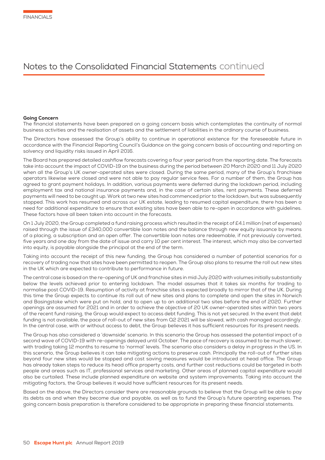### Going Concern

The financial statements have been prepared on a going concern basis which contemplates the continuity of normal business activities and the realisation of assets and the settlement of liabilities in the ordinary course of business.

The Directors have assessed the Group's ability to continue in operational existence for the foreseeable future in accordance with the Financial Reporting Council's Guidance on the going concern basis of accounting and reporting on solvency and liquidity risks issued in April 2016.

The Board has prepared detailed cashflow forecasts covering a four year period from the reporting date. The forecasts take into account the impact of COVID-19 on the business during the period between 20 March 2020 and 11 July 2020 when all the Group's UK owner-operated sites were closed. During the same period, many of the Group's franchisee operators likewise were closed and were not able to pay regular service fees. For a number of them, the Group has agreed to grant payment holidays. In addition, various payments were deferred during the lockdown period, including employment tax and national insurance payments and, in the case of certain sites, rent payments. These deferred payments will need to be caught up. Work at two new sites had commenced prior to the lockdown, but was subsequently stopped. This work has resumed and across our UK estate, leading to resumed capital expenditure, there has been a need for additional expenditure to ensure that existing sites have been able to re-open in accordance with guidelines. These factors have all been taken into account in the forecasts.

On 1 July 2020, the Group completed a fund raising process which resulted in the receipt of £4.1 million (net of expenses) raised through the issue of £340,000 convertible loan notes and the balance through new equity issuance by means of a placing, a subscription and an open offer. The convertible loan notes are redeemable, if not previously converted, five years and one day from the date of issue and carry 10 per cent interest. The interest, which may also be converted into equity, is payable alongside the principal at the end of the term.

Taking into account the receipt of this new funding, the Group has considered a number of potential scenarios for a recovery of trading now that sites have been permitted to reopen. The Group also plans to resume the roll out new sites in the UK which are expected to contribute to performance in future.

The central case is based on the re-opening of UK and franchise sites in mid July 2020 with volumes initially substantially below the levels achieved prior to entering lockdown. The model assumes that it takes six months for trading to normalise post COVID-19. Resumption of activity at franchise sites is expected broadly to mirror that of the UK. During this time the Group expects to continue its roll out of new sites and plans to complete and open the sites in Norwich and Basingstoke which were put on hold, and to open up to an additional two sites before the end of 2020. Further openings are assumed for 2021 and in order to achieve the objective of 20 UK owner-operated sites within two years of the recent fund raising, the Group would expect to access debt funding. This is not yet secured. In the event that debt funding is not available, the pace of roll-out of new sites from Q2 2021 will be slowed, with cash managed accordingly. In the central case, with or without access to debt, the Group believes it has sufficient resources for its present needs.

The Group has also considered a 'downside' scenario. In this scenario the Group has assessed the potential impact of a second wave of COVID-19 with re-openings delayed until October. The pace of recovery is assumed to be much slower, with trading taking 12 months to resume to 'normal' levels. The scenario also considers a delay in progress in the US. In this scenario, the Group believes it can take mitigating actions to preserve cash. Principally the roll-out of further sites beyond four new sites would be stopped and cost saving measures would be introduced at head office. The Group has already taken steps to reduce its head office property costs, and further cost reductions could be targeted in both people and areas such as IT, professional services and marketing. Other areas of planned capital expenditure would also be curtailed. These include planned expenditure on website and system improvements. Taking into account the mitigating factors, the Group believes it would have sufficient resources for its present needs.

Based on the above, the Directors consider there are reasonable grounds to believe that the Group will be able to pay its debts as and when they become due and payable, as well as to fund the Group's future operating expenses. The going concern basis preparation is therefore considered to be appropriate in preparing these financial statements.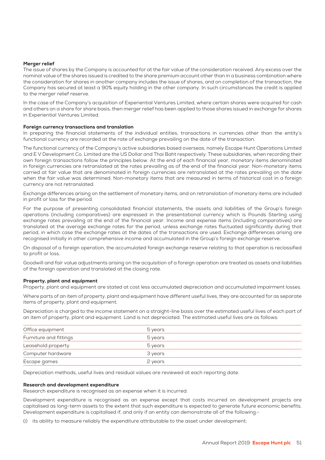### Merger relief

The issue of shares by the Company is accounted for at the fair value of the consideration received. Any excess over the nominal value of the shares issued is credited to the share premium account other than in a business combination where the consideration for shares in another company includes the issue of shares, and on completion of the transaction, the Company has secured at least a 90% equity holding in the other company. In such circumstances the credit is applied to the merger relief reserve.

In the case of the Company's acquisition of Experiential Ventures Limited, where certain shares were acquired for cash and others on a share for share basis, then merger relief has been applied to those shares issued in exchange for shares in Experiential Ventures Limited.

#### Foreign currency transactions and translation

In preparing the financial statements of the individual entities, transactions in currencies other than the entity's functional currency are recorded at the rate of exchange prevailing on the date of the transaction.

The functional currency of the Company's active subsidiaries based overseas, namely Escape Hunt Operations Limited and E V Development Co. Limited are the US Dollar and Thai Baht respectively. These subsidiaries, when recording their own foreign transactions follow the principles below. At the end of each financial year, monetary items denominated in foreign currencies are retranslated at the rates prevailing as of the end of the financial year. Non-monetary items carried at fair value that are denominated in foreign currencies are retranslated at the rates prevailing on the date when the fair value was determined. Non-monetary items that are measured in terms of historical cost in a foreign currency are not retranslated.

Exchange differences arising on the settlement of monetary items, and on retranslation of monetary items are included in profit or loss for the period.

For the purpose of presenting consolidated financial statements, the assets and liabilities of the Group's foreign operations (including comparatives) are expressed in the presentational currency which is Pounds Sterling using exchange rates prevailing at the end of the financial year. Income and expense items (including comparatives) are translated at the average exchange rates for the period, unless exchange rates fluctuated significantly during that period, in which case the exchange rates at the dates of the transactions are used. Exchange differences arising are recognised initially in other comprehensive income and accumulated in the Group's foreign exchange reserve.

On disposal of a foreign operation, the accumulated foreign exchange reserve relating to that operation is reclassified to profit or loss.

Goodwill and fair value adjustments arising on the acquisition of a foreign operation are treated as assets and liabilities of the foreign operation and translated at the closing rate.

### Property, plant and equipment

Property, plant and equipment are stated at cost less accumulated depreciation and accumulated impairment losses.

Where parts of an item of property, plant and equipment have different useful lives, they are accounted for as separate items of property, plant and equipment.

Depreciation is charged to the income statement on a straight-line basis over the estimated useful lives of each part of an item of property, plant and equipment. Land is not depreciated. The estimated useful lives are as follows:

| Office equipment       | 5 years |
|------------------------|---------|
| Furniture and fittings | 5 years |
| Leasehold property     | 5 years |
| Computer hardware      | 3 years |
| Escape games           | 2 years |

Depreciation methods, useful lives and residual values are reviewed at each reporting date.

### Research and development expenditure

Research expenditure is recognised as an expense when it is incurred.

Development expenditure is recognised as an expense except that costs incurred on development projects are capitalised as long-term assets to the extent that such expenditure is expected to generate future economic benefits. Development expenditure is capitalised if, and only if an entity can demonstrate all of the following:-

(i) its ability to measure reliably the expenditure attributable to the asset under development;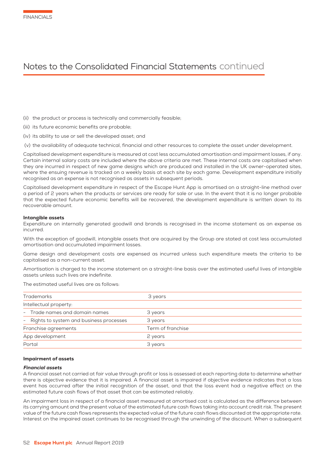- (ii) the product or process is technically and commercially feasible;
- (iii) its future economic benefits are probable;
- (iv) its ability to use or sell the developed asset; and
- (v) the availability of adequate technical, financial and other resources to complete the asset under development.

Capitalised development expenditure is measured at cost less accumulated amortisation and impairment losses, if any. Certain internal salary costs are included where the above criteria are met. These internal costs are capitalised when they are incurred in respect of new game designs which are produced and installed in the UK owner-operated sites, where the ensuing revenue is tracked on a weekly basis at each site by each game. Development expenditure initially recognised as an expense is not recognised as assets in subsequent periods.

Capitalised development expenditure in respect of the Escape Hunt App is amortised on a straight-line method over a period of 2 years when the products or services are ready for sale or use. In the event that it is no longer probable that the expected future economic benefits will be recovered, the development expenditure is written down to its recoverable amount.

#### Intangible assets

Expenditure on internally generated goodwill and brands is recognised in the income statement as an expense as incurred.

With the exception of goodwill, intangible assets that are acquired by the Group are stated at cost less accumulated amortisation and accumulated impairment losses.

Game design and development costs are expensed as incurred unless such expenditure meets the criteria to be capitalised as a non-current asset.

Amortisation is charged to the income statement on a straight-line basis over the estimated useful lives of intangible assets unless such lives are indefinite.

The estimated useful lives are as follows:

| <b>Trademarks</b>                         | 3 years           |
|-------------------------------------------|-------------------|
| Intellectual property:                    |                   |
| - Trade names and domain names            | 3 years           |
| - Rights to system and business processes | 3 years           |
| Franchise agreements                      | Term of franchise |
| App development                           | 2 years           |
| Portal                                    | 3 years           |
|                                           |                   |

#### Impairment of assets

### Financial assets

A financial asset not carried at fair value through profit or loss is assessed at each reporting date to determine whether there is objective evidence that it is impaired. A financial asset is impaired if objective evidence indicates that a loss event has occurred after the initial recognition of the asset, and that the loss event had a negative effect on the estimated future cash flows of that asset that can be estimated reliably.

An impairment loss in respect of a financial asset measured at amortised cost is calculated as the difference between its carrying amount and the present value of the estimated future cash flows taking into account credit risk. The present value of the future cash flows represents the expected value of the future cash flows discounted at the appropriate rate. Interest on the impaired asset continues to be recognised through the unwinding of the discount. When a subsequent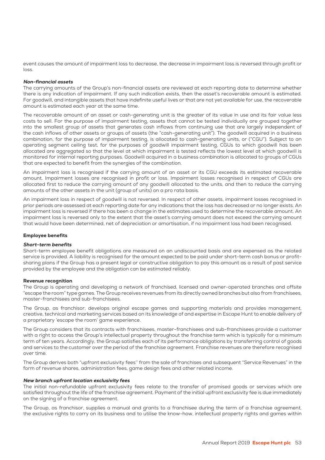event causes the amount of impairment loss to decrease, the decrease in impairment loss is reversed through profit or loss.

### Non-financial assets

The carrying amounts of the Group's non-financial assets are reviewed at each reporting date to determine whether there is any indication of impairment. If any such indication exists, then the asset's recoverable amount is estimated. For goodwill, and intangible assets that have indefinite useful lives or that are not yet available for use, the recoverable amount is estimated each year at the same time.

The recoverable amount of an asset or cash-generating unit is the greater of its value in use and its fair value less costs to sell. For the purpose of impairment testing, assets that cannot be tested individually are grouped together into the smallest group of assets that generates cash inflows from continuing use that are largely independent of the cash inflows of other assets or groups of assets (the "cash-generating unit"). The goodwill acquired in a business combination, for the purpose of impairment testing, is allocated to cash-generating units, or ("CGU"). Subject to an operating segment ceiling test, for the purposes of goodwill impairment testing, CGUs to which goodwill has been allocated are aggregated so that the level at which impairment is tested reflects the lowest level at which goodwill is monitored for internal reporting purposes. Goodwill acquired in a business combination is allocated to groups of CGUs that are expected to benefit from the synergies of the combination.

An impairment loss is recognised if the carrying amount of an asset or its CGU exceeds its estimated recoverable amount. Impairment losses are recognised in profit or loss. Impairment losses recognised in respect of CGUs are allocated first to reduce the carrying amount of any goodwill allocated to the units, and then to reduce the carrying amounts of the other assets in the unit (group of units) on a pro rata basis.

An impairment loss in respect of goodwill is not reversed. In respect of other assets, impairment losses recognised in prior periods are assessed at each reporting date for any indications that the loss has decreased or no longer exists. An impairment loss is reversed if there has been a change in the estimates used to determine the recoverable amount. An impairment loss is reversed only to the extent that the asset's carrying amount does not exceed the carrying amount that would have been determined, net of depreciation or amortisation, if no impairment loss had been recognised.

### Employee benefits

### Short-term benefits

Short-term employee benefit obligations are measured on an undiscounted basis and are expensed as the related service is provided. A liability is recognised for the amount expected to be paid under short-term cash bonus or profitsharing plans if the Group has a present legal or constructive obligation to pay this amount as a result of past service provided by the employee and the obligation can be estimated reliably.

#### Revenue recognition

The Group is operating and developing a network of franchised, licensed and owner-operated branches and offsite "escape the room" type games. The Group receives revenues from its directly owned branches but also from franchisees, master-franchisees and sub-franchisees.

The Group, as franchisor, develops original escape games and supporting materials and provides management, creative, technical and marketing services based on its knowledge of and expertise in Escape Hunt to enable delivery of a proprietary 'escape the room' game experience.

The Group considers that its contracts with franchisees, master-franchisees and sub-franchisees provide a customer with a right to access the Group's intellectual property throughout the franchise term which is typically for a minimum term of ten years. Accordingly, the Group satisfies each of its performance obligations by transferring control of goods and services to the customer over the period of the franchise agreement. Franchise revenues are therefore recognised over time.

The Group derives both "upfront exclusivity fees'' from the sale of franchises and subsequent "Service Revenues" in the form of revenue shares, administration fees, game design fees and other related income.

#### New branch upfront location exclusivity fees

The initial non-refundable upfront exclusivity fees relate to the transfer of promised goods or services which are satisfied throughout the life of the franchise agreement. Payment of the initial upfront exclusivity fee is due immediately on the signing of a franchise agreement.

The Group, as franchisor, supplies a manual and grants to a franchisee during the term of a franchise agreement, the exclusive rights to carry on its business and to utilise the know-how, intellectual property rights and games within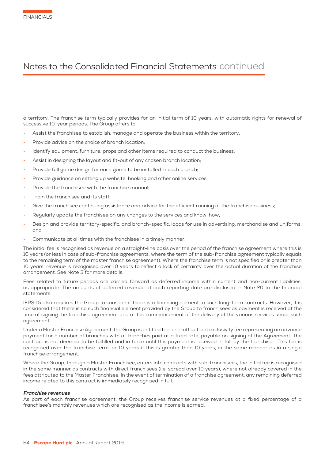a territory. The franchise term typically provides for an initial term of 10 years, with automatic rights for renewal of successive 10-year periods. The Group offers to:

- Assist the franchisee to establish, manage and operate the business within the territory;
- Provide advice on the choice of branch location;
- Identify equipment, furniture, props and other items required to conduct the business;
- Assist in designing the layout and fit-out of any chosen branch location;
- Provide full game design for each game to be installed in each branch;
- Provide guidance on setting up website, booking and other online services;
- Provide the franchisee with the franchise manual;
- Train the franchisee and its staff:
- Give the franchisee continuing assistance and advice for the efficient running of the franchise business;
- Regularly update the franchisee on any changes to the services and know-how;
- Design and provide territory-specific, and branch-specific, logos for use in advertising, merchandise and uniforms; and
- Communicate at all times with the franchisee in a timely manner.

The initial fee is recognised as revenue on a straight-line basis over the period of the franchise agreement where this is 10 years (or less in case of sub-franchise agreements, where the term of the sub-franchise agreement typically equals to the remaining term of the master franchise agreement). Where the franchise term is not specified or is greater than 10 years, revenue is recognised over 10 years to reflect a lack of certainty over the actual duration of the franchise arrangement. See Note 3 for more details.

Fees related to future periods are carried forward as deferred income within current and non-current liabilities, as appropriate. The amounts of deferred revenue at each reporting date are disclosed in Note 20 to the financial statements.

IFRS 15 also requires the Group to consider if there is a financing element to such long-term contracts. However, it is considered that there is no such financial element provided by the Group to franchisees as payment is received at the time of signing the franchise agreement and at the commencement of the delivery of the various services under such agreement.

Under a Master Franchise Agreement, the Group is entitled to a one-off upfront exclusivity fee representing an advance payment for a number of branches with all branches paid at a fixed rate, payable on signing of the Agreement. The contract is not deemed to be fulfilled and in force until this payment is received in full by the franchisor. This fee is recognised over the franchise term, or 10 years if this is greater than 10 years, in the same manner as in a single franchise arrangement.

Where the Group, through a Master Franchisee, enters into contracts with sub-franchisees, the initial fee is recognised in the same manner as contracts with direct franchisees (i.e. spread over 10 years), where not already covered in the fees attributed to the Master Franchisee. In the event of termination of a franchise agreement, any remaining deferred income related to this contract is immediately recognised in full.

### Franchise revenues

As part of each franchise agreement, the Group receives franchise service revenues at a fixed percentage of a franchisee's monthly revenues which are recognised as the income is earned.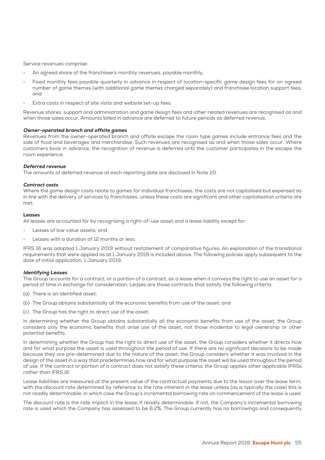Service revenues comprise:

- An agreed share of the franchisee's monthly revenues, payable monthly;
- Fixed monthly fees payable quarterly in advance in respect of location-specific game design fees for an agreed number of game themes (with additional game themes charged separately) and franchisee location support fees; and
- Extra costs in respect of site visits and website set-up fees.

Revenue shares, support and administration and game design fees and other related revenues are recognised as and when those sales occur. Amounts billed in advance are deferred to future periods as deferred revenue.

### Owner-operated branch and offsite games

Revenues from the owner-operated branch and offsite escape the room type games include entrance fees and the sale of food and beverages and merchandise. Such revenues are recognised as and when those sales occur. Where customers book in advance, the recognition of revenue is deferred until the customer participates in the escape the room experience.

### Deferred revenue

The amounts of deferred revenue at each reporting date are disclosed in Note 20.

### Contract costs

Where the game design costs relate to games for individual franchisees, the costs are not capitalised but expensed as in line with the delivery of services to franchisees, unless these costs are significant and other capitalisation criteria are met.

### Leases

All leases are accounted for by recognising a right-of-use asset and a lease liability except for:

- Leases of low value assets; and
- Leases with a duration of 12 months or less.

IFRS 16 was adopted 1 January 2019 without restatement of comparative figures. An explanation of the transitional requirements that were applied as at 1 January 2019 is included above. The following policies apply subsequent to the date of initial application, 1 January 2019.

### Identifying Leases

The Group accounts for a contract, or a portion of a contract, as a lease when it conveys the right to use an asset for a period of time in exchange for consideration. Leases are those contracts that satisfy the following criteria:

- (a) There is an identified asset;
- (b) The Group obtains substantially all the economic benefits from use of the asset; and
- (c) The Group has the right to direct use of the asset.

In determining whether the Group obtains substantially all the economic benefits from use of the asset, the Group considers only the economic benefits that arise use of the asset, not those incidental to legal ownership or other potential benefits.

In determining whether the Group has the right to direct use of the asset, the Group considers whether it directs how and for what purpose the asset is used throughout the period of use. If there are no significant decisions to be made because they are pre-determined due to the nature of the asset, the Group considers whether it was involved in the design of the asset in a way that predetermines how and for what purpose the asset will be used throughout the period of use. If the contract or portion of a contract does not satisfy these criteria, the Group applies other applicable IFRSs rather than IFRS 16

Lease liabilities are measured at the present value of the contractual payments due to the lessor over the lease term, with the discount rate determined by reference to the rate inherent in the lease unless (as is typically the case) this is not readily determinable, in which case the Group's incremental borrowing rate on commencement of the lease is used.

The discount rate is the rate implicit in the lease, if readily determinable. If not, the Company's incremental borrowing rate is used which the Company has assessed to be 6.2%. The Group currently has no borrowings and consequently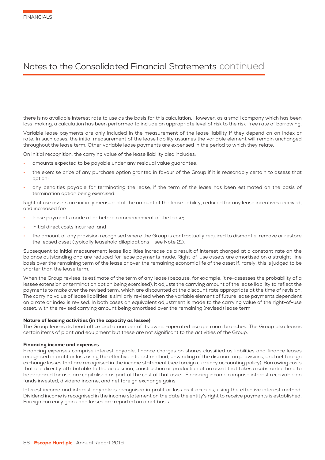there is no available interest rate to use as the basis for this calculation. However, as a small company which has been loss-making, a calculation has been performed to include an appropriate level of risk to the risk-free rate of borrowing.

Variable lease payments are only included in the measurement of the lease liability if they depend on an index or rate. In such cases, the initial measurement of the lease liability assumes the variable element will remain unchanged throughout the lease term. Other variable lease payments are expensed in the period to which they relate.

On initial recognition, the carrying value of the lease liability also includes:

- amounts expected to be payable under any residual value guarantee;
- the exercise price of any purchase option granted in favour of the Group if it is reasonably certain to assess that option;
- any penalties payable for terminating the lease, if the term of the lease has been estimated on the basis of termination option being exercised.

Right of use assets are initially measured at the amount of the lease liability, reduced for any lease incentives received, and increased for:

- lease payments made at or before commencement of the lease;
- initial direct costs incurred; and
- the amount of any provision recognised where the Group is contractually required to dismantle, remove or restore the leased asset (typically leasehold dilapidations – see Note 21).

Subsequent to initial measurement lease liabilities increase as a result of interest charged at a constant rate on the balance outstanding and are reduced for lease payments made. Right-of-use assets are amortised on a straight-line basis over the remaining term of the lease or over the remaining economic life of the asset if, rarely, this is judged to be shorter than the lease term.

When the Group revises its estimate of the term of any lease (because, for example, it re-assesses the probability of a lessee extension or termination option being exercised), it adjusts the carrying amount of the lease liability to reflect the payments to make over the revised term, which are discounted at the discount rate appropriate at the time of revision. The carrying value of lease liabilities is similarly revised when the variable element of future lease payments dependent on a rate or index is revised. In both cases an equivalent adjustment is made to the carrying value of the right-of-use asset, with the revised carrying amount being amortised over the remaining (revised) lease term.

### Nature of leasing activities (in the capacity as lessee)

The Group leases its head office and a number of its owner-operated escape room branches. The Group also leases certain items of plant and equipment but these are not significant to the activities of the Group.

### Financing income and expenses

Financing expenses comprise interest payable, finance charges on shares classified as liabilities and finance leases recognised in profit or loss using the effective interest method, unwinding of the discount on provisions, and net foreign exchange losses that are recognised in the income statement (see foreign currency accounting policy). Borrowing costs that are directly attributable to the acquisition, construction or production of an asset that takes a substantial time to be prepared for use, are capitalised as part of the cost of that asset. Financing income comprise interest receivable on funds invested, dividend income, and net foreign exchange gains.

Interest income and interest payable is recognised in profit or loss as it accrues, using the effective interest method. Dividend income is recognised in the income statement on the date the entity's right to receive payments is established. Foreign currency gains and losses are reported on a net basis.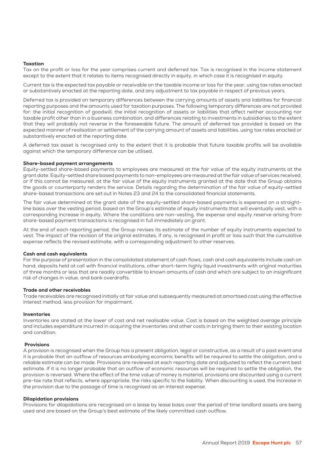### Taxation

Tax on the profit or loss for the year comprises current and deferred tax. Tax is recognised in the income statement except to the extent that it relates to items recognised directly in equity, in which case it is recognised in equity.

Current tax is the expected tax payable or receivable on the taxable income or loss for the year, using tax rates enacted or substantively enacted at the reporting date, and any adjustment to tax payable in respect of previous years.

Deferred tax is provided on temporary differences between the carrying amounts of assets and liabilities for financial reporting purposes and the amounts used for taxation purposes. The following temporary differences are not provided for: the initial recognition of goodwill; the initial recognition of assets or liabilities that affect neither accounting nor taxable profit other than in a business combination, and differences relating to investments in subsidiaries to the extent that they will probably not reverse in the foreseeable future. The amount of deferred tax provided is based on the expected manner of realisation or settlement of the carrying amount of assets and liabilities, using tax rates enacted or substantively enacted at the reporting date.

A deferred tax asset is recognised only to the extent that it is probable that future taxable profits will be available against which the temporary difference can be utilised.

### Share-based payment arrangements

Equity-settled share-based payments to employees are measured at the fair value of the equity instruments at the grant date. Equity-settled share based payments to non-employees are measured at the fair value of services received, or if this cannot be measured, at the fair value of the equity instruments granted at the date that the Group obtains the goods or counterparty renders the service. Details regarding the determination of the fair value of equity-settled share-based transactions are set out in Notes 23 and 24 to the consolidated financial statements.

The fair value determined at the grant date of the equity-settled share-based payments is expensed on a straightline basis over the vesting period, based on the Group's estimate of equity instruments that will eventually vest, with a corresponding increase in equity. Where the conditions are non-vesting, the expense and equity reserve arising from share-based payment transactions is recognised in full immediately on grant.

At the end of each reporting period, the Group revises its estimate of the number of equity instruments expected to vest. The impact of the revision of the original estimates, if any, is recognised in profit or loss such that the cumulative expense reflects the revised estimate, with a corresponding adjustment to other reserves.

### Cash and cash equivalents

For the purpose of presentation in the consolidated statement of cash flows, cash and cash equivalents include cash on hand, deposits held at call with financial institutions, other short-term highly liquid investments with original maturities of three months or less that are readily convertible to known amounts of cash and which are subject to an insignificant risk of changes in value, and bank overdrafts.

### Trade and other receivables

Trade receivables are recognised initially at fair value and subsequently measured at amortised cost using the effective interest method, less provision for impairment.

### Inventories

Inventories are stated at the lower of cost and net realisable value. Cost is based on the weighted average principle and includes expenditure incurred in acquiring the inventories and other costs in bringing them to their existing location and condition.

### Provisions

A provision is recognised when the Group has a present obligation, legal or constructive, as a result of a past event and it is probable that an outflow of resources embodying economic benefits will be required to settle the obligation, and a reliable estimate can be made. Provisions are reviewed at each reporting date and adjusted to reflect the current best estimate. If it is no longer probable that an outflow of economic resources will be required to settle the obligation, the provision is reversed. Where the effect of the time value of money is material, provisions are discounted using a current pre-tax rate that reflects, where appropriate, the risks specific to the liability. When discounting is used, the increase in the provision due to the passage of time is recognised as an interest expense.

#### Dilapidation provisions

Provisions for dilapidations are recognised on a lease by lease basis over the period of time landlord assets are being used and are based on the Group's best estimate of the likely committed cash outflow.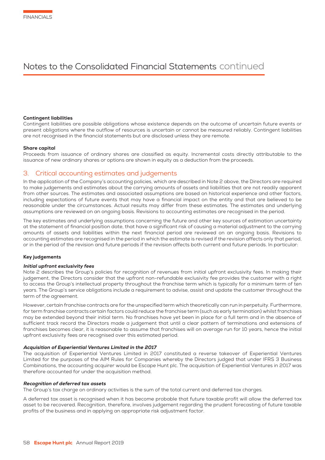### Contingent liabilities

Contingent liabilities are possible obligations whose existence depends on the outcome of uncertain future events or present obligations where the outflow of resources is uncertain or cannot be measured reliably. Contingent liabilities are not recognised in the financial statements but are disclosed unless they are remote.

### Share capital

Proceeds from issuance of ordinary shares are classified as equity. Incremental costs directly attributable to the issuance of new ordinary shares or options are shown in equity as a deduction from the proceeds.

### 3. Critical accounting estimates and judgements

In the application of the Company's accounting policies, which are described in Note 2 above, the Directors are required to make judgements and estimates about the carrying amounts of assets and liabilities that are not readily apparent from other sources. The estimates and associated assumptions are based on historical experience and other factors, including expectations of future events that may have a financial impact on the entity and that are believed to be reasonable under the circumstances. Actual results may differ from these estimates. The estimates and underlying assumptions are reviewed on an ongoing basis. Revisions to accounting estimates are recognised in the period.

The key estimates and underlying assumptions concerning the future and other key sources of estimation uncertainty at the statement of financial position date, that have a significant risk of causing a material adjustment to the carrying amounts of assets and liabilities within the next financial period are reviewed on an ongoing basis. Revisions to accounting estimates are recognised in the period in which the estimate is revised if the revision affects only that period, or in the period of the revision and future periods if the revision affects both current and future periods. In particular:

### Key judgements

### Initial upfront exclusivity fees

Note 2 describes the Group's policies for recognition of revenues from initial upfront exclusivity fees. In making their judgement, the Directors consider that the upfront non-refundable exclusivity fee provides the customer with a right to access the Group's intellectual property throughout the franchise term which is typically for a minimum term of ten years. The Group's service obligations include a requirement to advise, assist and update the customer throughout the term of the agreement.

However, certain franchise contracts are for the unspecified term which theoretically can run in perpetuity. Furthermore, for term franchise contracts certain factors could reduce the franchise term (such as early termination) whilst franchises may be extended beyond their initial term. No franchises have yet been in place for a full term and in the absence of sufficient track record the Directors made a judgement that until a clear pattern of terminations and extensions of franchises becomes clear, it is reasonable to assume that franchises will on average run for 10 years, hence the initial upfront exclusivity fees are recognised over this estimated period.

### Acquisition of Experiential Ventures Limited in the 2017

The acquisition of Experiential Ventures Limited in 2017 constituted a reverse takeover of Experiential Ventures Limited for the purposes of the AIM Rules for Companies whereby the Directors judged that under IFRS 3 Business Combinations, the accounting acquirer would be Escape Hunt plc. The acquisition of Experiential Ventures in 2017 was therefore accounted for under the acquisition method.

### Recognition of deferred tax assets

The Group's tax charge on ordinary activities is the sum of the total current and deferred tax charges.

A deferred tax asset is recognised when it has become probable that future taxable profit will allow the deferred tax asset to be recovered. Recognition, therefore, involves judgement regarding the prudent forecasting of future taxable profits of the business and in applying an appropriate risk adjustment factor.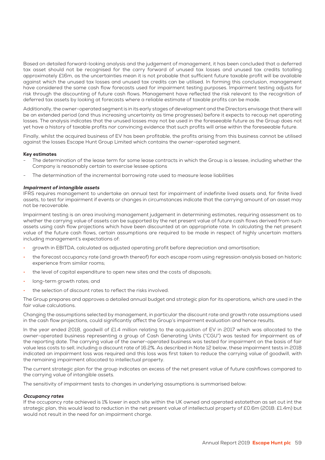Based on detailed forward-looking analysis and the judgement of management, it has been concluded that a deferred tax asset should not be recognised for the carry forward of unused tax losses and unused tax credits totalling approximately £16m, as the uncertainties mean it is not probable that sufficient future taxable profit will be available against which the unused tax losses and unused tax credits can be utilised. In forming this conclusion, management have considered the same cash flow forecasts used for impairment testing purposes. Impairment testing adjusts for risk through the discounting of future cash flows. Management have reflected the risk relevant to the recognition of deferred tax assets by looking at forecasts where a reliable estimate of taxable profits can be made.

Additionally, the owner-operated segment is in its early stages of development and the Directors envisage that there will be an extended period (and thus increasing uncertainty as time progresses) before it expects to recoup net operating losses. The analysis indicates that the unused losses may not be used in the foreseeable future as the Group does not yet have a history of taxable profits nor convincing evidence that such profits will arise within the foreseeable future.

Finally, whilst the acquired business of EV has been profitable, the profits arising from this business cannot be utilised against the losses Escape Hunt Group Limited which contains the owner-operated segment.

#### Key estimates

- The determination of the lease term for some lease contracts in which the Group is a lessee, including whether the Company is reasonably certain to exercise lessee options
- The determination of the incremental borrowing rate used to measure lease liabilities

### Impairment of intangible assets

IFRS requires management to undertake an annual test for impairment of indefinite lived assets and, for finite lived assets, to test for impairment if events or changes in circumstances indicate that the carrying amount of an asset may not be recoverable.

Impairment testing is an area involving management judgement in determining estimates, requiring assessment as to whether the carrying value of assets can be supported by the net present value of future cash flows derived from such assets using cash flow projections which have been discounted at an appropriate rate. In calculating the net present value of the future cash flows, certain assumptions are required to be made in respect of highly uncertain matters including management's expectations of:

- growth in EBITDA, calculated as adjusted operating profit before depreciation and amortisation;
- the forecast occupancy rate (and growth thereof) for each escape room using regression analysis based on historic experience from similar rooms;
- the level of capital expenditure to open new sites and the costs of disposals;
- long-term growth rates; and
- the selection of discount rates to reflect the risks involved.

The Group prepares and approves a detailed annual budget and strategic plan for its operations, which are used in the fair value calculations.

Changing the assumptions selected by management, in particular the discount rate and growth rate assumptions used in the cash flow projections, could significantly affect the Group's impairment evaluation and hence results.

In the year ended 2018, goodwill of £1.4 million relating to the acquisition of EV in 2017 which was allocated to the owner-operated business representing a group of Cash Generating Units ("CGU") was tested for impairment as of the reporting date. The carrying value of the owner-operated business was tested for impairment on the basis of fair value less costs to sell, including a discount rate of 16.2%. As described in Note 12 below, these impairment tests in 2018 indicated an impairment loss was required and this loss was first taken to reduce the carrying value of goodwill, with the remaining impairment allocated to intellectual property.

The current strategic plan for the group indicates an excess of the net present value of future cashflows compared to the carrying value of intangible assets.

The sensitivity of impairment tests to changes in underlying assumptions is summarised below:

#### Occupancy rates

If the occupancy rate achieved is 1% lower in each site within the UK owned and operated estatethan as set out int the strategic plan, this would lead to reduction in the net present value of intellectual property of £0.6m (2018: £1.4m) but would not result in the need for an impairment charge.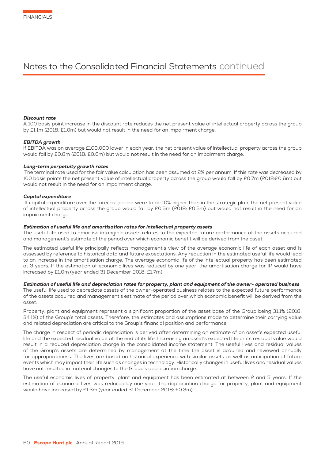### Discount rate

A 100 basis point increase in the discount rate reduces the net present value of intellectual property across the group by £1.1m (2018: £1.0m) but would not result in the need for an impairment charge.

### EBITDA growth

If EBITDA was on average £100,000 lower in each year, the net present value of intellectual property across the group would fall by £0.8m (2018: £0.6m) but would not result in the need for an impairment charge.

### Long-term perpetuity growth rates

 The terminal rate used for the fair value calculation has been assumed at 2% per annum. If this rate was decreased by 100 basis points the net present value of intellectual property across the group would fall by £0.7m (2018:£0.6m) but would not result in the need for an impairment charge.

### Capital expenditure

 If capital expenditure over the forecast period were to be 10% higher than in the strategic plan, the net present value of intellectual property across the group would fall by £0.5m (2018: £0.5m) but would not result in the need for an impairment charge.

### Estimation of useful life and amortisation rates for intellectual property assets

The useful life used to amortise intangible assets relates to the expected future performance of the assets acquired and management's estimate of the period over which economic benefit will be derived from the asset.

The estimated useful life principally reflects management's view of the average economic life of each asset and is assessed by reference to historical data and future expectations. Any reduction in the estimated useful life would lead to an increase in the amortisation charge. The average economic life of the intellectual property has been estimated at 3 years. If the estimation of economic lives was reduced by one year, the amortisation charge for IP would have increased by £1.0m (year ended 31 December 2018: £1.7m).

### Estimation of useful life and depreciation rates for property, plant and equipment of the owner- operated business

The useful life used to depreciate assets of the owner-operated business relates to the expected future performance of the assets acquired and management's estimate of the period over which economic benefit will be derived from the asset.

Property, plant and equipment represent a significant proportion of the asset base of the Group being 31.1% (2018: 34.1%) of the Group's total assets. Therefore, the estimates and assumptions made to determine their carrying value and related depreciation are critical to the Group's financial position and performance.

The charge in respect of periodic depreciation is derived after determining an estimate of an asset's expected useful life and the expected residual value at the end of its life. Increasing an asset's expected life or its residual value would result in a reduced depreciation charge in the consolidated income statement. The useful lives and residual values of the Group's assets are determined by management at the time the asset is acquired and reviewed annually for appropriateness. The lives are based on historical experience with similar assets as well as anticipation of future events which may impact their life such as changes in technology. Historically changes in useful lives and residual values have not resulted in material changes to the Group's depreciation charge.

The useful economic lives of property, plant and equipment has been estimated at between 2 and 5 years. If the estimation of economic lives was reduced by one year, the depreciation charge for property, plant and equipment would have increased by £1.3m (year ended 31 December 2018: £0.3m).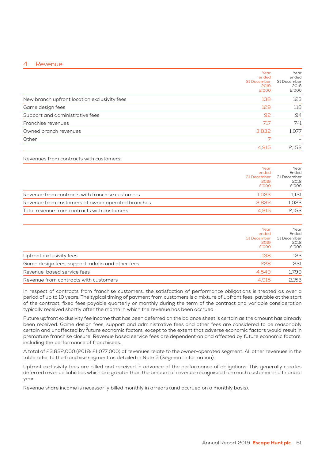### **Revenue**

|                                              | Year<br>ended<br>31 December<br>2019<br>£'000 | Year<br>ended<br>31 December<br>2018<br>£'000 |
|----------------------------------------------|-----------------------------------------------|-----------------------------------------------|
| New branch upfront location exclusivity fees | 138                                           | 123                                           |
| Game design fees                             | 129                                           | 118                                           |
| Support and administrative fees              | 92                                            | 94                                            |
| Franchise revenues                           | 717                                           | 741                                           |
| Owned branch revenues                        | 3,832                                         | 1,077                                         |
| Other                                        |                                               |                                               |
|                                              | 4,915                                         | 2,153                                         |

Revenues from contracts with customers:

| Year<br>ended<br>31 December<br>2019<br>£'000              | Year<br>Ended<br>31 December<br>2018<br>£'000 |
|------------------------------------------------------------|-----------------------------------------------|
| Revenue from contracts with franchise customers<br>1.083   | 1.131                                         |
| 3.832<br>Revenue from customers at owner operated branches | 1.023                                         |
| Total revenue from contracts with customers<br>4.915       | 2.153                                         |

| Year<br>ended<br>31 December<br>2019<br>£'000          | Year<br>Ended<br>31 December<br>2018<br>£'000 |
|--------------------------------------------------------|-----------------------------------------------|
| 138<br>Upfront exclusivity fees                        | 123                                           |
| Game design fees, support, admin and other fees<br>228 | 231                                           |
| Revenue-based service fees<br>4.549                    | 1.799                                         |
| Revenue from contracts with customers<br>4.915         | 2.153                                         |

In respect of contracts from franchise customers, the satisfaction of performance obligations is treated as over a period of up to 10 years. The typical timing of payment from customers is a mixture of upfront fees, payable at the start of the contract, fixed fees payable quarterly or monthly during the term of the contract and variable consideration typically received shortly after the month in which the revenue has been accrued.

Future upfront exclusivity fee income that has been deferred on the balance sheet is certain as the amount has already been received. Game design fees, support and administrative fees and other fees are considered to be reasonably certain and unaffected by future economic factors, except to the extent that adverse economic factors would result in premature franchise closure. Revenue based service fees are dependent on and affected by future economic factors, including the performance of franchisees.

A total of £3,832,000 (2018: £1,077,000) of revenues relate to the owner-operated segment. All other revenues in the table refer to the franchise segment as detailed in Note 5 (Segment Information).

Upfront exclusivity fees are billed and received in advance of the performance of obligations. This generally creates deferred revenue liabilities which are greater than the amount of revenue recognised from each customer in a financial year.

Revenue share income is necessarily billed monthly in arrears (and accrued on a monthly basis).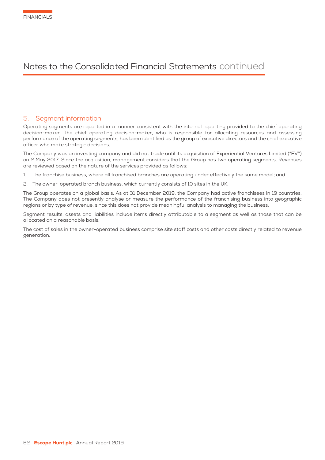### 5. Segment information

Operating segments are reported in a manner consistent with the internal reporting provided to the chief operating decision-maker. The chief operating decision-maker, who is responsible for allocating resources and assessing performance of the operating segments, has been identified as the group of executive directors and the chief executive officer who make strategic decisions.

The Company was an investing company and did not trade until its acquisition of Experiential Ventures Limited ("EV'') on 2 May 2017. Since the acquisition, management considers that the Group has two operating segments. Revenues are reviewed based on the nature of the services provided as follows:

- 1. The franchise business, where all franchised branches are operating under effectively the same model; and
- 2. The owner-operated branch business, which currently consists of 10 sites in the UK.

The Group operates on a global basis. As at 31 December 2019, the Company had active franchisees in 19 countries. The Company does not presently analyse or measure the performance of the franchising business into geographic regions or by type of revenue, since this does not provide meaningful analysis to managing the business.

Segment results, assets and liabilities include items directly attributable to a segment as well as those that can be allocated on a reasonable basis.

The cost of sales in the owner-operated business comprise site staff costs and other costs directly related to revenue generation.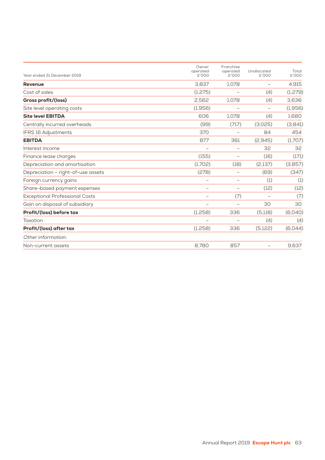| Year ended 31 December 2019           | Owner<br>operated<br>£'000 | Franchise<br>operated<br>£'000 | Unallocated<br>£'000     | Total<br>£'000 |
|---------------------------------------|----------------------------|--------------------------------|--------------------------|----------------|
| <b>Revenue</b>                        | 3,837                      | 1,078                          | $\overline{\phantom{m}}$ | 4,915          |
| Cost of sales                         | (1,275)                    |                                | (4)                      | (1,279)        |
| Gross profit/(loss)                   | 2,562                      | 1,078                          | (4)                      | 3,636          |
| Site level operating costs            | (1,956)                    | $\overline{\phantom{m}}$       | $\overline{\phantom{m}}$ | (1,956)        |
| <b>Site level EBITDA</b>              | 606                        | 1,078                          | (4)                      | 1,680          |
| Centrally incurred overheads          | (99)                       | (717)                          | (3,025)                  | (3,841)        |
| <b>IFRS 16 Adjustments</b>            | 370                        |                                | 84                       | 454            |
| <b>EBITDA</b>                         | 877                        | 361                            | (2,945)                  | (1,707)        |
| Interest income                       | $\qquad \qquad -$          | $\overline{\phantom{m}}$       | 32                       | 32             |
| Finance lease charges                 | (155)                      | $\overline{\phantom{0}}$       | (16)                     | (171)          |
| Depreciation and amortisation         | (1,702)                    | (18)                           | (2,137)                  | (3,857)        |
| Depreciation - right-of-use assets    | (278)                      | $\overline{\phantom{0}}$       | (69)                     | (347)          |
| Foreign currency gains                |                            | $\overline{\phantom{0}}$       | (1)                      | (1)            |
| Share-based payment expenses          | $\overline{\phantom{0}}$   | $\overline{\phantom{m}}$       | (12)                     | (12)           |
| <b>Exceptional Professional Costs</b> | $\equiv$                   | (7)                            |                          | (7)            |
| Gain on disposal of subsidiary        |                            |                                | 30                       | 30             |
| Profit/(loss) before tax              | (1,258)                    | 336                            | (5,118)                  | (6,040)        |
| Taxation                              | $\qquad \qquad -$          | $\overline{\phantom{0}}$       | (4)                      | (4)            |
| Profit/(loss) after tax               | (1,258)                    | 336                            | (5,122)                  | (6,044)        |
| Other information:                    |                            |                                |                          |                |
| Non-current assets                    | 8,780                      | 857                            |                          | 9,637          |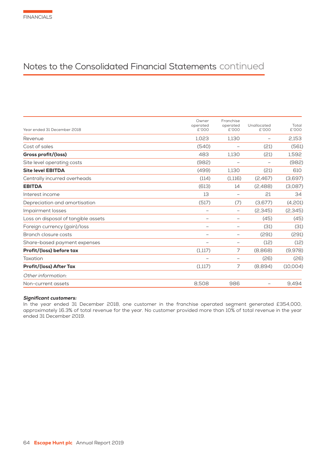| Year ended 31 December 2018         | Owner<br>operated<br>£'000 | Franchise<br>operated<br>£'000 | Unallocated<br>£'000 | Total<br>£'000 |
|-------------------------------------|----------------------------|--------------------------------|----------------------|----------------|
| Revenue                             | 1.023                      | 1.130                          | $\qquad \qquad -$    | 2.153          |
| Cost of sales                       | (540)                      |                                | (21)                 | (561)          |
| Gross profit/(loss)                 | 483                        | 1.130                          | (21)                 | 1,592          |
| Site level operating costs          | (982)                      |                                |                      | (982)          |
| <b>Site level EBITDA</b>            | (499)                      | 1,130                          | (21)                 | 610            |
| Centrally incurred overheads        | (114)                      | (1,116)                        | (2,467)              | (3,697)        |
| <b>EBITDA</b>                       | (613)                      | 14                             | (2,488)              | (3,087)        |
| Interest income                     | 13                         | $\overline{\phantom{0}}$       | 21                   | 34             |
| Depreciation and amortisation       | (517)                      | (7)                            | (3,677)              | (4,201)        |
| Impairment losses                   |                            | -                              | (2,345)              | (2, 345)       |
| Loss on disposal of tangible assets | $\overline{\phantom{0}}$   | $\overline{\phantom{0}}$       | (45)                 | (45)           |
| Foreign currency (gain)/loss        | $\overline{\phantom{0}}$   | -                              | (31)                 | (31)           |
| Branch closure costs                | $\qquad \qquad -$          | $\qquad \qquad -$              | (291)                | (291)          |
| Share-based payment expenses        |                            |                                | (12)                 | (12)           |
| Profit/(loss) before tax            | (1,117)                    | 7                              | (8.868)              | (9,978)        |
| Taxation                            |                            | -                              | (26)                 | (26)           |
| <b>Profit/(loss) After Tax</b>      | (1,117)                    | 7                              | (8,894)              | (10,004)       |
| Other information:                  |                            |                                |                      |                |
| Non-current assets                  | 8,508                      | 986                            |                      | 9,494          |

### Significant customers:

In the year ended 31 December 2018, one customer in the franchise operated segment generated £354,000, approximately 16.3% of total revenue for the year. No customer provided more than 10% of total revenue in the year ended 31 December 2019.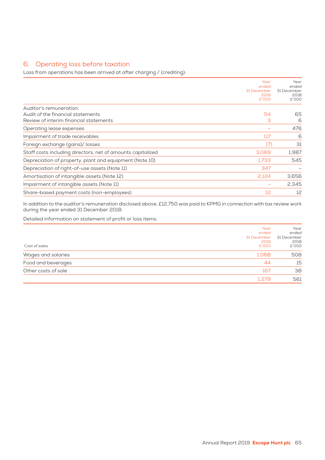### 6. Operating loss before taxation

Loss from operations has been arrived at after charging / (crediting):

|                                                             | Year<br>ended<br>31 December<br>2019<br>£'000 | Year<br>ended<br>31 December<br>2018<br>£'000 |
|-------------------------------------------------------------|-----------------------------------------------|-----------------------------------------------|
| Auditor's remuneration:                                     |                                               |                                               |
| Audit of the financial statements                           | 54                                            | 65                                            |
| Review of interim financial statements                      | 3                                             | 6                                             |
| Operating lease expenses                                    |                                               | 476                                           |
| Impairment of trade receivables                             | 117                                           | 6                                             |
| Foreign exchange (gains)/losses                             | (7)                                           | 31                                            |
| Staff costs including directors, net of amounts capitalized | 3.069                                         | 1,987                                         |
| Depreciation of property, plant and equipment (Note 10)     | 1.733                                         | 545                                           |
| Depreciation of right-of-use assets (Note 11)               | 347                                           |                                               |
| Amortisation of intangible assets (Note 12)                 | 2,124                                         | 3,656                                         |
| Impairment of intangible assets (Note 11)                   |                                               | 2,345                                         |
| Share-based payment costs (non-employees)                   | 12                                            | 12                                            |

In addition to the auditor's remuneration disclosed above, £12,750 was paid to KPMG in connection with tax review work during the year ended 31 December 2018.

Detailed information on statement of profit or loss items:

|                            | Year<br>ended                | Year<br>ended                |
|----------------------------|------------------------------|------------------------------|
| Cost of sales              | 31 December<br>2019<br>£'000 | 31 December<br>2018<br>£'000 |
| Wages and salaries         | 1,068                        | 508                          |
| Food and beverages         | 44                           | 15                           |
| Other costs of sale<br>167 | 38                           |                              |
|                            | 1.279                        | 561                          |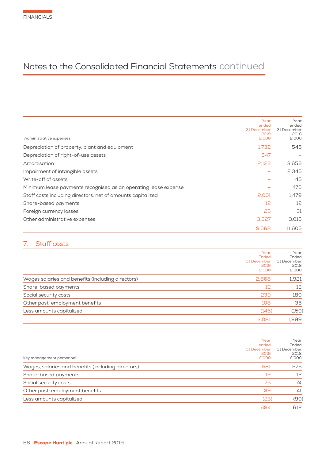|                                                                 | Year<br>ended<br>31 December<br>2019 | Year<br>ended<br>31 December<br>2018 |
|-----------------------------------------------------------------|--------------------------------------|--------------------------------------|
| Administrative expenses                                         | £'000                                | £'000                                |
| Depreciation of property, plant and equipment                   | 1.732                                | 545                                  |
| Depreciation of right-of-use assets                             | 347                                  |                                      |
| Amortisation                                                    | 2,123                                | 3,656                                |
| Impairment of intangible assets                                 |                                      | 2,345                                |
| Write-off of assets                                             |                                      | 45                                   |
| Minimum lease payments recognised as an operating lease expense |                                      | 476                                  |
| Staff costs including directors, net of amounts capitalized     | 2,001                                | 1,479                                |
| Share-based payments                                            | 12                                   | 12                                   |
| Foreign currency losses                                         | 26                                   | 31                                   |
| Other administrative expenses                                   | 3,327                                | 3,016                                |
|                                                                 | 9,568                                | 11.605                               |

## 7. Staff costs

|                                                   | Year<br>Ended<br>31 December<br>2019<br>£'000 | Year<br>Ended<br>31 December<br>2018<br>£'000 |
|---------------------------------------------------|-----------------------------------------------|-----------------------------------------------|
| Wages salaries and benefits (including directors) | 2,868                                         | 1,921                                         |
| Share-based payments                              | 12                                            | 12                                            |
| Social security costs                             | 239                                           | 180                                           |
| Other post-employment benefits                    | 108                                           | 36                                            |
| Less amounts capitalized                          | (146)                                         | (150)                                         |
|                                                   | 3,081                                         | 1,999                                         |

|                                                    | Year<br>ended                | Year<br>Ended                |
|----------------------------------------------------|------------------------------|------------------------------|
| Key management personnel:                          | 31 December<br>2019<br>£'000 | 31 December<br>2018<br>£'000 |
| Wages, salaries and benefits (including directors) | 581                          | 575                          |
| Share-based payments                               | 12                           | 12                           |
| Social security costs                              | 75                           | 74                           |
| Other post-employment benefits                     | 39                           | 41                           |
| Less amounts capitalized                           | (23)                         | (90)                         |
|                                                    | 684                          | 612                          |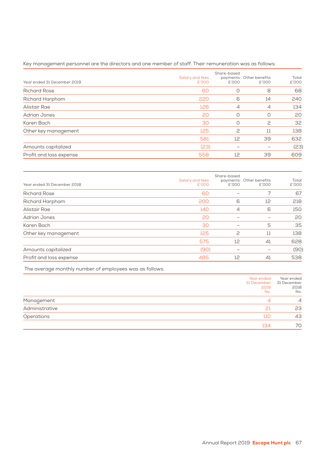### Key management personnel are the directors and one member of staff. Their remuneration was as follows:

| Year ended 31 December 2019 | Salary and fees<br>£'000 | Share-based<br>£'000 | payments Other benefits<br>£'000 | Total<br>£'000 |
|-----------------------------|--------------------------|----------------------|----------------------------------|----------------|
| <b>Richard Rose</b>         | 60                       | 0                    | 8                                | 68             |
| Richard Harpham             | 220                      | 6                    | 14                               | 240            |
| Alistair Rae                | 126                      | $\overline{4}$       | $\overline{4}$                   | 134            |
| Adrian Jones                | 20                       | 0                    | $\circ$                          | 20             |
| Karen Bach                  | 30                       | 0                    | 2                                | 32             |
| Other key management        | 125                      | 2                    | 11                               | 138            |
|                             | 581                      | 12                   | 39                               | 632            |
| Amounts capitalized         | (23)                     |                      |                                  | (23)           |
| Profit and loss expense     | 558                      | 12                   | 39                               | 609            |

| Year ended 31 December 2018 | Salary and fees<br>£'000 | Share-based<br>payments<br>£'000 | Other benefits<br>£'000 | Total<br>£'000 |
|-----------------------------|--------------------------|----------------------------------|-------------------------|----------------|
| <b>Richard Rose</b>         | 60                       | $\overline{\phantom{0}}$         |                         | 67             |
| Richard Harpham             | 200                      | 6                                | 12                      | 218            |
| Alistair Rae                | 140                      | 4                                | 6                       | 150            |
| Adrian Jones                | 20                       |                                  |                         | 20             |
| Karen Bach                  | 30                       |                                  | 5                       | 35             |
| Other key management        | 125                      | 2                                | 11                      | 138            |
|                             | 575                      | 12                               | 41                      | 628            |
| Amounts capitalized         | (90)                     | -                                |                         | (90)           |
| Profit and loss expense     | 485                      | 12                               | 41                      | 538            |

The average monthly number of employees was as follows:

|                | Year ended<br>31 December<br>2019<br>No. | Year ended<br>31 December<br>2018<br>No. |
|----------------|------------------------------------------|------------------------------------------|
| Management     |                                          | $\overline{\mathcal{A}}$                 |
| Administrative | 21                                       | 23                                       |
| Operations     | 110                                      | 43                                       |
|                | 134                                      | 70                                       |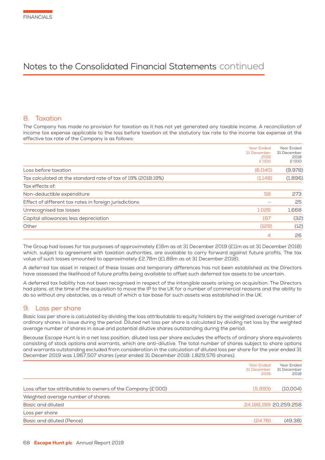### 8. Taxation

The Company has made no provision for taxation as it has not yet generated any taxable income. A reconciliation of income tax expense applicable to the loss before taxation at the statutory tax rate to the income tax expense at the effective tax rate of the Company is as follows:

|                                                              | <b>Year Ended</b><br>31 December<br>2019<br>£'000 | Year Ended<br>31 December<br>2018<br>£'000 |
|--------------------------------------------------------------|---------------------------------------------------|--------------------------------------------|
| Loss before taxation                                         | (6,040)                                           | (9,978)                                    |
| Tax calculated at the standard rate of tax of 19% (2018:19%) | (1,148)                                           | (1,896)                                    |
| Tax effects of:                                              |                                                   |                                            |
| Non-deductible expenditure                                   | 58                                                | 273                                        |
| Effect of different tax rates in foreign jurisdictions       |                                                   | 25                                         |
| Unrecognised tax losses                                      | 1.026                                             | 1,668                                      |
| Capital allowances less depreciation                         | 197                                               | (32)                                       |
| Other                                                        | (129)                                             | (12)                                       |
|                                                              | 4                                                 | 26                                         |

The Group had losses for tax purposes of approximately £16m as at 31 December 2019 (£11m as at 31 December 2018) which, subject to agreement with taxation authorities, are available to carry forward against future profits. The tax value of such losses amounted to approximately £2.78m (£1.88m as at 31 December 2018).

A deferred tax asset in respect of these losses and temporary differences has not been established as the Directors have assessed the likelihood of future profits being available to offset such deferred tax assets to be uncertain.

A deferred tax liability has not been recognised in respect of the intangible assets arising on acquisition. The Directors had plans, at the time of the acquisition to move the IP to the UK for a number of commercial reasons and the ability to do so without any obstacles, as a result of which a tax base for such assets was established in the UK.

### 9. Loss per share

Basic loss per share is calculated by dividing the loss attributable to equity holders by the weighted average number of ordinary shares in issue during the period. Diluted net loss per share is calculated by dividing net loss by the weighted average number of shares in issue and potential dilutive shares outstanding during the period.

Because Escape Hunt is in a net loss position, diluted loss per share excludes the effects of ordinary share equivalents consisting of stock options and warrants, which are anti-dilutive. The total number of shares subject to share options and warrants outstanding excluded from consideration in the calculation of diluted loss per share for the year ended 31 December 2019 was 1,967,507 shares (year ended 31 December 2018: 1,829,576 shares).

| <b>Year Ended</b><br>31 December<br>2019                                | Year Ended<br>31 December<br>2018 |
|-------------------------------------------------------------------------|-----------------------------------|
| (5.993)<br>Loss after tax attributable to owners of the Company (£'000) | (10,004)                          |
| Weighted average number of shares:                                      |                                   |
| Basic and diluted                                                       | 24,186,199 20,259,258             |
| Loss per share                                                          |                                   |
| Basic and diluted (Pence)<br>(24.78)                                    | (49.38)                           |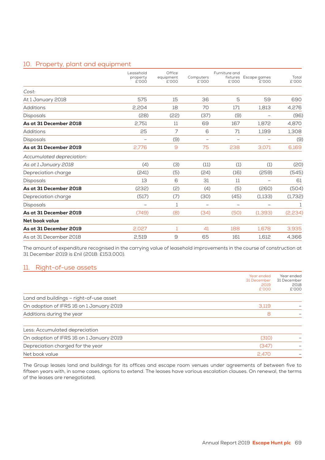### 10. Property, plant and equipment

|                           | Leasehold<br>property<br>£'000 | Office<br>equipment<br>£'000 | Computers<br>£'000       | Furniture and<br>£'000   | fixtures Escape games<br>E'000 | Total<br>£'000 |
|---------------------------|--------------------------------|------------------------------|--------------------------|--------------------------|--------------------------------|----------------|
| Cost:                     |                                |                              |                          |                          |                                |                |
| At 1 January 2018         | 575                            | 15                           | 36                       | 5                        | 59                             | 690            |
| Additions                 | 2.204                          | 18                           | 70                       | 171                      | 1,813                          | 4,276          |
| Disposals                 | (28)                           | (22)                         | (37)                     | (9)                      |                                | (96)           |
| As at 31 December 2018    | 2,751                          | 11                           | 69                       | 167                      | 1,872                          | 4,870          |
| Additions                 | 25                             | 7                            | 6                        | 71                       | 1,199                          | 1,308          |
| Disposals                 |                                | (9)                          | $\overline{\phantom{0}}$ | $\overline{\phantom{0}}$ |                                | (9)            |
| As at 31 December 2019    | 2,776                          | 9                            | 75                       | 238                      | 3,071                          | 6,169          |
| Accumulated depreciation: |                                |                              |                          |                          |                                |                |
| As at 1 January 2018      | (4)                            | (3)                          | (11)                     | (1)                      | (1)                            | (20)           |
| Depreciation charge       | (241)                          | (5)                          | (24)                     | (16)                     | (259)                          | (545)          |
| Disposals                 | 13                             | 6                            | 31                       | 11                       |                                | 61             |
| As at 31 December 2018    | (232)                          | (2)                          | (4)                      | (5)                      | (260)                          | (504)          |
| Depreciation charge       | (517)                          | (7)                          | (30)                     | (45)                     | (1,133)                        | (1,732)        |
| Disposals                 | $\overline{\phantom{a}}$       | 1                            | $\overline{\phantom{0}}$ | $\overline{\phantom{0}}$ |                                |                |
| As at 31 December 2019    | (749)                          | (8)                          | (34)                     | (50)                     | (1, 393)                       | (2,234)        |
| <b>Net book value</b>     |                                |                              |                          |                          |                                |                |
| As at 31 December 2019    | 2,027                          | 1                            | 41                       | 188                      | 1,678                          | 3,935          |
| As at 31 December 2018    | 2,519                          | 9                            | 65                       | 161                      | 1,612                          | 4,366          |

The amount of expenditure recognised in the carrying value of leasehold improvements in the course of construction at 31 December 2019 is £nil (2018: £153,000).

### 11. Right-of-use assets

| Year ended<br>31 December<br>2018<br>£'000 |
|--------------------------------------------|
|                                            |
|                                            |
|                                            |
|                                            |
|                                            |
|                                            |
|                                            |
|                                            |

The Group leases land and buildings for its offices and escape room venues under agreements of between five to fifteen years with, in some cases, options to extend. The leases have various escalation clauses. On renewal, the terms of the leases are renegotiated.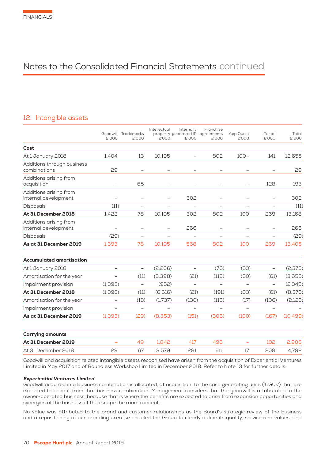### 12. Intangible assets

|                                                | £'000                    | Goodwill Trademarks<br>£'000 | Intellectual<br>£'000    | Internally<br>£'000      | Franchise<br>property generated IP agreements<br>£'000 | App Quest<br>£'000       | Portal<br>£'000          | Total<br>£'000 |
|------------------------------------------------|--------------------------|------------------------------|--------------------------|--------------------------|--------------------------------------------------------|--------------------------|--------------------------|----------------|
| Cost                                           |                          |                              |                          |                          |                                                        |                          |                          |                |
| At 1 January 2018                              | 1,404                    | 13                           | 10,195                   | Ξ.                       | 802                                                    | $100 -$                  | 141                      | 12,655         |
| Additions through business<br>combinations     | 29                       | $\qquad \qquad -$            | $\qquad \qquad -$        | $\overline{\phantom{0}}$ | $\overline{\phantom{0}}$                               |                          |                          | 29             |
| Additions arising from<br>acquisition          | $\overline{\phantom{a}}$ | 65                           |                          |                          |                                                        |                          | 128                      | 193            |
| Additions arising from<br>internal development | $\overline{\phantom{0}}$ |                              |                          | 302                      |                                                        |                          |                          | 302            |
| Disposals                                      | (11)                     | $\overline{\phantom{a}}$     | $\overline{\phantom{0}}$ |                          | $\overline{\phantom{0}}$                               | $\overline{\phantom{0}}$ | $\overline{\phantom{0}}$ | (11)           |
| At 31 December 2018                            | 1.422                    | 78                           | 10,195                   | 302                      | 802                                                    | 100                      | 269                      | 13,168         |
| Additions arising from<br>internal development | $\overline{\phantom{m}}$ | $\qquad \qquad -$            | $\overline{\phantom{0}}$ | 266                      | -                                                      | $\overline{\phantom{0}}$ | $\overline{\phantom{0}}$ | 266            |
| Disposals                                      | (29)                     | $\overline{\phantom{a}}$     | $\overline{\phantom{0}}$ |                          | Ξ.                                                     |                          | $\overline{\phantom{0}}$ | (29)           |
| As at 31 December 2019                         | 1.393                    | 78                           | 10.195                   | 568                      | 802                                                    | 100                      | 269                      | 13,405         |
| <b>Accumulated amortisation</b>                |                          |                              |                          |                          |                                                        |                          |                          |                |
| At 1 January 2018                              | $\overline{\phantom{m}}$ | $\overline{\phantom{0}}$     | (2,266)                  | $\overline{\phantom{0}}$ | (76)                                                   | (33)                     | $\overline{\phantom{0}}$ | (2,375)        |
| Amortisation for the year                      | $\overline{\phantom{0}}$ | (11)                         | (3,398)                  | (21)                     | (115)                                                  | (50)                     | (61)                     | (3,656)        |
| Impairment provision                           | (1, 393)                 | $\overline{\phantom{a}}$     | (952)                    |                          | $\overline{\phantom{0}}$                               |                          | $\overline{\phantom{0}}$ | (2, 345)       |
| At 31 December 2018                            | (1, 393)                 | (11)                         | (6,616)                  | (21)                     | (191)                                                  | (83)                     | (61)                     | (8,376)        |
| Amortisation for the year                      | $\overline{\phantom{0}}$ | (18)                         | (1,737)                  | (130)                    | (115)                                                  | (17)                     | (106)                    | (2,123)        |
| Impairment provision                           |                          |                              |                          |                          |                                                        |                          |                          |                |
| As at 31 December 2019                         | (1, 393)                 | (29)                         | (8,353)                  | (151)                    | (306)                                                  | (100)                    | (167)                    | (10, 499)      |
| <b>Carrying amounts</b>                        |                          |                              |                          |                          |                                                        |                          |                          |                |
| At 31 December 2019                            | $\sim$                   | 49                           | 1.842                    | 417                      | 496                                                    | ÷                        | 102                      | 2,906          |
| At 31 December 2018                            | 29                       | 67                           | 3.579                    | 281                      | 611                                                    | 17                       | 208                      | 4,792          |

Goodwill and acquisition related intangible assets recognised have arisen from the acquisition of Experiential Ventures Limited in May 2017 and of Boundless Workshop Limited in December 2018. Refer to Note 13 for further details.

### Experiential Ventures Limited

Goodwill acquired in a business combination is allocated, at acquisition, to the cash generating units ('CGUs') that are expected to benefit from that business combination. Management considers that the goodwill is attributable to the owner-operated business, because that is where the benefits are expected to arise from expansion opportunities and synergies of the business of the escape the room concept.

No value was attributed to the brand and customer relationships as the Board's strategic review of the business and a repositioning of our branding exercise enabled the Group to clearly define its quality, service and values, and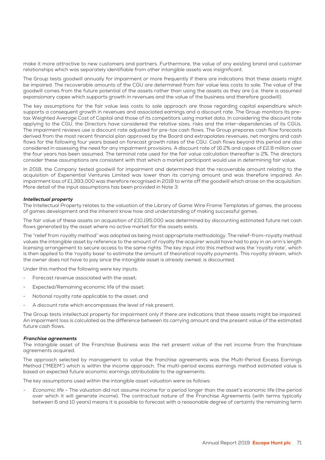make it more attractive to new customers and partners. Furthermore, the value of any existing brand and customer relationships which was separately identifiable from other intangible assets was insignificant.

The Group tests goodwill annually for impairment or more frequently if there are indications that these assets might be impaired. The recoverable amounts of the CGU are determined from fair value less costs to sale. The value of the goodwill comes from the future potential of the assets rather than using the assets as they are (i.e. there is assumed expansionary capex which supports growth in revenues and the value of the business and therefore goodwill).

The key assumptions for the fair value less costs to sale approach are those regarding capital expenditure which supports a consequent growth in revenues and associated earnings and a discount rate. The Group monitors its pretax Weighted Average Cost of Capital and those of its competitors using market data. In considering the discount rate applying to the CGU, the Directors have considered the relative sizes, risks and the inter-dependencies of its CGUs. The impairment reviews use a discount rate adjusted for pre-tax cash flows. The Group prepares cash flow forecasts derived from the most recent financial plan approved by the Board and extrapolates revenues, net margins and cash flows for the following four years based on forecast growth rates of the CGU. Cash flows beyond this period are also considered in assessing the need for any impairment provisions. A discount rate of 16.2% and capex of £2.8 million over the four years has been assumed. The terminal rate used for the fair value calculation thereafter is 2%. The directors consider these assumptions are consistent with that which a market participant would use in determining fair value.

In 2018, the Company tested goodwill for impairment and determined that the recoverable amount relating to the acquisition of Experiential Ventures Limited was lower than its carrying amount and was therefore impaired. An impairment loss of £1,393,000 was therefore recognised in 2018 to write off the goodwill which arose on the acquisition. More detail of the input assumptions has been provided in Note 3.

### Intellectual property

The Intellectual Property relates to the valuation of the Library of Game Wire Frame Templates of games, the process of games development and the inherent know how and understanding of making successful games.

The fair value of these assets on acquisition of £10,195,000 was determined by discounting estimated future net cash flows generated by the asset where no active market for the assets exists.

The "relief from royalty method" was adopted as being most appropriate methodology. The relief-from-royalty method values the intangible asset by reference to the amount of royalty the acquirer would have had to pay in an arm's length licensing arrangement to secure access to the same rights. The key input into this method was the 'royalty rate', which is then applied to the 'royalty base' to estimate the amount of theoretical royalty payments. This royalty stream, which the owner does not have to pay since the intangible asset is already owned, is discounted.

Under this method the following were key inputs:

- Forecast revenue associated with the asset;
- Expected/Remaining economic life of the asset;
- Notional royalty rate applicable to the asset; and
- A discount rate which encompasses the level of risk present.

The Group tests intellectual property for impairment only if there are indications that these assets might be impaired. An impairment loss is calculated as the difference between its carrying amount and the present value of the estimated future cash flows.

### Franchise agreements

The intangible asset of the Franchise Business was the net present value of the net income from the franchisee agreements acquired.

The approach selected by management to value the franchise agreements was the Multi-Period Excess Earnings Method ("MEEM") which is within the income approach. The multi-period excess earnings method estimated value is based on expected future economic earnings attributable to the agreements.

The key assumptions used within the intangible asset valuation were as follows:

Economic life - The valuation did not assume income for a period longer than the asset's economic life (the period over which it will generate income). The contractual nature of the Franchise Agreements (with terms typically between 6 and 10 years) means it is possible to forecast with a reasonable degree of certainty the remaining term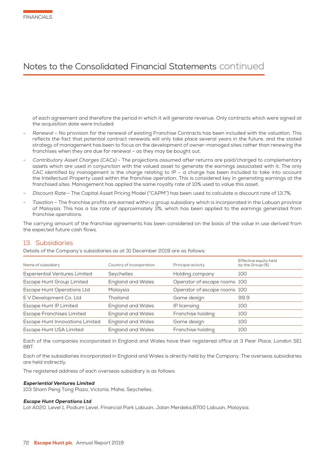of each agreement and therefore the period in which it will generate revenue. Only contracts which were signed at the acquisition date were included.

- Renewal No provision for the renewal of existing Franchise Contracts has been included with the valuation. This reflects the fact that potential contract renewals will only take place several years in the future, and the stated strategy of management has been to focus on the development of owner-managed sites rather than renewing the franchises when they are due for renewal – as they may be bought out.
- Contributory Asset Charges (CACs) The projections assumed after returns are paid/charged to complementary assets which are used in conjunction with the valued asset to generate the earnings associated with it. The only CAC identified by management is the charge relating to IP – a charge has been included to take into account the Intellectual Property used within the franchise operation. This is considered key in generating earnings at the franchised sites. Management has applied the same royalty rate of 10% used to value this asset.
- Discount Rate The Capital Asset Pricing Model ("CAPM") has been used to calculate a discount rate of 13.7%.
- Taxation The franchise profits are earned within a group subsidiary which is incorporated in the Labuan province of Malaysia. This has a tax rate of approximately 3%, which has been applied to the earnings generated from franchise operations.

The carrying amount of the franchise agreements has been considered on the basis of the value in use derived from the expected future cash flows.

# 13. Subsidiaries

Details of the Company's subsidiaries as at 31 December 2019 are as follows:

| Country of incorporation | Principal activity           | Effective equity held<br>by the Group (%) |
|--------------------------|------------------------------|-------------------------------------------|
| Seychelles               | Holding company              | 100                                       |
| <b>England and Wales</b> | Operator of escape rooms 100 |                                           |
| Malaysia                 | Operator of escape rooms 100 |                                           |
| Thailand                 | Game design                  | 99.9                                      |
| England and Wales        | IP licensing                 | 100                                       |
| England and Wales        | Franchise holding            | 100                                       |
| England and Wales        | Game design                  | 100                                       |
| England and Wales        | Franchise holding            | 100                                       |
|                          |                              |                                           |

Each of the companies incorporated in England and Wales have their registered office at 3 Pear Place, London SE1 8BT.

Each of the subsidiaries incorporated in England and Wales is directly held by the Company. The overseas subsidiaries are held indirectly.

The registered address of each overseas subsidiary is as follows:

#### Experiential Ventures Limited

103 Sham Peng Tong Plaza, Victoria, Mahe, Seychelles.

#### Escape Hunt Operations Ltd

Lot A020, Level 1, Podium Level, Financial Park Labuan, Jalan Merdeka,8700 Labuan, Malaysia.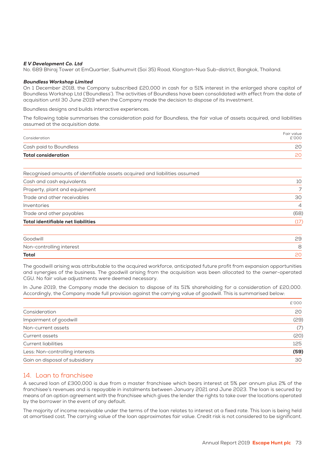#### E V Development Co. Ltd

No. 689 Bhiraj Tower at EmQuartier, Sukhumvit (Soi 35) Road, Klongton-Nua Sub-district, Bangkok, Thailand.

#### Boundless Workshop Limited

On 1 December 2018, the Company subscribed £20,000 in cash for a 51% interest in the enlarged share capital of Boundless Workshop Ltd ('Boundless'). The activities of Boundless have been consolidated with effect from the date of acquisition until 30 June 2019 when the Company made the decision to dispose of its investment.

Boundless designs and builds interactive experiences.

The following table summarises the consideration paid for Boundless, the fair value of assets acquired, and liabilities assumed at the acquisition date.

| Consideration              | Fair value<br>£'000 |
|----------------------------|---------------------|
| Cash paid to Boundless     |                     |
| <b>Total consideration</b> |                     |

| Recognised amounts of identifiable assets acquired and liabilities assumed |    |
|----------------------------------------------------------------------------|----|
| Cash and cash equivalents                                                  | 10 |
| Property, plant and equipment                                              |    |
| Trade and other receivables                                                | 30 |
| Inventories                                                                |    |
|                                                                            |    |

| Trade and other payables           |  |
|------------------------------------|--|
| Total identifiable net liabilities |  |

| Goodwill                 |  |
|--------------------------|--|
| Non-controlling interest |  |
| <b>Total</b>             |  |

The goodwill arising was attributable to the acquired workforce, anticipated future profit from expansion opportunities and synergies of the business. The goodwill arising from the acquisition was been allocated to the owner-operated CGU. No fair value adjustments were deemed necessary.

In June 2019, the Company made the decision to dispose of its 51% shareholding for a consideration of £20,000. Accordingly, the Company made full provision against the carrying value of goodwill. This is summarised below:

|                                 | £'000 |
|---------------------------------|-------|
| Consideration                   | 20    |
| Impairment of goodwill          | (29)  |
| Non-current assets              | (7)   |
| Current assets                  | (20)  |
| <b>Current liabilities</b>      | 125   |
| Less: Non-controlling interests | (59)  |
| Gain on disposal of subsidiary  | 30    |

# 14. Loan to franchisee

A secured loan of £300,000 is due from a master franchisee which bears interest at 5% per annum plus 2% of the franchisee's revenues and is repayable in instalments between January 2021 and June 2023. The loan is secured by means of an option agreement with the franchisee which gives the lender the rights to take over the locations operated by the borrower in the event of any default.

The majority of income receivable under the terms of the loan relates to interest at a fixed rate. This loan is being held at amortised cost. The carrying value of the loan approximates fair value. Credit risk is not considered to be significant.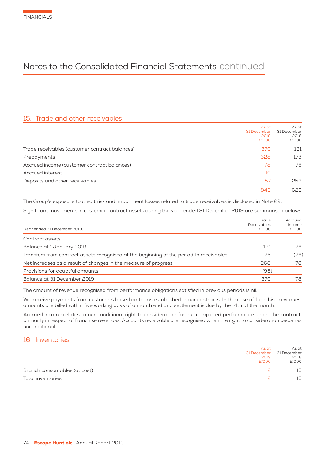# 15. Trade and other receivables

|                                                | As at<br>31 December<br>2019<br>£'000 | As at<br>31 December<br>2018<br>£'000 |
|------------------------------------------------|---------------------------------------|---------------------------------------|
| Trade receivables (customer contract balances) | 370                                   | 121                                   |
| Prepayments                                    | 328                                   | 173                                   |
| Accrued income (customer contract balances)    | 78                                    | 76                                    |
| Accrued interest                               | 10                                    |                                       |
| Deposits and other receivables                 | 57                                    | 252                                   |
|                                                | 843                                   | 622                                   |

The Group's exposure to credit risk and impairment losses related to trade receivables is disclosed in Note 29.

Significant movements in customer contract assets during the year ended 31 December 2019 are summarised below:

| Year ended 31 December 2019:                                                            | Trade<br>Receivables<br>£'000 | Accrued<br>income<br>£'000 |
|-----------------------------------------------------------------------------------------|-------------------------------|----------------------------|
| Contract assets:                                                                        |                               |                            |
| Balance at 1 January 2019                                                               | 121                           | 76                         |
| Transfers from contract assets recognised at the beginning of the period to receivables | 76                            | (76)                       |
| Net increases as a result of changes in the measure of progress                         | 268                           | 78                         |
| Provisions for doubtful amounts                                                         | (95)                          |                            |
| Balance at 31 December 2019                                                             | 370                           | 78                         |

The amount of revenue recognised from performance obligations satisfied in previous periods is nil.

We receive payments from customers based on terms established in our contracts. In the case of franchise revenues, amounts are billed within five working days of a month end and settlement is due by the 14th of the month.

Accrued income relates to our conditional right to consideration for our completed performance under the contract, primarily in respect of franchise revenues. Accounts receivable are recognised when the right to consideration becomes unconditional.

### 16. Inventories

| As at<br>2019<br>£'000       | As at<br>31 December 31 December<br>2018<br>£'000 |
|------------------------------|---------------------------------------------------|
| Branch consumables (at cost) | 15                                                |
| Total inventories            | 15                                                |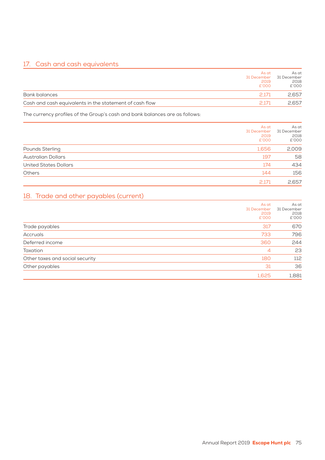# 17. Cash and cash equivalents

| As at<br>31 December 31 December<br>2019<br>£'000               | As at<br>2018<br>£'000 |
|-----------------------------------------------------------------|------------------------|
| Bank balances<br>2171                                           | 2.657                  |
| Cash and cash equivalents in the statement of cash flow<br>2171 | 2.657                  |

The currency profiles of the Group's cash and bank balances are as follows:

|                              | As at<br>31 December<br>2019<br>£'000 | As at<br>31 December<br>2018<br>£'000 |
|------------------------------|---------------------------------------|---------------------------------------|
| Pounds Sterling              | 1,656                                 | 2,009                                 |
| <b>Australian Dollars</b>    | 197                                   | 58                                    |
| <b>United States Dollars</b> | 174                                   | 434                                   |
| Others                       | 144                                   | 156                                   |
|                              | 2,171                                 | 2,657                                 |

# 18. Trade and other payables (current)

|                                 | As at<br>31 December<br>2019<br>£'000 | As at<br>31 December<br>2018<br>£'000 |
|---------------------------------|---------------------------------------|---------------------------------------|
| Trade payables                  | 317                                   | 670                                   |
| Accruals                        | 733                                   | 796                                   |
| Deferred income                 | 360                                   | 244                                   |
| Taxation                        | $\overline{4}$                        | 23                                    |
| Other taxes and social security | 180                                   | 112                                   |
| 31<br>Other payables            | 36                                    |                                       |
|                                 | 1,625                                 | 1,881                                 |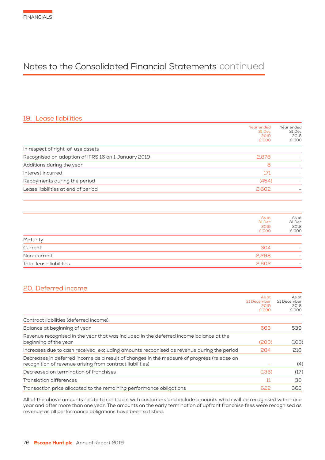# 19. Lease liabilities

|                                                     | Year ended<br>31 Dec<br>2019<br>£'000 | Year ended<br>31 Dec<br>2018<br>£'000 |
|-----------------------------------------------------|---------------------------------------|---------------------------------------|
| In respect of right-of-use assets                   |                                       |                                       |
| Recognised on adoption of IFRS 16 on 1 January 2019 | 2,878                                 |                                       |
| Additions during the year                           | 8                                     |                                       |
| Interest incurred                                   | 171                                   |                                       |
| Repayments during the period                        | (454)                                 |                                       |
| Lease liabilities at end of period                  | 2,602                                 |                                       |

|                         | As at  | As at                    |
|-------------------------|--------|--------------------------|
|                         | 31 Dec | 31 Dec                   |
|                         | 2019   | 2018                     |
|                         | £'000  | £'000                    |
| Maturity                |        |                          |
| Current                 | 304    |                          |
| Non-current             | 2,298  | $\overline{\phantom{m}}$ |
| Total lease liabilities | 2,602  | -                        |

# 20. Deferred income

|                                                                                                                                                         | As at<br>31 December<br>2019<br>£'000 | As at<br>31 December<br>2018<br>£'000 |
|---------------------------------------------------------------------------------------------------------------------------------------------------------|---------------------------------------|---------------------------------------|
| Contract liabilities (deferred income):                                                                                                                 |                                       |                                       |
| Balance at beginning of year                                                                                                                            | 663                                   | 539                                   |
| Revenue recognised in the year that was included in the deferred income balance at the<br>beginning of the year                                         | (200)                                 | (103)                                 |
| Increases due to cash received, excluding amounts recognised as revenue during the period                                                               | 284                                   | 218                                   |
| Decreases in deferred income as a result of changes in the measure of progress (release on<br>recognition of revenue arising from contract liabilities) |                                       | (4)                                   |
| Decreased on termination of franchises                                                                                                                  | (136)                                 | (17)                                  |
| Translation differences                                                                                                                                 | 11                                    | 30                                    |
| Transaction price allocated to the remaining performance obligations                                                                                    | 622                                   | 663                                   |

All of the above amounts relate to contracts with customers and include amounts which will be recognised within one year and after more than one year. The amounts on the early termination of upfront franchise fees were recognised as revenue as all performance obligations have been satisfied.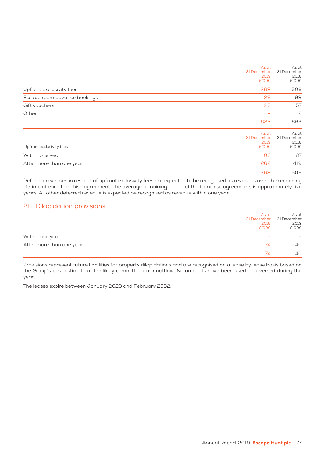|                              | As at<br>31 December<br>2019<br>£'000 | As at<br>31 December<br>2018<br>£'000 |
|------------------------------|---------------------------------------|---------------------------------------|
| Upfront exclusivity fees     | 368                                   | 506                                   |
| Escape room advance bookings | 129                                   | 98                                    |
| Gift vouchers                | 125                                   | 57                                    |
| Other                        |                                       | $\mathsf{P}$                          |
|                              | 622                                   | 663                                   |
| Upfront exclusivity fees     | As at<br>31 December<br>2019<br>£'000 | As at<br>31 December<br>2018<br>£'000 |
| Within one year              | 106                                   | 87                                    |
| After more than one year     | 262                                   | 419                                   |
|                              | 368                                   | 506                                   |

Deferred revenues in respect of upfront exclusivity fees are expected to be recognised as revenues over the remaining lifetime of each franchise agreement. The average remaining period of the franchise agreements is approximately five years. All other deferred revenue is expected be recognised as revenue within one year

### 21. Dilapidation provisions

|                          | As at<br>31 December 31 December<br>2019<br>£'000 | As at<br>2018<br>£'000 |
|--------------------------|---------------------------------------------------|------------------------|
| Within one year          |                                                   |                        |
| After more than one year | 74                                                | 40                     |
|                          | 74                                                | 40                     |

Provisions represent future liabilities for property dilapidations and are recognised on a lease by lease basis based on the Group's best estimate of the likely committed cash outflow. No amounts have been used or reversed during the year.

The leases expire between January 2023 and February 2032.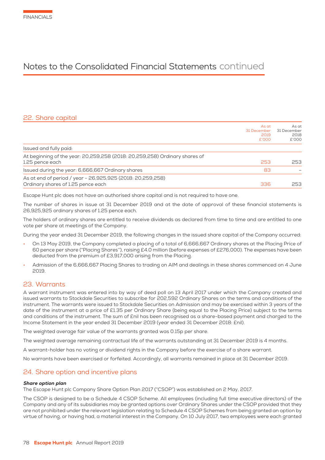# 22. Share capital

|                                                                                                  | As at<br>31 December<br>2019<br>£'000 | As at<br>31 December<br>2018<br>£'000 |
|--------------------------------------------------------------------------------------------------|---------------------------------------|---------------------------------------|
| Issued and fully paid:                                                                           |                                       |                                       |
| At beginning of the year: 20,259,258 (2018: 20,259,258) Ordinary shares of<br>1.25 pence each    | 253                                   | 253                                   |
| Issued during the year: 6,666,667 Ordinary shares                                                | 83                                    |                                       |
| As at end of period / year - 26,925,925 (2018: 20,259,258)<br>Ordinary shares of 1.25 pence each | 336                                   | 253                                   |

Escape Hunt plc does not have an authorised share capital and is not required to have one.

The number of shares in issue at 31 December 2019 and at the date of approval of these financial statements is 26,925,925 ordinary shares of 1.25 pence each.

The holders of ordinary shares are entitled to receive dividends as declared from time to time and are entitled to one vote per share at meetings of the Company.

During the year ended 31 December 2019, the following changes in the issued share capital of the Company occurred:

- On 13 May 2019, the Company completed a placing of a total of 6,666,667 Ordinary shares at the Placing Price of 60 pence per share ("Placing Shares''), raising £4.0 million (before expenses of £276,000). The expenses have been deducted from the premium of £3,917,000 arising from the Placing.
- Admission of the 6,666,667 Placing Shares to trading on AIM and dealings in these shares commenced on 4 June 2019.

# 23. Warrants

A warrant instrument was entered into by way of deed poll on 13 April 2017 under which the Company created and issued warrants to Stockdale Securities to subscribe for 202,592 Ordinary Shares on the terms and conditions of the instrument. The warrants were issued to Stockdale Securities on Admission and may be exercised within 3 years of the date of the instrument at a price of £1.35 per Ordinary Share (being equal to the Placing Price) subject to the terms and conditions of the instrument. The sum of £nil has been recognised as a share-based payment and charged to the Income Statement in the year ended 31 December 2019 (year ended 31 December 2018: £nil).

The weighted average fair value of the warrants granted was 0.15p per share.

The weighted average remaining contractual life of the warrants outstanding at 31 December 2019 is 4 months.

A warrant-holder has no voting or dividend rights in the Company before the exercise of a share warrant.

No warrants have been exercised or forfeited. Accordingly, all warrants remained in place at 31 December 2019.

# 24. Share option and incentive plans

#### Share option plan

The Escape Hunt plc Company Share Option Plan 2017 ("CSOP") was established on 2 May, 2017.

The CSOP is designed to be a Schedule 4 CSOP Scheme. All employees (including full time executive directors) of the Company and any of its subsidiaries may be granted options over Ordinary Shares under the CSOP provided that they are not prohibited under the relevant legislation relating to Schedule 4 CSOP Schemes from being granted an option by virtue of having, or having had, a material interest in the Company. On 10 July 2017, two employees were each granted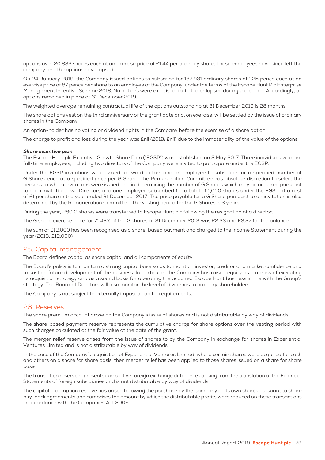options over 20,833 shares each at an exercise price of £1.44 per ordinary share. These employees have since left the company and the options have lapsed.

On 24 January 2019, the Company issued options to subscribe for 137,931 ordinary shares of 1.25 pence each at an exercise price of 87 pence per share to an employee of the Company, under the terms of the Escape Hunt Plc Enterprise Management Incentive Scheme 2018. No options were exercised, forfeited or lapsed during the period. Accordingly, all options remained in place at 31 December 2019.

The weighted average remaining contractual life of the options outstanding at 31 December 2019 is 28 months.

The share options vest on the third anniversary of the grant date and, on exercise, will be settled by the issue of ordinary shares in the Company.

An option-holder has no voting or dividend rights in the Company before the exercise of a share option.

The charge to profit and loss during the year was £nil (2018: £nil) due to the immateriality of the value of the options.

#### Share incentive plan

The Escape Hunt plc Executive Growth Share Plan ("EGSP") was established on 2 May 2017. Three individuals who are full-time employees, including two directors of the Company were invited to participate under the EGSP.

Under the EGSP invitations were issued to two directors and an employee to subscribe for a specified number of G Shares each at a specified price per G Share. The Remuneration Committee has absolute discretion to select the persons to whom invitations were issued and in determining the number of G Shares which may be acquired pursuant to each invitation. Two Directors and one employee subscribed for a total of 1,000 shares under the EGSP at a cost of £1 per share in the year ended 31 December 2017. The price payable for a G Share pursuant to an invitation is also determined by the Remuneration Committee. The vesting period for the G Shares is 3 years.

During the year, 280 G shares were transferred to Escape Hunt plc following the resignation of a director.

The G share exercise price for 71.43% of the G shares at 31 December 2019 was £2.33 and £3.37 for the balance.

The sum of £12,000 has been recognised as a share-based payment and charged to the Income Statement during the year (2018: £12,000)

### 25. Capital management

The Board defines capital as share capital and all components of equity.

The Board's policy is to maintain a strong capital base so as to maintain investor, creditor and market confidence and to sustain future development of the business. In particular, the Company has raised equity as a means of executing its acquisition strategy and as a sound basis for operating the acquired Escape Hunt business in line with the Group's strategy. The Board of Directors will also monitor the level of dividends to ordinary shareholders.

The Company is not subject to externally imposed capital requirements.

#### 26. Reserves

The share premium account arose on the Company's issue of shares and is not distributable by way of dividends.

The share-based payment reserve represents the cumulative charge for share options over the vesting period with such charges calculated at the fair value at the date of the grant.

The merger relief reserve arises from the issue of shares to by the Company in exchange for shares in Experiential Ventures Limited and is not distributable by way of dividends.

In the case of the Company's acquisition of Experiential Ventures Limited, where certain shares were acquired for cash and others on a share for share basis, then merger relief has been applied to those shares issued on a share for share basis.

The translation reserve represents cumulative foreign exchange differences arising from the translation of the Financial Statements of foreign subsidiaries and is not distributable by way of dividends.

The capital redemption reserve has arisen following the purchase by the Company of its own shares pursuant to share buy-back agreements and comprises the amount by which the distributable profits were reduced on these transactions in accordance with the Companies Act 2006.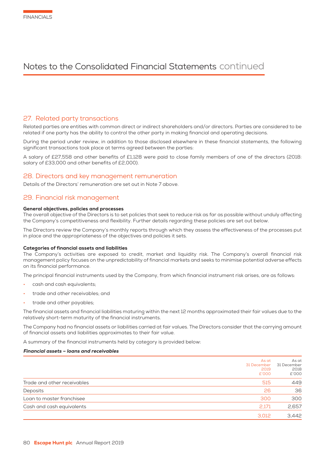# 27. Related party transactions

Related parties are entities with common direct or indirect shareholders and/or directors. Parties are considered to be related if one party has the ability to control the other party in making financial and operating decisions.

During the period under review, in addition to those disclosed elsewhere in these financial statements, the following significant transactions took place at terms agreed between the parties:

A salary of £27,558 and other benefits of £1,128 were paid to close family members of one of the directors (2018: salary of £33,000 and other benefits of £2,000).

# 28. Directors and key management remuneration

Details of the Directors' remuneration are set out in Note 7 above.

# 29. Financial risk management

#### General objectives, policies and processes

The overall objective of the Directors is to set policies that seek to reduce risk as far as possible without unduly affecting the Company's competitiveness and flexibility. Further details regarding these policies are set out below.

The Directors review the Company's monthly reports through which they assess the effectiveness of the processes put in place and the appropriateness of the objectives and policies it sets.

#### Categories of financial assets and liabilities

The Company's activities are exposed to credit, market and liquidity risk. The Company's overall financial risk management policy focuses on the unpredictability of financial markets and seeks to minimise potential adverse effects on its financial performance.

The principal financial instruments used by the Company, from which financial instrument risk arises, are as follows:

- cash and cash equivalents;
- trade and other receivables; and
- trade and other payables;

The financial assets and financial liabilities maturing within the next 12 months approximated their fair values due to the relatively short-term maturity of the financial instruments.

The Company had no financial assets or liabilities carried at fair values. The Directors consider that the carrying amount of financial assets and liabilities approximates to their fair value.

A summary of the financial instruments held by category is provided below:

#### Financial assets – loans and receivables

|                             | As at<br>31 December<br>2019<br>£'000 | As at<br>31 December<br>2018<br>£'000 |
|-----------------------------|---------------------------------------|---------------------------------------|
| Trade and other receivables | 515                                   | 449                                   |
| Deposits                    | 26                                    | 36                                    |
| Loan to master franchisee   | 300                                   | 300                                   |
| Cash and cash equivalents   | 2,171                                 | 2,657                                 |
|                             | 3.012                                 | 3.442                                 |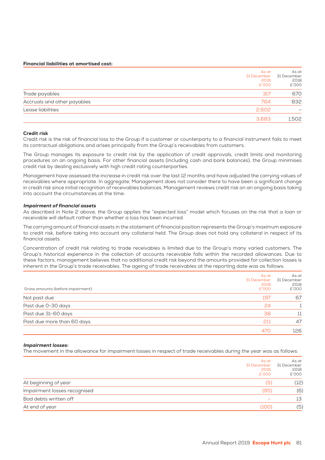#### Financial liabilities at amortised cost:

|                             | As at<br>31 December<br>2019<br>£'000 | As at<br>31 December<br>2018<br>£'000 |
|-----------------------------|---------------------------------------|---------------------------------------|
| Trade payables              | 317                                   | 670                                   |
| Accruals and other payables | 764                                   | 832                                   |
| Lease liabilities           | 2,602                                 |                                       |
|                             | 3.683                                 | 1,502                                 |

#### Credit risk

Credit risk is the risk of financial loss to the Group if a customer or counterparty to a financial instrument fails to meet its contractual obligations and arises principally from the Group's receivables from customers.

The Group manages its exposure to credit risk by the application of credit approvals, credit limits and monitoring procedures on an ongoing basis. For other financial assets (including cash and bank balances), the Group minimises credit risk by dealing exclusively with high credit rating counterparties.

Management have assessed the increase in credit risk over the last 12 months and have adjusted the carrying values of receivables where appropriate. In aggregate, Management does not consider there to have been a significant change in credit risk since initial recognition of receivables balances. Management reviews credit risk on an ongoing basis taking into account the circumstances at the time.

#### Impairment of financial assets

As described in Note 2 above, the Group applies the "expected loss" model which focuses on the risk that a loan or receivable will default rather than whether a loss has been incurred.

The carrying amount of financial assets in the statement of financial position represents the Group's maximum exposure to credit risk, before taking into account any collateral held. The Group does not hold any collateral in respect of its financial assets.

Concentration of credit risk relating to trade receivables is limited due to the Group's many varied customers. The Group's historical experience in the collection of accounts receivable falls within the recorded allowances. Due to these factors, management believes that no additional credit risk beyond the amounts provided for collection losses is inherent in the Group's trade receivables. The ageing of trade receivables at the reporting date was as follows:

| Gross amounts (before impairment): | As at<br>31 December<br>2019<br>£'000 | As at<br>31 December<br>2018<br>£'000 |
|------------------------------------|---------------------------------------|---------------------------------------|
| Not past due                       | 197                                   | 67                                    |
| Past due 0-30 days                 | 24                                    |                                       |
| Past due 31-60 days                | 38                                    | 11                                    |
| Past due more than 60 days         | 211                                   | 47                                    |
|                                    | 47C                                   | 126                                   |

#### Impairment losses:

The movement in the allowance for impairment losses in respect of trade receivables during the year was as follows:

|                              | As at<br>31 December<br>2019<br>£'000 | As at<br>31 December<br>2018<br>£'000 |
|------------------------------|---------------------------------------|---------------------------------------|
| At beginning of year         | (5)                                   | (12)                                  |
| Impairment losses recognised | (95)                                  | (6)                                   |
| Bad debts written off        |                                       | 13                                    |
| At end of year               | (100)                                 | (5)                                   |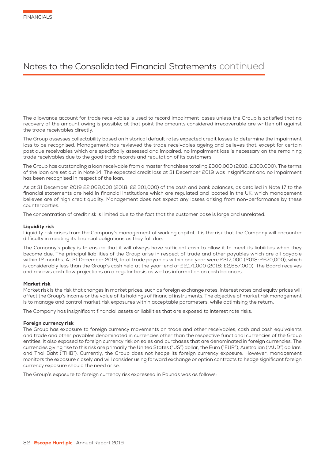The allowance account for trade receivables is used to record impairment losses unless the Group is satisfied that no recovery of the amount owing is possible; at that point the amounts considered irrecoverable are written off against the trade receivables directly.

The Group assesses collectability based on historical default rates expected credit losses to determine the impairment loss to be recognised. Management has reviewed the trade receivables ageing and believes that, except for certain past due receivables which are specifically assessed and impaired, no impairment loss is necessary on the remaining trade receivables due to the good track records and reputation of its customers.

The Group has outstanding a loan receivable from a master franchisee totaling £300,000 (2018: £300,000). The terms of the loan are set out in Note 14. The expected credit loss at 31 December 2019 was insignificant and no impairment has been recognised in respect of the loan.

As at 31 December 2019 £2,068,000 (2018: £2,301,000) of the cash and bank balances, as detailed in Note 17 to the financial statements are held in financial institutions which are regulated and located in the UK, which management believes are of high credit quality. Management does not expect any losses arising from non-performance by these counterparties.

The concentration of credit risk is limited due to the fact that the customer base is large and unrelated.

#### Liquidity risk

Liquidity risk arises from the Company's management of working capital. It is the risk that the Company will encounter difficulty in meeting its financial obligations as they fall due.

The Company's policy is to ensure that it will always have sufficient cash to allow it to meet its liabilities when they become due. The principal liabilities of the Group arise in respect of trade and other payables which are all payable within 12 months. At 31 December 2019, total trade payables within one year were £317,000 (2018: £670,000), which is considerably less than the Group's cash held at the year-end of £2,171,000 (2018: £2,657,000). The Board receives and reviews cash flow projections on a regular basis as well as information on cash balances.

#### Market risk

Market risk is the risk that changes in market prices, such as foreign exchange rates, interest rates and equity prices will affect the Group's income or the value of its holdings of financial instruments. The objective of market risk management is to manage and control market risk exposures within acceptable parameters, while optimising the return.

The Company has insignificant financial assets or liabilities that are exposed to interest rate risks.

#### Foreign currency risk

The Group has exposure to foreign currency movements on trade and other receivables, cash and cash equivalents and trade and other payables denominated in currencies other than the respective functional currencies of the Group entities. It also exposed to foreign currency risk on sales and purchases that are denominated in foreign currencies. The currencies giving rise to this risk are primarily the United States ("US") dollar, the Euro ("EUR"), Australian ("AUD") dollars, and Thai Baht ("THB"). Currently, the Group does not hedge its foreign currency exposure. However, management monitors the exposure closely and will consider using forward exchange or option contracts to hedge significant foreign currency exposure should the need arise.

The Group's exposure to foreign currency risk expressed in Pounds was as follows: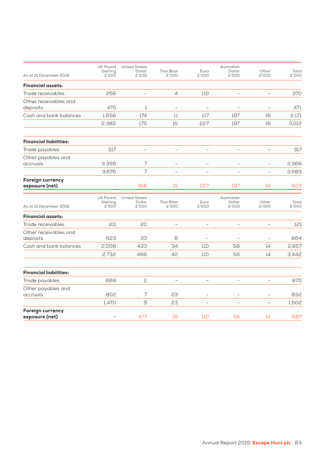| As at 31 December 2019                        | <b>UK Pound</b><br>Sterling<br>£'000 | <b>United States</b><br>Dollar<br>£'000 | Thai Bhat<br>£'000       | Euro<br>£'000            | Australian<br>Dollar<br>£'000 | Other<br>£'000           | Total<br>£'000 |
|-----------------------------------------------|--------------------------------------|-----------------------------------------|--------------------------|--------------------------|-------------------------------|--------------------------|----------------|
|                                               |                                      |                                         |                          |                          |                               |                          |                |
| <b>Financial assets:</b><br>Trade receivables | 256                                  | $\overline{\phantom{0}}$                | $\overline{4}$           | 110                      | $\overline{\phantom{0}}$      | $\overline{\phantom{0}}$ | 370            |
| Other receivables and                         |                                      |                                         |                          |                          |                               |                          |                |
| deposits                                      | 470                                  | 1                                       | $\qquad \qquad -$        | $\overline{\phantom{0}}$ |                               |                          | 471            |
| Cash and bank balances                        | 1,656                                | 174                                     | 11                       | 117                      | 197                           | 16                       | 2,171          |
|                                               | 2,382                                | 175                                     | 15                       | 227                      | 197                           | 16                       | 3,012          |
| <b>Financial liabilities:</b>                 |                                      |                                         |                          |                          |                               |                          |                |
| Trade payables                                | 317                                  | $\overline{\phantom{0}}$                | $\qquad \qquad -$        | $\overline{\phantom{0}}$ | $\overline{\phantom{0}}$      | $\overline{\phantom{0}}$ | 317            |
| Other payables and                            |                                      |                                         |                          |                          |                               |                          |                |
| accruals                                      | 3,359                                | 7                                       | $\overline{\phantom{0}}$ | $\overline{\phantom{0}}$ |                               | $\overline{\phantom{0}}$ | 3,366          |
|                                               | 3,676                                | 7                                       | $\qquad \qquad -$        | $\qquad \qquad -$        | $\qquad \qquad -$             | $\qquad \qquad -$        | 3,683          |
| <b>Foreign currency</b><br>exposure (net)     |                                      | 168                                     | 15                       | 227                      | 197                           | 16                       | 623            |
| As at 31 December 2018                        | <b>UK Pound</b><br>Sterling<br>£'000 | <b>United States</b><br>Dollar<br>£'000 | Thai Bhat<br>£'000       | Euro<br>£'000            | Australian<br>Dollar<br>£'000 | Other<br>£'000           | Total<br>£'000 |
| <b>Financial assets:</b>                      |                                      |                                         |                          |                          |                               |                          |                |
| Trade receivables                             | 101                                  | 20                                      | $\qquad \qquad -$        | $\qquad \qquad -$        | $\overline{\phantom{0}}$      |                          | 121            |
| Other receivables and<br>deposits             | 623                                  | 33                                      | 8                        |                          |                               |                          | 664            |
| Cash and bank balances                        | 2,008                                | 433                                     | 34                       | 110                      | 58                            | 14                       | 2,657          |
|                                               | 2,732                                | 486                                     | 42                       | 110                      | 58                            | 14                       | 3,442          |
| <b>Financial liabilities:</b>                 |                                      |                                         |                          |                          |                               |                          |                |
| Trade payables                                | 668                                  | 2                                       | $\qquad \qquad -$        | $\qquad \qquad -$        | $\qquad \qquad -$             | $\qquad \qquad -$        | 670            |
| Other payables and<br>accruals                | 802                                  | 7                                       | 23                       | $\overline{\phantom{0}}$ | $\overline{\phantom{m}}$      | $\overline{\phantom{0}}$ | 832            |
|                                               | 1,470                                | 9                                       | 23                       | $\overline{\phantom{0}}$ | $\overline{\phantom{0}}$      | $\qquad \qquad -$        | 1,502          |
| <b>Foreign currency</b><br>exposure (net)     | ÷                                    | 477                                     | 19                       | 110                      | 58                            | 14                       | 687            |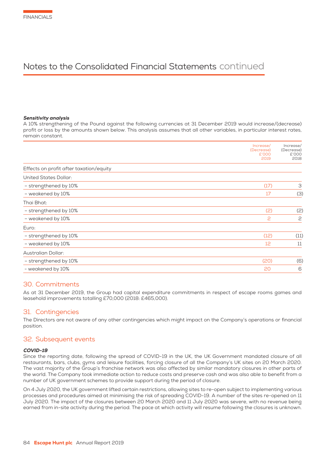#### Sensitivity analysis

A 10% strengthening of the Pound against the following currencies at 31 December 2019 would increase/(decrease) profit or loss by the amounts shown below. This analysis assumes that all other variables, in particular interest rates, remain constant.

|                                         | Increase/<br>(Decrease)<br>£'000<br>2019 | Increase/<br>(Decrease)<br>£'000<br>2018 |
|-----------------------------------------|------------------------------------------|------------------------------------------|
| Effects on profit after taxation/equity |                                          |                                          |
| United States Dollar:                   |                                          |                                          |
| - strengthened by 10%                   | (17)                                     | З                                        |
| - weakened by 10%                       | 17                                       | (3)                                      |
| Thai Bhat:                              |                                          |                                          |
| - strengthened by 10%                   | (2)                                      | (2)                                      |
| - weakened by 10%                       | 2                                        | 2                                        |
| Euro:                                   |                                          |                                          |
| - strengthened by 10%                   | (12)                                     | (11)                                     |
| - weakened by 10%                       | 12                                       | 11                                       |
| Australian Dollar:                      |                                          |                                          |
| - strengthened by 10%                   | (20)                                     | (6)                                      |
| - weakened by 10%                       | 20                                       | 6                                        |

### 30. Commitments

As at 31 December 2019, the Group had capital expenditure commitments in respect of escape rooms games and leasehold improvements totalling £70,000 (2018: £465,000).

# 31. Contingencies

The Directors are not aware of any other contingencies which might impact on the Company's operations or financial position.

# 32. Subsequent events

#### COVID-19

Since the reporting date, following the spread of COVID-19 in the UK, the UK Government mandated closure of all restaurants, bars, clubs, gyms and leisure facilities, forcing closure of all the Company's UK sites on 20 March 2020. The vast majority of the Group's franchise network was also affected by similar mandatory closures in other parts of the world. The Company took immediate action to reduce costs and preserve cash and was also able to benefit from a number of UK government schemes to provide support during the period of closure.

On 4 July 2020, the UK government lifted certain restrictions, allowing sites to re-open subject to implementing various processes and procedures aimed at minimising the risk of spreading COVID-19. A number of the sites re-opened on 11 July 2020. The impact of the closures between 20 March 2020 and 11 July 2020 was severe, with no revenue being earned from in-site activity during the period. The pace at which activity will resume following the closures is unknown.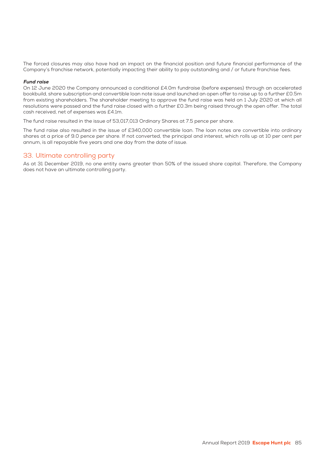The forced closures may also have had an impact on the financial position and future financial performance of the Company's franchise network, potentially impacting their ability to pay outstanding and / or future franchise fees.

#### Fund raise

On 12 June 2020 the Company announced a conditional £4.0m fundraise (before expenses) through an accelerated bookbuild, share subscription and convertible loan note issue and launched an open offer to raise up to a further £0.5m from existing shareholders. The shareholder meeting to approve the fund raise was held on 1 July 2020 at which all resolutions were passed and the fund raise closed with a further £0.3m being raised through the open offer. The total cash received, net of expenses was £4.1m.

The fund raise resulted in the issue of 53,017,013 Ordinary Shares at 7.5 pence per share.

The fund raise also resulted in the issue of £340,000 convertible loan. The loan notes are convertible into ordinary shares at a price of 9.0 pence per share. If not converted, the principal and interest, which rolls up at 10 per cent per annum, is all repayable five years and one day from the date of issue.

### 33. Ultimate controlling party

As at 31 December 2019, no one entity owns greater than 50% of the issued share capital. Therefore, the Company does not have an ultimate controlling party.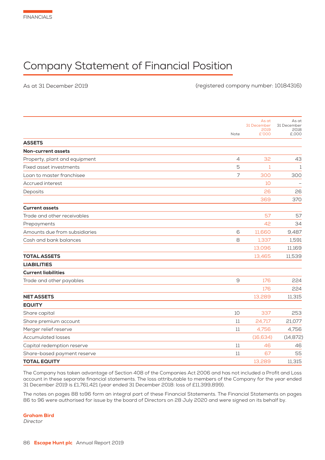# Company Statement of Financial Position

As at 31 December 2019

(registered company number: 10184316)

|                               | Note           | As at<br>31 December<br>2019<br>£'000 | As at<br>31 December<br>2018<br>£,000 |
|-------------------------------|----------------|---------------------------------------|---------------------------------------|
|                               |                |                                       |                                       |
| <b>ASSETS</b>                 |                |                                       |                                       |
| <b>Non-current assets</b>     |                |                                       |                                       |
| Property, plant and equipment | $\overline{4}$ | 32                                    | 43                                    |
| Fixed asset investments       | 5              | $\mathbf{1}$                          | $\overline{1}$                        |
| Loan to master franchisee     | $\overline{7}$ | 300                                   | 300                                   |
| <b>Accrued interest</b>       |                | 10                                    |                                       |
| Deposits                      |                | 26                                    | 26                                    |
|                               |                | 369                                   | 370                                   |
| <b>Current assets</b>         |                |                                       |                                       |
| Trade and other receivables   |                | 57                                    | 57                                    |
| Prepayments                   |                | 42                                    | 34                                    |
| Amounts due from subsidiaries | 6              | 11,660                                | 9,487                                 |
| Cash and bank balances        | 8              | 1,337                                 | 1,591                                 |
|                               |                | 13,096                                | 11,169                                |
| <b>TOTAL ASSETS</b>           |                | 13,465                                | 11,539                                |
| <b>LIABILITIES</b>            |                |                                       |                                       |
| <b>Current liabilities</b>    |                |                                       |                                       |
| Trade and other payables      | $\Theta$       | 176                                   | 224                                   |
|                               |                | 176                                   | 224                                   |
| <b>NET ASSETS</b>             |                | 13,289                                | 11,315                                |
| <b>EQUITY</b>                 |                |                                       |                                       |
| Share capital                 | 10             | 337                                   | 253                                   |
| Share premium account         | 11             | 24,717                                | 21,077                                |
| Merger relief reserve         | 11             | 4.756                                 | 4,756                                 |
| <b>Accumulated losses</b>     |                | (16, 634)                             | (14, 872)                             |
| Capital redemption reserve    | 11             | 46                                    | 46                                    |
| Share-based payment reserve   | 11             | 67                                    | 55                                    |
| <b>TOTAL EQUITY</b>           |                | 13,289                                | 11,315                                |
|                               |                |                                       |                                       |

The Company has taken advantage of Section 408 of the Companies Act 2006 and has not included a Profit and Loss account in these separate financial statements. The loss attributable to members of the Company for the year ended 31 December 2019 is £1,761,421 (year ended 31 December 2018: loss of £11,399,899).

The notes on pages 88 to96 form an integral part of these Financial Statements. The Financial Statements on pages 86 to 96 were authorised for issue by the board of Directors on 28 July 2020 and were signed on its behalf by.

Graham Bird

Director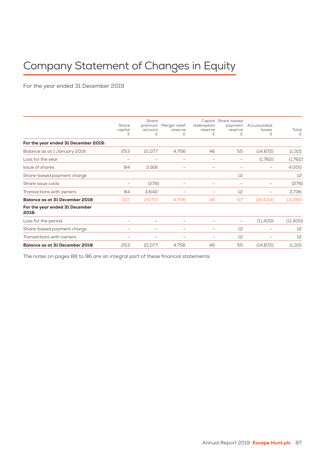# Company Statement of Changes in Equity

For the year ended 31 December 2019

|                                         | Share<br>capital<br>£    | Share<br>premium<br>account<br>£ | Merger relief<br>reserve<br>£ | redemption<br>reserve<br>£ | Capital Share-based<br>payment<br>reserve<br>£ | Accumulated<br>losses<br>£ | Total<br>£ |
|-----------------------------------------|--------------------------|----------------------------------|-------------------------------|----------------------------|------------------------------------------------|----------------------------|------------|
| For the year ended 31 December 2019:    |                          |                                  |                               |                            |                                                |                            |            |
| Balance as at 1 January 2019            | 253                      | 21,077                           | 4,756                         | 46                         | 55                                             | (14, 872)                  | 11,315     |
| Loss for the year                       | $\qquad \qquad$          |                                  | $\overline{\phantom{0}}$      | $\overline{\phantom{0}}$   | $\overline{\phantom{m}}$                       | (1,762)                    | (1,762)    |
| Issue of shares                         | 84                       | 3,916                            | -                             | $\overline{\phantom{0}}$   | $\overline{\phantom{0}}$                       | -                          | 4,000      |
| Share-based payment charge              |                          |                                  |                               |                            | 12                                             |                            | 12         |
| Share issue costs                       | $\overline{\phantom{m}}$ | (276)                            | -                             | $\qquad \qquad -$          | $\overline{\phantom{0}}$                       | -                          | (276)      |
| Transactions with owners                | 84                       | 3,640                            | -                             |                            | 12                                             | -                          | 3,736      |
| <b>Balance as at 31 December 2019</b>   | 337                      | 24,717                           | 4,756                         | 46                         | 67                                             | (16,634)                   | 13,289     |
| For the year ended 31 December<br>2018: |                          |                                  |                               |                            |                                                |                            |            |
| Loss for the period                     | $\qquad \qquad$          | $\overline{\phantom{0}}$         | $\overline{\phantom{0}}$      | $\overline{\phantom{0}}$   | $\overline{\phantom{0}}$                       | (11,400)                   | (11,400)   |
| Share-based payment charge              | -                        | -                                | -                             |                            | 12                                             | -                          | 12         |
| Transactions with owners                | $\qquad \qquad$          | -                                | -                             | -                          | 12                                             |                            | 12         |
| <b>Balance as at 31 December 2018</b>   | 253                      | 21,077                           | 4,756                         | 46                         | 55                                             | (14, 872)                  | 11,315     |

The notes on pages 88 to 96 are an integral part of these financial statements.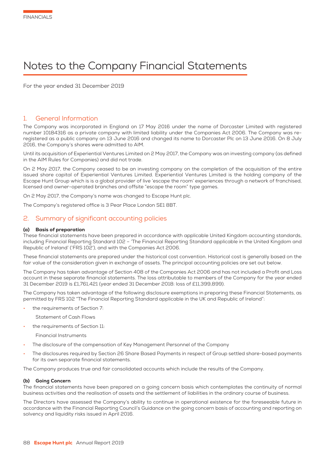# Notes to the Company Financial Statements

For the year ended 31 December 2019

# 1. General Information

The Company was incorporated in England on 17 May 2016 under the name of Dorcaster Limited with registered number 10184316 as a private company with limited liability under the Companies Act 2006. The Company was reregistered as a public company on 13 June 2016 and changed its name to Dorcaster Plc on 13 June 2016. On 8 July 2016, the Company's shares were admitted to AIM.

Until its acquisition of Experiential Ventures Limited on 2 May 2017, the Company was an investing company (as defined in the AIM Rules for Companies) and did not trade.

On 2 May 2017, the Company ceased to be an investing company on the completion of the acquisition of the entire issued share capital of Experiential Ventures Limited. Experiential Ventures Limited is the holding company of the Escape Hunt Group which is is a global provider of live 'escape the room' experiences through a network of franchised, licensed and owner-operated branches and offsite "escape the room" type games.

On 2 May 2017, the Company's name was changed to Escape Hunt plc.

The Company's registered office is 3 Pear Place London SE1 8BT.

### 2. Summary of significant accounting policies

#### (a) Basis of preparation

These financial statements have been prepared in accordance with applicable United Kingdom accounting standards, including Financial Reporting Standard 102 – 'The Financial Reporting Standard applicable in the United Kingdom and Republic of Ireland' ('FRS 102'), and with the Companies Act 2006.

These financial statements are prepared under the historical cost convention. Historical cost is generally based on the fair value of the consideration given in exchange of assets. The principal accounting policies are set out below.

The Company has taken advantage of Section 408 of the Companies Act 2006 and has not included a Profit and Loss account in these separate financial statements. The loss attributable to members of the Company for the year ended 31 December 2019 is £1,761,421 (year ended 31 December 2018: loss of £11,399,899).

The Company has taken advantage of the following disclosure exemptions in preparing these Financial Statements, as permitted by FRS 102 "The Financial Reporting Standard applicable in the UK and Republic of Ireland":

the requirements of Section 7:

Statement of Cash Flows

the requirements of Section 11:

Financial Instruments

- The disclosure of the compensation of Key Management Personnel of the Company
- The disclosures required by Section 26 Share Based Payments in respect of Group settled share-based payments for its own separate financial statements.

The Company produces true and fair consolidated accounts which include the results of the Company.

#### (b) Going Concern

The financial statements have been prepared on a going concern basis which contemplates the continuity of normal business activities and the realisation of assets and the settlement of liabilities in the ordinary course of business.

The Directors have assessed the Company's ability to continue in operational existence for the foreseeable future in accordance with the Financial Reporting Council's Guidance on the going concern basis of accounting and reporting on solvency and liquidity risks issued in April 2016.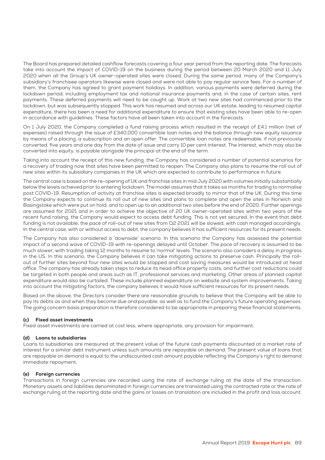The Board has prepared detailed cashflow forecasts covering a four year period from the reporting date. The forecasts take into account the impact of COVID-19 on the business during the period between 20 March 2020 and 11 July 2020 when all the Group's UK owner-operated sites were closed. During the same period, many of the Company's subsidiary's franchisee operators likewise were closed and were not able to pay regular service fees. For a number of them, the Company has agreed to grant payment holidays. In addition, various payments were deferred during the lockdown period, including employment tax and national insurance payments and, in the case of certain sites, rent payments. These deferred payments will need to be caught up. Work at two new sites had commenced prior to the lockdown, but was subsequently stopped. This work has resumed and across our UK estate, leading to resumed capital expenditure, there has been a need for additional expenditure to ensure that existing sites have been able to re-open in accordance with guidelines. These factors have all been taken into account in the forecasts.

On 1 July 2020, the Company completed a fund raising process which resulted in the receipt of £4.1 million (net of expenses) raised through the issue of £340,000 convertible loan notes and the balance through new equity issuance by means of a placing, a subscription and an open offer. The convertible loan notes are redeemable, if not previously converted, five years and one day from the date of issue and carry 10 per cent interest. The interest, which may also be converted into equity, is payable alongside the principal at the end of the term.

Taking into account the receipt of this new funding, the Company has considered a number of potential scenarios for a recovery of trading now that sites have been permitted to reopen. The Company also plans to resume the roll out of new sites within its subsidiary companies in the UK which are expected to contribute to performance in future.

The central case is based on the re-opening of UK and franchise sites in mid July 2020 with volumes initially substantially below the levels achieved prior to entering lockdown. The model assumes that it takes six months for trading to normalise post COVID-19. Resumption of activity at franchise sites is expected broadly to mirror that of the UK. During this time the Company expects to continue its roll out of new sites and plans to complete and open the sites in Norwich and Basingstoke which were put on hold, and to open up to an additional two sites before the end of 2020. Further openings are assumed for 2021 and in order to achieve the objective of 20 UK owner-operated sites within two years of the recent fund raising, the Company would expect to access debt funding. This is not yet secured. In the event that debt funding is not available, the pace of roll-out of new sites from Q2 2021 will be slowed, with cash managed accordingly. In the central case, with or without access to debt, the company believes it has sufficient resources for its present needs.

The Company has also considered a 'downside' scenario. In this scenario the Company has assessed the potential impact of a second wave of COVID-19 with re-openings delayed until October. The pace of recovery is assumed to be much slower, with trading taking 12 months to resume to 'normal' levels. The scenario also considers a delay in progress in the US. In this scenario, the Company believes it can take mitigating actions to preserve cash. Principally the rollout of further sites beyond four new sites would be stopped and cost saving measures would be introduced at head office. The company has already taken steps to reduce its head office property costs, and further cost reductions could be targeted in both people and areas such as IT, professional services and marketing. Other areas of planned capital expenditure would also be curtailed. These include planned expenditure on website and system improvements. Taking into account the mitigating factors, the company believes it would have sufficient resources for its present needs.

Based on the above, the Directors consider there are reasonable grounds to believe that the Company will be able to pay its debts as and when they become due and payable, as well as to fund the Company's future operating expenses. The going concern basis preparation is therefore considered to be appropriate in preparing these financial statements.

#### (c) Fixed asset investments

Fixed asset investments are carried at cost less, where appropriate, any provision for impairment.

#### (d) Loans to subsidiaries

Loans to subsidiaries are measured at the present value of the future cash payments discounted at a market rate of interest for a similar debt instrument unless such amounts are repayable on demand. The present value of loans that are repayable on demand is equal to the undiscounted cash amount payable reflecting the Company's right to demand immediate repayment.

#### (e) Foreign currencies

Transactions in foreign currencies are recorded using the rate of exchange ruling at the date of the transaction. Monetary assets and liabilities denominated in foreign currencies are translated using the contracted rate or the rate of exchange ruling at the reporting date and the gains or losses on translation are included in the profit and loss account.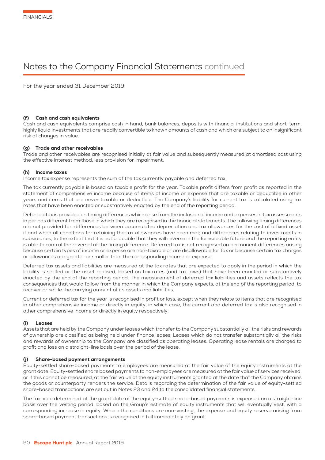# Notes to the Company Financial Statements continued

For the year ended 31 December 2019

#### (f) Cash and cash equivalents

Cash and cash equivalents comprise cash in hand, bank balances, deposits with financial institutions and short-term, highly liquid investments that are readily convertible to known amounts of cash and which are subject to an insignificant risk of changes in value.

#### (g) Trade and other receivables

Trade and other receivables are recognised initially at fair value and subsequently measured at amortised cost using the effective interest method, less provision for impairment.

#### (h) Income taxes

Income tax expense represents the sum of the tax currently payable and deferred tax.

The tax currently payable is based on taxable profit for the year. Taxable profit differs from profit as reported in the statement of comprehensive income because of items of income or expense that are taxable or deductible in other years and items that are never taxable or deductible. The Company's liability for current tax is calculated using tax rates that have been enacted or substantively enacted by the end of the reporting period.

Deferred tax is provided on timing differences which arise from the inclusion of income and expenses in tax assessments in periods different from those in which they are recognised in the financial statements. The following timing differences are not provided for: differences between accumulated depreciation and tax allowances for the cost of a fixed asset if and when all conditions for retaining the tax allowances have been met; and differences relating to investments in subsidiaries, to the extent that it is not probable that they will reverse in the foreseeable future and the reporting entity is able to control the reversal of the timing difference. Deferred tax is not recognised on permanent differences arising because certain types of income or expense are non-taxable or are disallowable for tax or because certain tax charges or allowances are greater or smaller than the corresponding income or expense.

Deferred tax assets and liabilities are measured at the tax rates that are expected to apply in the period in which the liability is settled or the asset realised, based on tax rates (and tax laws) that have been enacted or substantively enacted by the end of the reporting period. The measurement of deferred tax liabilities and assets reflects the tax consequences that would follow from the manner in which the Company expects, at the end of the reporting period, to recover or settle the carrying amount of its assets and liabilities.

Current or deferred tax for the year is recognised in profit or loss, except when they relate to items that are recognised in other comprehensive income or directly in equity, in which case, the current and deferred tax is also recognised in other comprehensive income or directly in equity respectively.

#### (i) Leases

Assets that are held by the Company under leases which transfer to the Company substantially all the risks and rewards of ownership are classified as being held under finance leases. Leases which do not transfer substantially all the risks and rewards of ownership to the Company are classified as operating leases. Operating lease rentals are charged to profit and loss on a straight-line basis over the period of the lease.

#### (j) Share-based payment arrangements

Equity-settled share-based payments to employees are measured at the fair value of the equity instruments at the grant date. Equity-settled share based payments to non-employees are measured at the fair value of services received, or if this cannot be measured, at the fair value of the equity instruments granted at the date that the Company obtains the goods or counterparty renders the service. Details regarding the determination of the fair value of equity-settled share-based transactions are set out in Notes 23 and 24 to the consolidated financial statements.

The fair vale determined at the grant date of the equity-settled share-based payments is expensed on a straight-line basis over the vesting period, based on the Group's estimate of equity instruments that will eventually vest, with a corresponding increase in equity. Where the conditions are non-vesting, the expense and equity reserve arising from share-based payment transactions is recognised in full immediately on grant.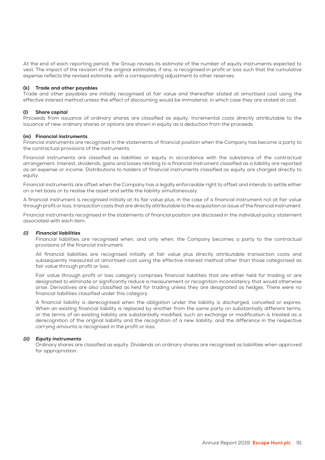At the end of each reporting period, the Group revises its estimate of the number of equity instruments expected to vest. The impact of the revision of the original estimates, if any, is recognised in profit or loss such that the cumulative expense reflects the revised estimate, with a corresponding adjustment to other reserves.

#### (k) Trade and other payables

Trade and other payables are initially recognised at fair value and thereafter stated at amortised cost using the effective interest method unless the effect of discounting would be immaterial, in which case they are stated at cost.

#### (l) Share capital

Proceeds from issuance of ordinary shares are classified as equity. Incremental costs directly attributable to the issuance of new ordinary shares or options are shown in equity as a deduction from the proceeds.

#### (m) Financial instruments

Financial instruments are recognised in the statements of financial position when the Company has become a party to the contractual provisions of the instruments.

Financial instruments are classified as liabilities or equity in accordance with the substance of the contractual arrangement. Interest, dividends, gains and losses relating to a financial instrument classified as a liability are reported as an expense or income. Distributions to holders of financial instruments classified as equity are charged directly to equity.

Financial instruments are offset when the Company has a legally enforceable right to offset and intends to settle either on a net basis or to realise the asset and settle the liability simultaneously.

A financial instrument is recognised initially at its fair value plus, in the case of a financial instrument not at fair value through profit or loss, transaction costs that are directly attributable to the acquisition or issue of the financial instrument.

Financial instruments recognised in the statements of financial position are disclosed in the individual policy statement associated with each item.

#### (i) Financial liabilities

Financial liabilities are recognised when, and only when, the Company becomes a party to the contractual provisions of the financial instrument.

All financial liabilities are recognised initially at fair value plus directly attributable transaction costs and subsequently measured at amortised cost using the effective interest method other than those categorised as fair value through profit or loss.

Fair value through profit or loss category comprises financial liabilities that are either held for trading or are designated to eliminate or significantly reduce a measurement or recognition inconsistency that would otherwise arise. Derivatives are also classified as held for trading unless they are designated as hedges. There were no financial liabilities classified under this category.

A financial liability is derecognised when the obligation under the liability is discharged, cancelled or expires. When an existing financial liability is replaced by another from the same party on substantially different terms, or the terms of an existing liability are substantially modified, such an exchange or modification is treated as a derecognition of the original liability and the recognition of a new liability, and the difference in the respective carrying amounts is recognised in the profit or loss.

#### (ii) Equity instruments

Ordinary shares are classified as equity. Dividends on ordinary shares are recognised as liabilities when approved for appropriation.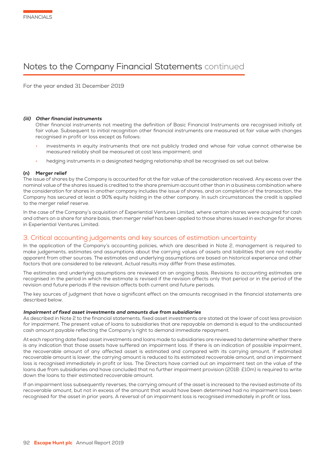# Notes to the Company Financial Statements continued

For the year ended 31 December 2019

#### (iii) Other financial instruments

Other financial instruments not meeting the definition of Basic Financial Instruments are recognised initially at fair value. Subsequent to initial recognition other financial instruments are measured at fair value with changes recognised in profit or loss except as follows:

- investments in equity instruments that are not publicly traded and whose fair value cannot otherwise be measured reliably shall be measured at cost less impairment; and
- hedging instruments in a designated hedging relationship shall be recognised as set out below.

#### (n) Merger relief

The issue of shares by the Company is accounted for at the fair value of the consideration received. Any excess over the nominal value of the shares issued is credited to the share premium account other than in a business combination where the consideration for shares in another company includes the issue of shares, and on completion of the transaction, the Company has secured at least a 90% equity holding in the other company. In such circumstances the credit is applied to the merger relief reserve.

In the case of the Company's acquisition of Experiential Ventures Limited, where certain shares were acquired for cash and others on a share for share basis, then merger relief has been applied to those shares issued in exchange for shares in Experiential Ventures Limited.

# 3. Critical accounting judgements and key sources of estimation uncertainty

In the application of the Company's accounting policies, which are described in Note 2, management is required to make judgements, estimates and assumptions about the carrying values of assets and liabilities that are not readily apparent from other sources. The estimates and underlying assumptions are based on historical experience and other factors that are considered to be relevant. Actual results may differ from these estimates.

The estimates and underlying assumptions are reviewed on an ongoing basis. Revisions to accounting estimates are recognised in the period in which the estimate is revised if the revision affects only that period or in the period of the revision and future periods if the revision affects both current and future periods.

The key sources of judgment that have a significant effect on the amounts recognised in the financial statements are described below.

#### Impairment of fixed asset investments and amounts due from subsidiaries

As described in Note 2 to the financial statements, fixed asset investments are stated at the lower of cost less provision for impairment. The present value of loans to subsidiaries that are repayable on demand is equal to the undiscounted cash amount payable reflecting the Company's right to demand immediate repayment.

At each reporting date fixed asset investments and loans made to subsidiaries are reviewed to determine whether there is any indication that those assets have suffered an impairment loss. If there is an indication of possible impairment, the recoverable amount of any affected asset is estimated and compared with its carrying amount. If estimated recoverable amount is lower, the carrying amount is reduced to its estimated recoverable amount, and an impairment loss is recognised immediately in profit or loss. The Directors have carried out an impairment test on the value of the loans due from subsidiaries and have concluded that no further impairment provision (2018: £10m) is required to write down the loans to their estimated recoverable amount.

If an impairment loss subsequently reverses, the carrying amount of the asset is increased to the revised estimate of its recoverable amount, but not in excess of the amount that would have been determined had no impairment loss been recognised for the asset in prior years. A reversal of an impairment loss is recognised immediately in profit or loss.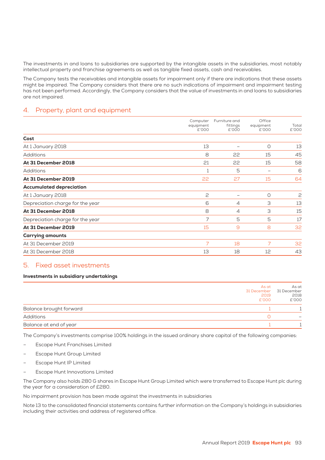The investments in and loans to subsidiaries are supported by the intangible assets in the subsidiaries, most notably intellectual property and franchise agreements as well as tangible fixed assets, cash and receivables.

The Company tests the receivables and intangible assets for impairment only if there are indications that these assets might be impaired. The Company considers that there are no such indications of impairment and impairment testing has not been performed. Accordingly, the Company considers that the value of investments in and loans to subsidiaries are not impaired.

# 4. Property, plant and equipment

|                                  | Computer<br>equipment<br>£'000 | Furniture and<br>fittings<br>£'000 | Office<br>equipment<br>£'000 | Total<br>£'000 |
|----------------------------------|--------------------------------|------------------------------------|------------------------------|----------------|
| Cost                             |                                |                                    |                              |                |
| At 1 January 2018                | 13                             | -                                  | $\circ$                      | 13             |
| <b>Additions</b>                 | 8                              | 22                                 | 15                           | 45             |
| At 31 December 2018              | 21                             | 22                                 | 15                           | 58             |
| <b>Additions</b>                 |                                | 5                                  |                              | 6              |
| At 31 December 2019              | 22                             | 27                                 | 15                           | 64             |
| <b>Accumulated depreciation</b>  |                                |                                    |                              |                |
| At 1 January 2018                | $\mathsf{P}$                   |                                    | $\circ$                      | 2              |
| Depreciation charge for the year | 6                              | $\overline{4}$                     | 3                            | 13             |
| At 31 December 2018              | 8                              | $\overline{4}$                     | 3                            | 15             |
| Depreciation charge for the year | 7                              | 5                                  | 5                            | 17             |
| At 31 December 2019              | 15                             | 9                                  | 8                            | 32             |
| <b>Carrying amounts</b>          |                                |                                    |                              |                |
| At 31 December 2019              | 7                              | 18                                 | $\overline{7}$               | 32             |
| At 31 December 2018              | 13                             | 18                                 | 12                           | 43             |

### 5. Fixed asset investments

#### Investments in subsidiary undertakings

| As at<br>2019<br>£'000  | As at<br>31 December 31 December<br>2018<br>£'000 |
|-------------------------|---------------------------------------------------|
| Balance brought forward |                                                   |
| <b>Additions</b>        |                                                   |
| Balance at end of year  |                                                   |

The Company's investments comprise 100% holdings in the issued ordinary share capital of the following companies:

- Escape Hunt Franchises Limited
- Escape Hunt Group Limited
- Escape Hunt IP Limited
- Escape Hunt Innovations Limited

The Company also holds 280 G shares in Escape Hunt Group Limited which were transferred to Escape Hunt plc during the year for a consideration of £280.

No impairment provision has been made against the investments in subsidiaries

Note 13 to the consolidated financial statements contains further information on the Company's holdings in subsidiaries including their activities and address of registered office.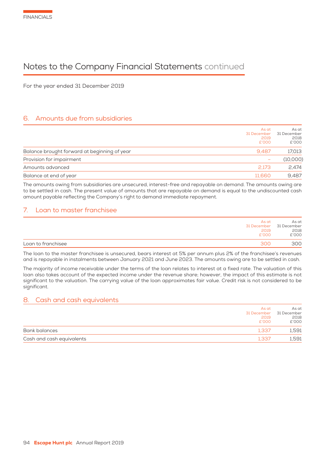# Notes to the Company Financial Statements continued

For the year ended 31 December 2019

# 6. Amounts due from subsidiaries

|                                              | As at<br>31 December<br>2019<br>£'000 | As at<br>31 December<br>2018<br>£'000 |
|----------------------------------------------|---------------------------------------|---------------------------------------|
| Balance brought forward at beginning of year | 9.487                                 | 17,013                                |
| Provision for impairment                     |                                       | (10,000)                              |
| Amounts advanced                             | 2.173                                 | 2.474                                 |
| Balance at end of year                       | 11,660                                | 9,487                                 |

The amounts owing from subsidiaries are unsecured, interest-free and repayable on demand. The amounts owing are to be settled in cash. The present value of amounts that are repayable on demand is equal to the undiscounted cash amount payable reflecting the Company's right to demand immediate repayment.

# 7. Loan to master franchisee

| As at<br>2019<br>£'000    | As at<br>31 December 31 December<br>2018<br>£'000 |
|---------------------------|---------------------------------------------------|
| Loan to franchisee<br>300 | 300                                               |

The loan to the master franchisee is unsecured, bears interest at 5% per annum plus 2% of the franchisee's revenues and is repayable in instalments between January 2021 and June 2023. The amounts owing are to be settled in cash.

The majority of income receivable under the terms of the loan relates to interest at a fixed rate. The valuation of this loan also takes account of the expected income under the revenue share; however, the impact of this estimate is not significant to the valuation. The carrying value of the loan approximates fair value. Credit risk is not considered to be significant.

# 8. Cash and cash equivalents

|                           | As at<br>31 December<br>2019<br>£'000 | As at<br>31 December<br>2018<br>£'000 |
|---------------------------|---------------------------------------|---------------------------------------|
| Bank balances             | 1.337                                 | 1.591                                 |
| Cash and cash equivalents | 1 337                                 | .591                                  |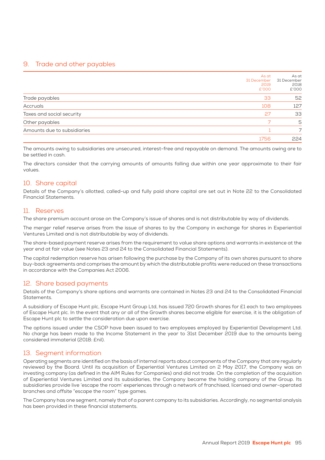# 9. Trade and other payables

|                             | As at<br>31 December<br>2019<br>£'000 | As at<br>31 December<br>2018<br>£'000 |
|-----------------------------|---------------------------------------|---------------------------------------|
| Trade payables              | 33                                    | 52                                    |
| Accruals                    | 108                                   | 127                                   |
| Taxes and social security   | 27                                    | 33                                    |
| Other payables              |                                       | 5                                     |
| Amounts due to subsidiaries |                                       | 7                                     |
|                             | 1756                                  | 224                                   |

The amounts owing to subsidiaries are unsecured, interest-free and repayable on demand. The amounts owing are to be settled in cash.

The directors consider that the carrying amounts of amounts falling due within one year approximate to their fair values.

### 10. Share capital

Details of the Company's allotted, called-up and fully paid share capital are set out in Note 22 to the Consolidated Financial Statements.

# 11. Reserves

The share premium account arose on the Company's issue of shares and is not distributable by way of dividends.

The merger relief reserve arises from the issue of shares to by the Company in exchange for shares in Experiential Ventures Limited and is not distributable by way of dividends.

The share-based payment reserve arises from the requirement to value share options and warrants in existence at the year end at fair value (see Notes 23 and 24 to the Consolidated Financial Statements).

The capital redemption reserve has arisen following the purchase by the Company of its own shares pursuant to share buy-back agreements and comprises the amount by which the distributable profits were reduced on these transactions in accordance with the Companies Act 2006.

# 12. Share based payments

Details of the Company's share options and warrants are contained in Notes 23 and 24 to the Consolidated Financial Statements.

A subsidiary of Escape Hunt plc, Escape Hunt Group Ltd, has issued 720 Growth shares for £1 each to two employees of Escape Hunt plc. In the event that any or all of the Growth shares become eligible for exercise, it is the obligation of Escape Hunt plc to settle the consideration due upon exercise.

The options issued under the CSOP have been issued to two employees employed by Experiential Development Ltd. No charge has been made to the Income Statement in the year to 31st December 2019 due to the amounts being considered immaterial (2018: £nil).

### 13. Segment information

Operating segments are identified on the basis of internal reports about components of the Company that are regularly reviewed by the Board. Until its acquisition of Experiential Ventures Limited on 2 May 2017, the Company was an investing company (as defined in the AIM Rules for Companies) and did not trade. On the completion of the acquisition of Experiential Ventures Limited and its subsidiaries, the Company became the holding company of the Group. Its subsidiaries provide live 'escape the room' experiences through a network of franchised, licensed and owner-operated branches and offsite "escape the room" type games.

The Company has one segment, namely that of a parent company to its subsidiaries. Accordingly, no segmental analysis has been provided in these financial statements.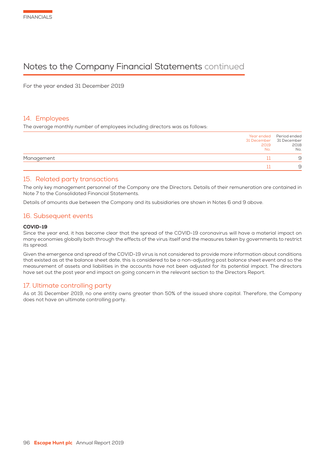# Notes to the Company Financial Statements continued

For the year ended 31 December 2019

# 14. Employees

The average monthly number of employees including directors was as follows:

| 2019<br>No. | Year ended Period ended<br>31 December 31 December<br>2018<br>No. |
|-------------|-------------------------------------------------------------------|
| Management  | 9                                                                 |
|             | 9                                                                 |

### 15. Related party transactions

The only key management personnel of the Company are the Directors. Details of their remuneration are contained in Note 7 to the Consolidated Financial Statements.

Details of amounts due between the Company and its subsidiaries are shown in Notes 6 and 9 above.

# 16. Subsequent events

#### COVID-19

Since the year end, it has become clear that the spread of the COVID-19 coronavirus will have a material impact on many economies globally both through the effects of the virus itself and the measures taken by governments to restrict its spread.

Given the emergence and spread of the COVID-19 virus is not considered to provide more information about conditions that existed as at the balance sheet date, this is considered to be a non-adjusting post balance sheet event and so the measurement of assets and liabilities in the accounts have not been adjusted for its potential impact. The directors have set out the post year end impact on going concern in the relevant section to the Directors Report.

### 17. Ultimate controlling party

As at 31 December 2019, no one entity owns greater than 50% of the issued share capital. Therefore, the Company does not have an ultimate controlling party.